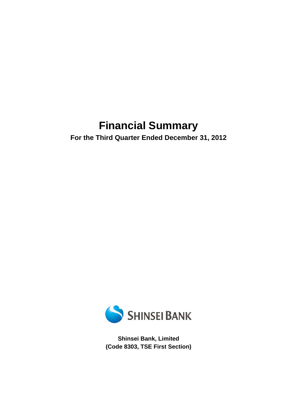# **Financial Summary**

**For the Third Quarter Ended December 31, 2012** 



**Shinsei Bank, Limited (Code 8303, TSE First Section)**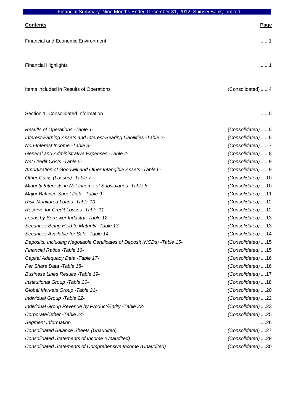| Financial Summary: Nine Months Ended December 31, 2012, Shinsel Bank, Limited |                    |
|-------------------------------------------------------------------------------|--------------------|
| <b>Contents</b>                                                               | Page               |
| <b>Financial and Economic Environment</b>                                     | 1                  |
| <b>Financial Highlights</b>                                                   | 1                  |
| Items included in Results of Operations                                       | (Consolidated) 4   |
| Section 1. Consolidated Information                                           | . 5                |
| Results of Operations - Table 1-                                              | (Consolidated)5    |
| Interest-Earning Assets and Interest-Bearing Liabilities - Table 2-           | (Consolidated)6    |
| Non-Interest Income -Table 3-                                                 | (Consolidated)7    |
| General and Administrative Expenses - Table 4-                                | (Consolidated)8    |
| Net Credit Costs - Table 5-                                                   | (Consolidated)9    |
| Amortization of Goodwill and Other Intangible Assets - Table 6-               | (Consolidated)9    |
| Other Gains (Losses) - Table 7-                                               | (Consolidated) 10  |
| Minority Interests in Net Income of Subsidiaries - Table 8-                   | (Consolidated) 10  |
| Major Balance Sheet Data - Table 9-                                           | (Consolidated)11   |
| Risk-Monitored Loans - Table 10-                                              | (Consolidated) 12  |
| Reserve for Credit Losses - Table 11-                                         | (Consolidated) 12  |
| Loans by Borrower Industry - Table 12-                                        | (Consolidated)  13 |
| Securities Being Held to Maturity - Table 13-                                 | (Consolidated)13   |
| Securities Available for Sale - Table 14-                                     | (Consolidated)14   |
| Deposits, Including Negotiable Certificates of Deposit (NCDs) - Table 15-     | (Consolidated) 15  |
| Financial Ratios - Table 16-                                                  | (Consolidated) 15  |
| Capital Adequacy Data - Table 17-                                             | (Consolidated)16   |
| Per Share Data - Table 18-                                                    | (Consolidated) 16  |
| <b>Business Lines Results - Table 19-</b>                                     | (Consolidated)17   |
| Institutional Group - Table 20-                                               | (Consolidated) 18  |
| Global Markets Group - Table 21-                                              | (Consolidated)20   |
| Individual Group - Table 22-                                                  | (Consolidated)22   |
| Individual Group Revenue by Product/Entity - Table 23-                        | (Consolidated)23   |
| Corporate/Other - Table 24-                                                   | (Consolidated)25   |
| Segment Information                                                           | ….26               |
| <b>Consolidated Balance Sheets (Unaudited)</b>                                | (Consolidated)27   |
| Consolidated Statements of Income (Unaudited)                                 | (Consolidated)29   |
| Consolidated Statements of Comprehensive Income (Unaudited)                   | (Consolidated)30   |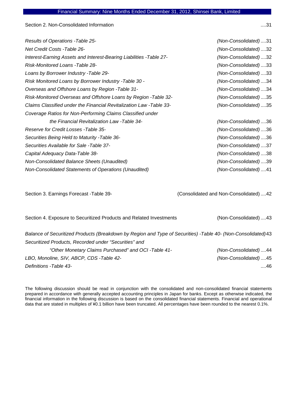Section 2. Non-Consolidated Information ....31

*Results of Operations -Table 25- (Non-Consolidated)* ....31 *Net Credit Costs -Table 26- (Non-Consolidated)* ....32 *Interest-Earning Assets and Interest-Bearing Liabilities -Table 27- (Non-Consolidated)* ....32 *Risk-Monitored Loans -Table 28- (Non-Consolidated)* ....33 *Loans by Borrower Industry -Table 29- (Non-Consolidated)* ....33 *Risk Monitored Loans by Borrower Industry -Table 30 - (Non-Consolidated)* ....34 *Overseas and Offshore Loans by Region -Table 31- (Non-Consolidated)* ....34 *Risk-Monitored Overseas and Offshore Loans by Region -Table 32- (Non-Consolidated)* ....35 *Claims Classified under the Financial Revitalization Law -Table 33- (Non-Consolidated)* ....35 *Coverage Ratios for Non-Performing Claims Classified under the Financial Revitalization Law -Table 34- (Non-Consolidated)* ....36 *Reserve for Credit Losses -Table 35- (Non-Consolidated)* ....36 *Securities Being Held to Maturity -Table 36- (Non-Consolidated)* ....36 *Securities Available for Sale -Table 37- (Non-Consolidated)* ....37 *Capital Adequacy Data-Table 38- (Non-Consolidated)* ....38 *Non-Consolidated Balance Sheets (Unaudited) (Non-Consolidated)* ....39

*Non-Consolidated Statements of Operations (Unaudited) (Non-Consolidated)* ....41

Section 3. Earnings Forecast -Table 39- (Consolidated and Non-Consolidated) ....42

Section 4. Exposure to Securitized Products and Related Investments (Non-Consolidated) ....43 *Balance of Securitized Products (Breakdown by Region and Type of Securities) -Table 40- (Non-Consolidated)*43 *Securitized Products, Recorded under "Securities" and "Other Monetary Claims Purchased" and OCI -Table 41- (Non-Consolidated)* ....44 *LBO, Monoline, SIV, ABCP, CDS -Table 42- (Non-Consolidated)* ....45 *Definitions -Table 43-* ....46

The following discussion should be read in conjunction with the consolidated and non-consolidated financial statements prepared in accordance with generally accepted accounting principles in Japan for banks. Except as otherwise indicated, the financial information in the following discussion is based on the consolidated financial statements. Financial and operational data that are stated in multiples of ¥0.1 billion have been truncated. All percentages have been rounded to the nearest 0.1%.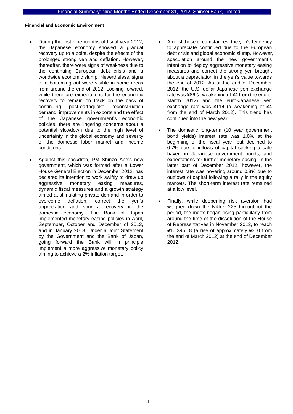### **Financial and Economic Environment**

- During the first nine months of fiscal year 2012, the Japanese economy showed a gradual recovery up to a point, despite the effects of the prolonged strong yen and deflation. However, thereafter, there were signs of weakness due to the continuing European debt crisis and a worldwide economic slump. Nevertheless, signs of a bottoming out were visible in some areas from around the end of 2012. Looking forward, while there are expectations for the economic recovery to remain on track on the back of continuing post-earthquake reconstruction demand, improvements in exports and the effect of the Japanese government's economic policies, there are lingering concerns about a potential slowdown due to the high level of uncertainty in the global economy and severity of the domestic labor market and income conditions.
- Against this backdrop, PM Shinzo Abe's new government, which was formed after a Lower House General Election in December 2012, has declared its intention to work swiftly to draw up aggressive monetary easing measures, dynamic fiscal measures and a growth strategy aimed at stimulating private demand in order to overcome deflation, correct the yen's appreciation and spur a recovery in the domestic economy. The Bank of Japan implemented monetary easing policies in April, September, October and December of 2012, and in January 2013. Under a Joint Statement by the Government and the Bank of Japan, going forward the Bank will in principle implement a more aggressive monetary policy aiming to achieve a 2% inflation target.
- Amidst these circumstances, the yen's tendency to appreciate continued due to the European debt crisis and global economic slump. However, speculation around the new government's intention to deploy aggressive monetary easing measures and correct the strong yen brought about a depreciation in the yen's value towards the end of 2012. As at the end of December 2012, the U.S. dollar-Japanese yen exchange rate was ¥86 (a weakening of ¥4 from the end of March 2012) and the euro-Japanese yen exchange rate was ¥114 (a weakening of ¥4 from the end of March 2012). This trend has continued into the new year.
- The domestic long-term (10 year government bond yields) interest rate was 1.0% at the beginning of the fiscal year, but declined to 0.7% due to inflows of capital seeking a safe haven in Japanese government bonds, and expectations for further monetary easing. In the latter part of December 2012, however, the interest rate was hovering around 0.8% due to outflows of capital following a rally in the equity markets. The short-term interest rate remained at a low level.
- Finally, while deepening risk aversion had weighed down the Nikkei 225 throughout the period, the index began rising particularly from around the time of the dissolution of the House of Representatives in November 2012, to reach ¥10,395.18 (a rise of approximately ¥310 from the end of March 2012) at the end of December 2012.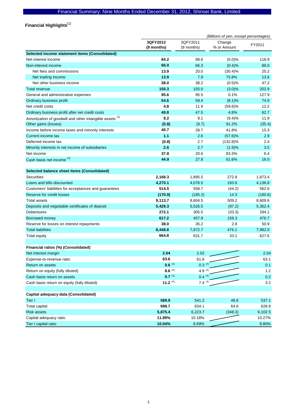Financial Highlights<sup>(1)</sup>

|                                                                     | (Billions of yen, except percentages) |                        |                       |         |
|---------------------------------------------------------------------|---------------------------------------|------------------------|-----------------------|---------|
|                                                                     | 3QFY2012<br>(9 months)                | 3QFY2011<br>(9 months) | Change<br>% or Amount | FY2011  |
| Selected income statement items (Consolidated)                      |                                       |                        |                       |         |
| Net interest income                                                 | 84.2                                  | 88.6                   | (5.0)%                | 116.9   |
| Non-interest income                                                 | 66.0                                  | 66.3                   | (0.4)%                | 86.0    |
| Net fees and commissions                                            | 13.9                                  | 20.0                   | $(30.4)\%$            | 25.2    |
| Net trading income                                                  | 13.9                                  | 7.9                    | 75.8%                 | 13.6    |
| Net other business income                                           | 38.0                                  | 38.2                   | (0.5)%                | 47.2    |
| <b>Total revenue</b>                                                | 150.3                                 | 155.0                  | (3.0)%                | 202.9   |
| General and administrative expenses                                 | 95.6                                  | 95.5                   | 0.1%                  | 127.9   |
| Ordinary business profit                                            | 54.6                                  | 59.4                   | (8.1)%                | 74.9    |
| Net credit costs                                                    | 4.8                                   | 11.9                   | $(59.6)\%$            | 12.2    |
| Ordinary business profit after net credit costs                     | 49.8                                  | 47.5                   | 4.8%                  | 62.7    |
| Amortization of goodwill and other intangible assets <sup>(2)</sup> | 8.2                                   | 9.1                    | (9.4)%                | 11.9    |
| Other gains (losses)                                                | (0.8)                                 | (9.7)                  | 91.2%                 | (35.4)  |
| Income before income taxes and minority interests                   | 40.7                                  | 28.7                   | 41.8%                 | 15.3    |
| Current income tax                                                  | 1.1                                   | 2.6                    | (57.6)%               | 2.9     |
| Deferred income tax                                                 | (0.8)                                 | 2.7                    | $(132.8)\%$           | 2.4     |
| Minority interests in net income of subsidiaries                    | 2.6                                   | 2.7                    | (1.9)%                | 3.5     |
| Net income                                                          | 37.8                                  | 20.6                   | 83.3%                 | 6.4     |
| Cash basis net income (3)                                           | 44.9                                  | 27.8                   | 61.6%                 | 16.0    |
| Selected balance sheet items (Consolidated)                         |                                       |                        |                       |         |
| <b>Securities</b>                                                   | 2,168.3                               | 1,895.5                | 272.8                 | 1,873.4 |
| Loans and bills discounted                                          | 4,270.1                               | 4,076.5                | 193.6                 | 4,136.8 |
| Customers' liabilities for acceptances and guarantees               | 514.5                                 | 558.7                  | (44.2)                | 562.6   |
| Reserve for credit losses                                           | (170.9)                               | (185.2)                | 14.3                  | (180.6) |
| <b>Total assets</b>                                                 | 9,113.7                               | 8,604.5                | 509.2                 | 8,609.6 |
| Deposits and negotiable certificates of deposit                     | 5,429.3                               | 5,526.5                | (97.2)                | 5,362.4 |
| Debentures                                                          | 272.1                                 | 305.5                  | (33.3)                | 294.1   |
| Borrowed money                                                      | 617.2                                 | 457.9                  | 159.3                 | 476.7   |
| Reserve for losses on interest repayments                           | 38.0                                  | 35.2                   | 2.8                   | 50.9    |
| <b>Total liabilities</b>                                            | 8,448.8                               | 7,972.7                | 476.1                 | 7,982.0 |
| <b>Total equity</b>                                                 | 664.8                                 | 631.7                  | 33.1                  | 627.6   |
|                                                                     |                                       |                        |                       |         |
| Financial ratios (%) (Consolidated)                                 |                                       |                        |                       |         |
| Net interest margin                                                 | 2.04                                  | 2.02                   |                       | 2.04    |
| Expense-to-revenue ratio                                            | 63.6                                  | 61.6                   |                       | 63.1    |
| Return on assets                                                    | $0.6^{(4)}$                           | $0.3^{(4)}$            |                       | 0.1     |
| Return on equity (fully diluted)                                    | 8.6 $(4)$                             | 4.9 $(4)$              |                       | 1.2     |
| Cash basis return on assets                                         | $0.7^{(4)}$                           | $0.4^{(4)}$            |                       | 0.2     |
| Cash basis return on equity (fully diluted)                         | 11.2 $(4)$                            | $7.4^{(4)}$            |                       | 3.2     |
| Capital adequacy data (Consolidated)                                |                                       |                        |                       |         |
| Tier I                                                              | 589.9                                 | 541.2                  | 48.6                  | 537.1   |
| Total capital                                                       | 698.7                                 | 634.1                  | 64.6                  | 626.9   |
| <b>Risk assets</b>                                                  | 5,875.4                               | 6,223.7                | (348.3)               | 6,102.5 |
| Capital adequacy ratio                                              | 11.89%                                | 10.18%                 |                       | 10.27%  |
| Tier I capital ratio                                                | 10.04%                                | 8.69%                  |                       | 8.80%   |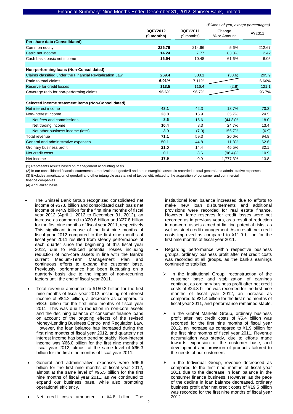|                                                          | (Billions of yen, except percentages) |                        |                       |        |
|----------------------------------------------------------|---------------------------------------|------------------------|-----------------------|--------|
|                                                          | 3QFY2012<br>(9 months)                | 3OFY2011<br>(9 months) | Change<br>% or Amount | FY2011 |
| Per share data (Consolidated)                            |                                       |                        |                       |        |
| Common equity                                            | 226.79                                | 214.66                 | 5.6%                  | 212.67 |
| Basic net income                                         | 14.24                                 | 7.77                   | 83.3%                 | 2.42   |
| Cash basis basic net income                              | 16.94                                 | 10.48                  | 61.6%                 | 6.05   |
|                                                          |                                       |                        |                       |        |
| Non-performing loans (Non-Consolidated)                  |                                       |                        |                       |        |
| Claims classified under the Financial Revitalization Law | 269.4                                 | 308.1                  | (38.6)                | 295.9  |
| Ratio to total claims                                    | 6.01%                                 | 7.11%                  |                       | 6.66%  |
| Reserve for credit losses                                | 113.5                                 | 116.4                  | (2.8)                 | 121.1  |
| Coverage ratio for non-performing claims                 | 96.6%                                 | 96.7%                  |                       | 96.7%  |
|                                                          |                                       |                        |                       |        |
| Selected income statement items (Non-Consolidated)       |                                       |                        |                       |        |
| Net interest income                                      | 48.1                                  | 42.3                   | 13.7%                 | 70.3   |
| Non-interest income                                      | 23.0                                  | 16.9                   | 35.7%                 | 24.5   |
| Net fees and commissions                                 | 8.6                                   | 15.6                   | $(44.8)\%$            | 18.0   |
| Net trading income                                       | 10.4                                  | 8.3                    | 24.7%                 | 13.4   |
| Net other business income (loss)                         | 3.9                                   | (7.0)                  | 155.7%                | (6.9)  |
| Total revenue                                            | 71.1                                  | 59.3                   | 20.0%                 | 94.8   |
| General and administrative expenses                      | 50.1                                  | 44.8                   | 11.8%                 | 62.6   |
| Ordinary business profit                                 | 21.0                                  | 14.4                   | 45.5%                 | 32.1   |
| Net credit costs                                         | 0.1                                   | 8.6                    | $(98.4)\%$            | 10.9   |
| Net income                                               | 17.9                                  | 0.9                    | 1,777.3%              | 13.8   |

(1) Represents results based on management accounting basis.

(2) In our consolidated financial statements, amortization of goodwill and other intangible assets is recorded in total general and administrative expenses. (3) Excludes amortization of goodwill and other intangible assets, net of tax benefit, related to the acquisition of consumer and commercial

finance companies.

- (4) Annualized basis.
- The Shinsei Bank Group recognized consolidated net income of ¥37.8 billion and consolidated cash basis net income of ¥44.9 billion for the first nine months of fiscal year 2012 (April 1, 2012 to December 31, 2012), an increase as compared to ¥20.6 billion and ¥27.8 billion for the first nine months of fiscal year 2011, respectively. This significant increase of the first nine months of fiscal year 2012 compared to the first nine months of fiscal year 2011 resulted from steady performance of each quarter since the beginning of this fiscal year 2012, due to reduced potential losses including reduction of non-core assets in line with the Bank's current Medium-Term Management Plan and continuous efforts to expand the customer base. Previously, performance had been fluctuating on a quarterly basis due to the impact of non-recurring factors until the end of fiscal year 2011.
- Total revenue amounted to ¥150.3 billion for the first nine months of fiscal year 2012, including net interest income of ¥84.2 billion, a decrease as compared to ¥88.6 billion for the first nine months of fiscal year 2011. This was due to reduction in non-core assets and the declining balance of consumer finance loans on account of the ongoing effects of the revised Money-Lending Business Control and Regulation Law. However, the loan balance has increased during the first nine months of fiscal year 2012, and quarterly net interest income has been trending stably. Non-interest income was ¥66.0 billion for the first nine months of fiscal year 2012, almost at the same level of ¥66.3 billion for the first nine months of fiscal year 2011.
- General and administrative expenses were ¥95.6 billion for the first nine months of fiscal year 2012, almost at the same level of ¥95.5 billion for the first nine months of fiscal year 2011, as we continued to expand our business base, while also promoting operational efficiency.
- Net credit costs amounted to ¥4.8 billion. The

institutional loan balance increased due to efforts to make new loan disbursements and additional provisions were recorded for real estate finance. However, large reserves for credit losses were not recorded as in previous years, as a result of reduction in non-core assets aimed at limiting potential risks, as well as strict credit management. As a result, net credit costs improved as compared to ¥11.9 billion for the first nine months of fiscal year 2011.

- Regarding performance within respective business groups, ordinary business profit after net credit costs was recorded at all groups, as the bank's earnings continued to stabilize.
	- In the Institutional Group, reconstruction of the customer base and stabilization of earnings continue, as ordinary business profit after net credit costs of ¥24.3 billion was recorded for the first nine months of fiscal year 2012, an increase as compared to ¥21.4 billion for the first nine months of fiscal year 2011, and performance remained stable.
	- In the Global Markets Group, ordinary business profit after net credit costs of ¥5.4 billion was recorded for the first nine months of fiscal year 2012, an increase as compared to ¥1.9 billion for the first nine months of fiscal year 2011. Revenue accumulation was steady, due to efforts made towards expansion of the customer base, and development and provision of products tailored to the needs of our customers.
	- In the Individual Group, revenue decreased as compared to the first nine months of fiscal year 2011 due to the decrease in loan balance in the consumer finance business. However, as the pace of the decline in loan balance decreased, ordinary business profit after net credit costs of ¥19.5 billion was recorded for the first nine months of fiscal year 2012.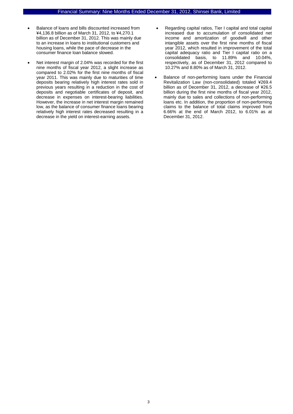- Balance of loans and bills discounted increased from ¥4,136.8 billion as of March 31, 2012, to ¥4,270.1 billion as of December 31, 2012. This was mainly due to an increase in loans to institutional customers and housing loans, while the pace of decrease in the consumer finance loan balance slowed.
- Net interest margin of 2.04% was recorded for the first nine months of fiscal year 2012, a slight increase as compared to 2.02% for the first nine months of fiscal year 2011. This was mainly due to maturities of time deposits bearing relatively high interest rates sold in previous years resulting in a reduction in the cost of deposits and negotiable certificates of deposit, and decrease in expenses on interest-bearing liabilities. However, the increase in net interest margin remained low, as the balance of consumer finance loans bearing relatively high interest rates decreased resulting in a decrease in the yield on interest-earning assets.
- Regarding capital ratios, Tier I capital and total capital increased due to accumulation of consolidated net income and amortization of goodwill and other intangible assets over the first nine months of fiscal year 2012, which resulted in improvement of the total capital adequacy ratio and Tier I capital ratio on a consolidated basis, to 11.89% and 10.04%, respectively, as of December 31, 2012 compared to 10.27% and 8.80% as of March 31, 2012.
- Balance of non-performing loans under the Financial Revitalization Law (non-consolidated) totaled ¥269.4 billion as of December 31, 2012, a decrease of ¥26.5 billion during the first nine months of fiscal year 2012, mainly due to sales and collections of non-performing loans etc. In addition, the proportion of non-performing claims to the balance of total claims improved from 6.66% at the end of March 2012, to 6.01% as at December 31, 2012.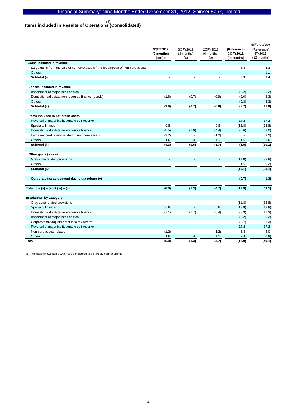# **Items included in Results of Operations (Consolidated)**  (1)

|                                                                                  | 3QFY2012<br>(9 months)<br>$(a)+(b)$ | 3QFY2012<br>(3 months)<br>(a) | 2QFY2012<br>(6 months)<br>(b) | (Reference)<br>3QFY2011<br>(9 months) | (Reference)<br>FY2011<br>(12 months) |
|----------------------------------------------------------------------------------|-------------------------------------|-------------------------------|-------------------------------|---------------------------------------|--------------------------------------|
| Gains included in revenue                                                        |                                     |                               |                               |                                       |                                      |
| Large gains from the sale of non-core assets / the redemption of non-core assets |                                     |                               | L.                            | 6.3                                   | 6.3                                  |
| Others                                                                           |                                     |                               |                               |                                       | 1.1                                  |
| Subtotal (i)                                                                     |                                     |                               |                               | 6.3                                   | 7.4                                  |
| Losses included in revenue                                                       |                                     |                               |                               |                                       |                                      |
| Impairment of major listed shares                                                | ä,                                  | $\sim$                        | $\sim$                        | (5.2)                                 | (5.2)                                |
| Domestic real estate non-recourse finance (bonds)                                | (1.6)                               | (0.7)                         | (0.9)                         | (2.6)                                 | (3.3)                                |
| <b>Others</b>                                                                    |                                     |                               |                               | (0.8)                                 | (3.3)                                |
| Subtotal (ii)                                                                    | (1.6)                               | (0.7)                         | (0.9)                         | (8.7)                                 | (11.9)                               |
| Items included in net credit costs                                               |                                     |                               |                               |                                       |                                      |
| Reversal of major institutional credit reserve                                   | $\sim$                              | ÷                             | ÷,                            | 17.2                                  | 17.2                                 |
| Specialty finance                                                                | 0.8                                 |                               | 0.8                           | (18.8)                                | (18.8)                               |
| Domestic real estate non-recourse finance                                        | (5.5)                               | (1.0)                         | (4.4)                         | (5.6)                                 | (8.0)                                |
| Large net credit costs related to non-core assets                                | (1.2)                               | $\tilde{\phantom{a}}$         | (1.2)                         | ÷,                                    | (2.2)                                |
| Others                                                                           | 1.6                                 | 0.4                           | 1.1                           | 1.6                                   | 1.6                                  |
| Subtotal (iii)                                                                   | (4.3)                               | (0.6)                         | (3.7)                         | (5.5)                                 | (10.1)                               |
| Other gains (losses)                                                             |                                     |                               |                               |                                       |                                      |
| Grey zone related provisions                                                     |                                     |                               | ä,                            | (11.8)                                | (32.8)                               |
| Others                                                                           |                                     |                               |                               | 1.6                                   | (0.2)                                |
| Subtotal (iv)                                                                    |                                     |                               |                               | (10.1)                                | (33.1)                               |
| Corporate tax adjustment due to tax reform (v)                                   |                                     | $\sim$                        |                               | (0.7)                                 | (1.3)                                |
| Total (i) + (ii) + (iii) + (iv) + (v)                                            | (6.0)                               | (1.3)                         | (4.7)                         | (18.9)                                | (49.1)                               |
| <b>Breakdown by Category</b>                                                     |                                     |                               |                               |                                       |                                      |
| Grey zone related provisions                                                     |                                     |                               |                               | (11.8)                                | (32.8)                               |
| Specialty finance                                                                | 0.8                                 |                               | 0.8                           | (18.8)                                | (18.8)                               |
| Domestic real estate non-recourse finance                                        | (7.1)                               | (1.7)                         | (5.4)                         | (8.3)                                 | (11.3)                               |
| Impairment of major listed shares                                                | $\overline{a}$                      | ÷                             | ÷                             | (5.2)                                 | (5.2)                                |
| Corporate tax adjustment due to tax reform                                       | $\blacksquare$                      | $\sim$                        | $\blacksquare$                | (0.7)                                 | (1.3)                                |
| Reversal of major institutional credit reserve                                   | ä,                                  |                               | ä,                            | 17.2                                  | 17.2                                 |
| Non-core assets related                                                          | (1.2)                               | $\blacksquare$                | (1.2)                         | 6.3                                   | 4.0                                  |
| <b>Others</b>                                                                    | 1.6                                 | 0.4                           | 1.1                           | 2.4                                   | (0.8)                                |
| Total                                                                            | (6.0)                               | (1.3)                         | (4.7)                         | (18.9)                                | (49.1)                               |

(1) This table shows items which are considered to be largely non-recurring.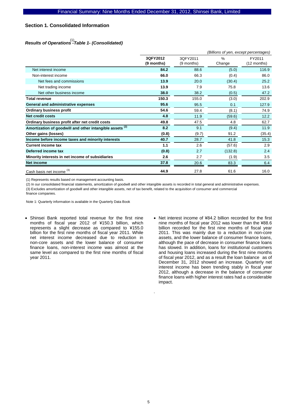# **Section 1. Consolidated Information**

# *Results of Operations -Table 1- (Consolidated)*  (1)

|                                                                     |            | (Billions of yen, except percentages) |               |             |  |  |
|---------------------------------------------------------------------|------------|---------------------------------------|---------------|-------------|--|--|
|                                                                     | 3QFY2012   | 3QFY2011                              | $\frac{0}{0}$ | FY2011      |  |  |
|                                                                     | (9 months) | (9 months)                            | Change        | (12 months) |  |  |
| Net interest income                                                 | 84.2       | 88.6                                  | (5.0)         | 116.9       |  |  |
| Non-interest income                                                 | 66.0       | 66.3                                  | (0.4)         | 86.0        |  |  |
| Net fees and commissions                                            | 13.9       | 20.0                                  | (30.4)        | 25.2        |  |  |
| Net trading income                                                  | 13.9       | 7.9                                   | 75.8          | 13.6        |  |  |
| Net other business income                                           | 38.0       | 38.2                                  | (0.5)         | 47.2        |  |  |
| Total revenue                                                       | 150.3      | 155.0                                 | (3.0)         | 202.9       |  |  |
| General and administrative expenses                                 | 95.6       | 95.5                                  | 0.1           | 127.9       |  |  |
| <b>Ordinary business profit</b>                                     | 54.6       | 59.4                                  | (8.1)         | 74.9        |  |  |
| Net credit costs                                                    | 4.8        | 11.9                                  | (59.6)        | 12.2        |  |  |
| Ordinary business profit after net credit costs                     | 49.8       | 47.5                                  | 4.8           | 62.7        |  |  |
| Amortization of goodwill and other intangible assets <sup>(2)</sup> | 8.2        | 9.1                                   | (9.4)         | 11.9        |  |  |
| Other gains (losses)                                                | (0.8)      | (9.7)                                 | 91.2          | (35.4)      |  |  |
| Income before income taxes and minority interests                   | 40.7       | 28.7                                  | 41.8          | 15.3        |  |  |
| <b>Current income tax</b>                                           | 1.1        | 2.6                                   | (57.6)        | 2.9         |  |  |
| Deferred income tax                                                 | (0.8)      | 2.7                                   | (132.8)       | 2.4         |  |  |
| Minority interests in net income of subsidiaries                    | 2.6        | 2.7                                   | (1.9)         | 3.5         |  |  |
| <b>Net income</b>                                                   | 37.8       | 20.6                                  | 83.3          | 6.4         |  |  |
| Cash basis net income <sup>(3)</sup>                                | 44.9       | 27.8                                  | 61.6          | 16.0        |  |  |

(1) Represents results based on management accounting basis.

(2) In our consolidated financial statements, amortization of goodwill and other intangible assets is recorded in total general and administrative expenses. (3) Excludes amortization of goodwill and other intangible assets, net of tax benefit, related to the acquisition of consumer and commercial finance companies.

Note 1: Quarterly information is available in the Quarterly Data Book

- Shinsei Bank reported total revenue for the first nine months of fiscal year 2012 of ¥150.3 billion, which represents a slight decrease as compared to ¥155.0 billion for the first nine months of fiscal year 2011. While net interest income decreased due to reduction in non-core assets and the lower balance of consumer finance loans, non-interest income was almost at the same level as compared to the first nine months of fiscal year 2011.
- Net interest income of ¥84.2 billion recorded for the first nine months of fiscal year 2012 was lower than the ¥88.6 billion recorded for the first nine months of fiscal year 2011. This was mainly due to a reduction in non-core assets, and the lower balance of consumer finance loans, although the pace of decrease in consumer finance loans has slowed. In addition, loans for institutional customers and housing loans increased during the first nine months of fiscal year 2012, and as a result the loan balance as of December 31, 2012 showed an increase. Quarterly net interest income has been trending stably in fiscal year 2012, although a decrease in the balance of consumer finance loans with higher interest rates had a considerable impact.

.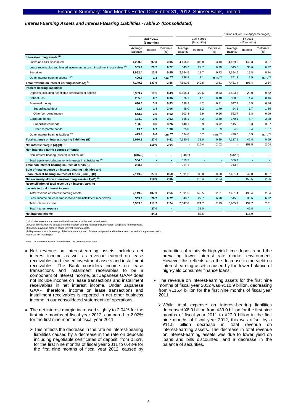#### *Interest-Earning Assets and Interest-Bearing Liabilities -Table 2- (Consolidated)*

|                                                                                         |                        |          |                        |                    |                       |                          |                    |          | (Billions of yen, except percentages) |
|-----------------------------------------------------------------------------------------|------------------------|----------|------------------------|--------------------|-----------------------|--------------------------|--------------------|----------|---------------------------------------|
|                                                                                         | 3QFY2012<br>(9 months) |          | 3QFY2011<br>(9 months) |                    | FY2011<br>(12 months) |                          |                    |          |                                       |
|                                                                                         | Average<br>Balance     | Interest | Yield/rate<br>(%)      | Average<br>Balance | Interest              | Yield/rate<br>(%)        | Average<br>Balance | Interest | Yield/rate<br>$(\% )$                 |
| Interest-earning assets (1):                                                            |                        |          |                        |                    |                       |                          |                    |          |                                       |
| Loans and bills discounted                                                              | 4,230.6                | 97.3     | 3.05                   | 4,166.3            | 106.8                 | 3.40                     | 4,159.8            | 140.3    | 3.37                                  |
| Lease receivables and leased investment assets / installment receivables (1)            | 565.4                  | 26.7     | 6.27                   | 543.7              | 27.7                  | 6.78                     | 545.6              | 36.6     | 6.72                                  |
| Securities                                                                              | 1,952.4                | 12.5     | 0.85                   | 2,544.5            | 13.7                  | 0.72                     | 2,394.6            | 17.8     | 0.74                                  |
| Other interest-earning assets (2)(3)                                                    | 400.6                  | 1.3      | $n.m.$ $(5)$           | 336.9              | 1.1                   | $n.m.$ $(5)$             | 351.3              | 1.5      | $n.m.$ $(5)$                          |
| Total revenue on interest-earning assets (A) <sup>(1)</sup>                             | 7,149.2                | 137.9    | 2.56                   | 7,591.6            | 149.5                 | 2.61                     | 7,451.4            | 196.4    | 2.64                                  |
| Interest-bearing liabilities:                                                           |                        |          |                        |                    |                       |                          |                    |          |                                       |
| Deposits, including negotiable certificates of deposit                                  | 5,389.7                | 17.5     | 0.43                   | 5,655.4            | 22.6                  | 0.53                     | 5,623.5            | 29.0     | 0.52                                  |
| <b>Debentures</b>                                                                       | 285.0                  | 0.7      | 0.36                   | 326.1              | 1.1                   | 0.48                     | 320.5              | 1.4      | 0.46                                  |
| Borrowed money                                                                          | 636.5                  | 3.9      | 0.83                   | 698.9              | 4.2                   | 0.81                     | 647.2              | 5.5      | 0.86                                  |
| Subordinated debt                                                                       | 92.7                   | 1.4      | 2.06                   | 95.0               | 1.2                   | 1.79                     | 94.5               | 1.7      | 1.86                                  |
| Other borrowed money                                                                    | 543.7                  | 2.5      | 0.62                   | 603.8              | 2.9                   | 0.66                     | 552.7              | 3.8      | 0.69                                  |
| Corporate bonds                                                                         | 174.0                  | 3.9      | 3.03                   | 165.1              | 4.2                   | 3.40                     | 170.1              | 5.7      | 3.38                                  |
| Subordinated bonds                                                                      | 150.3                  | 3.6      | 3.26                   | 140.1              | 3.9                   | 3.72                     | 145.6              | 5.3      | 3.67                                  |
| Other corporate bonds                                                                   | 23.6                   | 0.2      | 1.58                   | 25.0               | 0.3                   | 1.59                     | 24.5               | 0.4      | 1.67                                  |
| Other interest-bearing liabilities <sup>(2)</sup>                                       | 425.4                  | 0.6      | n.m. <sup>(5)</sup>    | 534.8              | 0.7                   | n.m. (5)                 | 476.0              | 0.9      | $n.m.$ $(5)$                          |
| Total expense on interest-bearing liabilities (B)                                       | 6,910.8                | 27.0     | 0.52                   | 7,380.5            | 33.0                  | 0.59                     | 7,237.5            | 42.8     | 0.59                                  |
| Net interest margin $(A)$ - $(B)$ <sup>(1)</sup>                                        | Ĭ.                     | 110.9    | 2.04                   | $\blacksquare$     | 116.4                 | 2.02                     | $\blacksquare$     | 153.5    | 2.04                                  |
| Non interest-bearing sources of funds:                                                  |                        |          |                        |                    |                       |                          |                    |          |                                       |
| Non interest-bearing (assets) liabilities, net                                          | (345.9)                |          | $\overline{a}$         | (348.2)            |                       |                          | (342.8)            |          |                                       |
| Total equity excluding minority interests in subsidiaries (4)                           | 584.3                  | ٠        | $\blacksquare$         | 559.3              |                       |                          | 556.7              |          |                                       |
| Total non interest-bearing sources of funds (C)                                         | 238.4                  | ٠        | $\blacksquare$         | 211.1              | $\mathbf{r}$          | $\sim$                   | 213.8              | ÷.       | $\overline{\phantom{a}}$              |
| Sum of total expense on interest-bearing liabilities and                                |                        |          |                        |                    |                       |                          |                    |          |                                       |
| non-interest-bearing sources of funds (D)=(B)+(C)                                       | 7,149.2                | 27.0     | 0.50                   | 7,591.6            | 33.0                  | 0.58                     | 7,451.4            | 42.8     | 0.57                                  |
| Net revenue/yield on interest-earning assets (A)-(D) <sup>(1)</sup>                     | ٠                      | 110.9    | 2.06                   | $\sim$             | 116.4                 | 2.04                     |                    | 153.5    | 2.06                                  |
| Reconciliation of total revenue on interest-earning<br>assets to total interest income: |                        |          |                        |                    |                       |                          |                    |          |                                       |
| Total revenue on interest-earning assets                                                | 7,149.2                | 137.9    | 2.56                   | 7,591.6            | 149.5                 | 2.61                     | 7,451.4            | 196.4    | 2.64                                  |
| Less: Income on lease transactions and installment receivables                          | 565.4                  | 26.7     | 6.27                   | 543.7              | 27.7                  | 6.78                     | 545.6              | 36.6     | 6.72                                  |
| Total interest income                                                                   | 6,583.8                | 111.2    | 2.24                   | 7,047.8            | 121.7                 | 2.29                     | 6,905.7            | 159.7    | 2.31                                  |
| Total interest expense                                                                  | ÷,                     | 27.0     | $\blacksquare$         |                    | 33.0                  |                          |                    | 42.8     |                                       |
| Net interest income                                                                     | $\blacksquare$         | 84.2     | $\blacksquare$         | $\blacksquare$     | 88.6                  | $\overline{\phantom{a}}$ | $\blacksquare$     | 116.9    | $\overline{\phantom{a}}$              |
|                                                                                         |                        |          |                        |                    |                       |                          |                    |          |                                       |

(1) Includes lease transactions and installment receivables and related yields.

(2) Other interest-earning assets and other interest-bearing liabilities include interest swaps and funding swaps. (3) Excludes average balance of non interest-earning assets.

(4) Represents a simple average of the balance at the end of the current period and the balance at the end of the previous period.

 $(5)$  n.m. is not meaningful.

Note 1: Quarterly information is available in the Quarterly Data Book

- Net revenue on interest-earning assets includes net interest income as well as revenue earned on lease receivables and leased investment assets and installment receivables. The Bank considers income on lease transactions and installment receivables to be a component of interest income, but Japanese GAAP does not include income on lease transactions and installment receivables in net interest income. Under Japanese GAAP, therefore, income on lease transactions and installment receivables is reported in net other business income in our consolidated statements of operations.
- The net interest margin increased slightly to 2.04% for the first nine months of fiscal year 2012, compared to 2.02% for the first nine months of fiscal year 2011.
	- $\triangleright$  This reflects the decrease in the rate on interest-bearing liabilities caused by a decrease in the rate on deposits including negotiable certificates of deposit, from 0.53% for the first nine months of fiscal year 2011 to 0.43% for the first nine months of fiscal year 2012, caused by

maturities of relatively high-yield time deposits and the prevailing lower interest rate market environment. However this reflects also the decrease in the yield on interest-earning assets caused by the lower balance of high-yield consumer finance loans.

- The revenue on interest-earning assets for the first nine months of fiscal year 2012 was ¥110.9 billion, decreasing from ¥116.4 billion for the first nine months of fiscal year 2011.
	- ¾ While total expense on interest-bearing liabilities decreased ¥6.0 billion from ¥33.0 billion for the first nine months of fiscal year 2011 to ¥27.0 billion in the first nine months of fiscal year 2012, this was offset by a ¥11.5 billion decrease in total revenue on interest-earning assets. The decrease in total revenue on interest-earning assets was due to lower yield on loans and bills discounted, and a decrease in the balance of securities.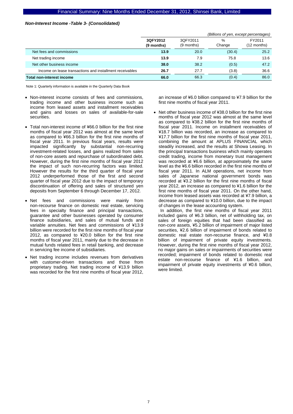#### *Non-Interest Income -Table 3- (Consolidated)*

|                                                          |                        | (Billions of yen, except percentages) |             |                         |  |
|----------------------------------------------------------|------------------------|---------------------------------------|-------------|-------------------------|--|
|                                                          | 3QFY2012<br>(9 months) | 3QFY2011<br>(9 months)                | %<br>Change | FY2011<br>$(12$ months) |  |
| Net fees and commissions                                 | 13.9                   | 20.0                                  | (30.4)      | 25.2                    |  |
| Net trading income                                       | 13.9                   | 7.9                                   | 75.8        | 13.6                    |  |
| Net other business income                                | 38.0                   | 38.2                                  | (0.5)       | 47.2                    |  |
| Income on lease transactions and installment receivables | 26.7                   | 27.7                                  | (3.8)       | 36.6                    |  |
| Total non-interest income                                | 66.0                   | 66.3                                  | (0.4)       | 86.0                    |  |

Note 1: Quarterly information is available in the Quarterly Data Book

- Non-interest income consists of fees and commissions, trading income and other business income such as income from leased assets and installment receivables and gains and losses on sales of available-for-sale securities.
- Total non-interest income of ¥66.0 billion for the first nine months of fiscal year 2012 was almost at the same level as compared to ¥66.3 billion for the first nine months of fiscal year 2011. In previous fiscal years, results were impacted significantly by substantial non-recurring investment-related losses, and gains realized from sales of non-core assets and repurchase of subordinated debt. However, during the first nine months of fiscal year 2012 the impact of such non-recurring factors was limited. However the results for the third quarter of fiscal year 2012 underperformed those of the first and second quarter of fiscal year 2012 due to the impact of temporary discontinuation of offering and sales of structured yen deposits from September 6 through December 17, 2012.
- Net fees and commissions were mainly from non-recourse finance on domestic real estate, servicing fees in specialty finance and principal transactions, guarantee and other businesses operated by consumer finance subsidiaries, and sales of mutual funds and variable annuities. Net fees and commissions of ¥13.9 billion were recorded for the first nine months of fiscal year 2012, as compared to ¥20.0 billion for the first nine months of fiscal year 2011, mainly due to the decrease in mutual funds related fees in retail banking, and decrease in servicing fee income of subsidiaries.
- Net trading income includes revenues from derivatives with customer-driven transactions and those from proprietary trading. Net trading income of ¥13.9 billion was recorded for the first nine months of fiscal year 2012,

an increase of ¥6.0 billion compared to ¥7.9 billion for the first nine months of fiscal year 2011.

• Net other business income of ¥38.0 billion for the first nine months of fiscal year 2012 was almost at the same level as compared to ¥38.2 billion for the first nine months of fiscal year 2011. Income on installment receivables of ¥18.7 billion was recorded, an increase as compared to ¥17.7 billion for the first nine months of fiscal year 2011, combining the amount at APLUS FINANCIAL which steadily increased, and the results at Showa Leasing. In the principal transactions business which mainly operates credit trading, income from monetary trust management was recorded at ¥6.6 billion, at approximately the same level as the ¥6.6 billion recorded in the first nine months of fiscal year 2011. In ALM operations, net income from sales of Japanese national government bonds was recorded at ¥3.2 billion for the first nine months of fiscal year 2012, an increase as compared to ¥1.6 billion for the first nine months of fiscal year 2011. On the other hand, income from leased assets was recorded at ¥7.9 billion, a decrease as compared to ¥10.0 billion, due to the impact

of changes in the lease accounting system. In addition, the first nine months of fiscal year 2011 included gains of ¥6.3 billion, net of withholding tax, on sales of foreign equities that had been classified as non-core assets, ¥5.2 billion of impairment of major listed securities, ¥2.6 billion of impairment of bonds related to domestic real estate non-recourse finance, and ¥0.8 billion of impairment of private equity investments. However, during the first nine months of fiscal year 2012, no major gains on sales or impairments of securities were recorded; impairment of bonds related to domestic real estate non-recourse finance of ¥1.6 billion, and impairment of private equity investments of ¥0.6 billion, were limited.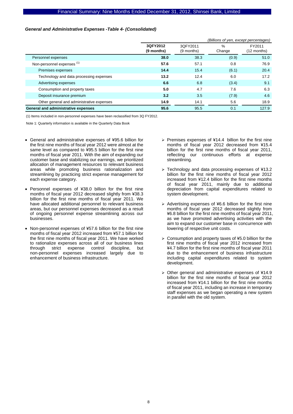### *General and Administrative Expenses -Table 4- (Consolidated)*

|                                           | (Billions of yen, except percentages) |                        |                |                       |
|-------------------------------------------|---------------------------------------|------------------------|----------------|-----------------------|
|                                           | 3QFY2012<br>(9 months)                | 3QFY2011<br>(9 months) | $\%$<br>Change | FY2011<br>(12 months) |
| Personnel expenses                        | 38.0                                  | 38.3                   | (0.9)          | 51.0                  |
| Non-personnel expenses <sup>(1)</sup>     | 57.6                                  | 57.1                   | 0.8            | 76.9                  |
| Premises expenses                         | 14.4                                  | 15.4                   | (6.1)          | 20.4                  |
| Technology and data processing expenses   | 13.2                                  | 12.4                   | 6.0            | 17.2                  |
| Advertising expenses                      | 6.6                                   | 6.8                    | (3.4)          | 9.1                   |
| Consumption and property taxes            | 5.0                                   | 4.7                    | 7.6            | 6.3                   |
| Deposit insurance premium                 | 3.2                                   | 3.5                    | (7.9)          | 4.6                   |
| Other general and administrative expenses | 14.9                                  | 14.1                   | 5.6            | 18.9                  |
| General and administrative expenses       | 95.6                                  | 95.5                   | 0.1            | 127.9                 |

(1) Items included in non-personnel expenses have been reclassified from 3Q FY2012.

- General and administrative expenses of ¥95.6 billion for the first nine months of fiscal year 2012 were almost at the same level as compared to ¥95.5 billion for the first nine months of fiscal year 2011. With the aim of expanding our customer base and stabilizing our earnings, we prioritized allocation of management resources to relevant business areas while promoting business rationalization and streamlining by practicing strict expense management for each expense category.
- Personnel expenses of ¥38.0 billion for the first nine months of fiscal year 2012 decreased slightly from ¥38.3 billion for the first nine months of fiscal year 2011. We have allocated additional personnel to relevant business areas, but our personnel expenses decreased as a result of ongoing personnel expense streamlining across our businesses.
- Non-personnel expenses of ¥57.6 billion for the first nine months of fiscal year 2012 increased from ¥57.1 billion for the first nine months of fiscal year 2011. We have worked to rationalize expenses across all of our business lines through strict expense control discipline, but non-personnel expenses increased largely due to enhancement of business infrastructure.
- ¾ Premises expenses of ¥14.4 billion for the first nine months of fiscal year 2012 decreased from ¥15.4 billion for the first nine months of fiscal year 2011, reflecting our continuous efforts at expense streamlining.
- ¾ Technology and data processing expenses of ¥13.2 billion for the first nine months of fiscal year 2012 increased from ¥12.4 billion for the first nine months of fiscal year 2011, mainly due to additional depreciation from capital expenditures related to system development.
- $\geq$  Advertising expenses of ¥6.6 billion for the first nine months of fiscal year 2012 decreased slightly from ¥6.8 billion for the first nine months of fiscal year 2011, as we have promoted advertising activities with the aim to expand our customer base in concurrence with lowering of respective unit costs.
- $\geq$  Consumption and property taxes of ¥5.0 billion for the first nine months of fiscal year 2012 increased from ¥4.7 billion for the first nine months of fiscal year 2011 due to the enhancement of business infrastructure including capital expenditures related to system development.
- ¾ Other general and administrative expenses of ¥14.9 billion for the first nine months of fiscal year 2012 increased from ¥14.1 billion for the first nine months of fiscal year 2011, including an increase in temporary staff expenses as we began operating a new system in parallel with the old system.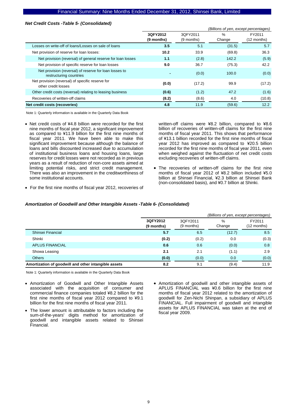#### *Net Credit Costs -Table 5- (Consolidated)*

|                                                                                   | (Billions of yen, except percentages) |                        |             |                       |
|-----------------------------------------------------------------------------------|---------------------------------------|------------------------|-------------|-----------------------|
|                                                                                   | 3QFY2012<br>(9 months)                | 3QFY2011<br>(9 months) | %<br>Change | FY2011<br>(12 months) |
| Losses on write-off of loans/Losses on sale of loans                              | 3.5                                   | 5.1                    | (31.5)      | 5.7                   |
| Net provision of reserve for loan losses:                                         | 10.2                                  | 33.9                   | (69.8)      | 36.3                  |
| Net provision (reversal) of general reserve for loan losses                       | 1.1                                   | (2.8)                  | 142.2       | (5.9)                 |
| Net provision of specific reserve for loan losses                                 | 9.0                                   | 36.7                   | (75.3)      | 42.2                  |
| Net provision (reversal) of reserve for loan losses to<br>restructuring countries |                                       | (0.0)                  | 100.0       | (0.0)                 |
| Net provision (reversal) of specific reserve for<br>other credit losses           | (0.0)                                 | (17.2)                 | 99.9        | (17.2)                |
| Other credit costs (reversal) relating to leasing business                        | (0.6)                                 | (1.2)                  | 47.2        | (1.6)                 |
| Recoveries of written-off claims                                                  | (8.2)                                 | (8.6)                  | 4.0         | (10.8)                |
| Net credit costs (recoveries)                                                     | 4.8                                   | 11.9                   | (59.6)      | 12.2                  |

Note 1: Quarterly information is available in the Quarterly Data Book

• Net credit costs of ¥4.8 billion were recorded for the first nine months of fiscal year 2012, a significant improvement as compared to ¥11.9 billion for the first nine months of fiscal year 2011. We have been able to make this significant improvement because although the balance of loans and bills discounted increased due to accumulation of institutional business loans and housing loans, large reserves for credit losses were not recorded as in previous years as a result of reduction of non-core assets aimed at limiting potential risks, and strict credit management. There was also an improvement in the creditworthiness of some institutional accounts.

written-off claims were ¥8.2 billion, compared to ¥8.6 billion of recoveries of written-off claims for the first nine months of fiscal year 2011. This shows that performance of ¥13.1 billion recorded for the first nine months of fiscal year 2012 has improved as compared to ¥20.5 billion recorded for the first nine months of fiscal year 2011, even when weighed against the fluctuation of net credit costs excluding recoveries of written-off claims.

- The recoveries of written-off claims for the first nine months of fiscal year 2012 of ¥8.2 billion included ¥5.0 billion at Shinsei Financial, ¥2.3 billion at Shinsei Bank (non-consolidated basis), and ¥0.7 billion at Shinki.
- For the first nine months of fiscal year 2012, recoveries of

#### *Amortization of Goodwill and Other Intangible Assets -Table 6- (Consolidated)*

|                                                      |                        |                        | (Billions of yen, except percentages) |                       |
|------------------------------------------------------|------------------------|------------------------|---------------------------------------|-----------------------|
|                                                      | 3QFY2012<br>(9 months) | 3QFY2011<br>(9 months) | %<br>Change                           | FY2011<br>(12 months) |
| Shinsei Financial                                    | 5.7                    | 6.5                    | (12.7)                                | 8.5                   |
| Shinki                                               | (0.2)                  | (0.2)                  | 0.0                                   | (0.3)                 |
| <b>APLUS FINANCIAL</b>                               | 0.6                    | 0.6                    | (0.0)                                 | 0.8                   |
| Showa Leasing                                        | 2.1                    | 2.1                    | (1.1)                                 | 2.9                   |
| <b>Others</b>                                        | (0.0)                  | (0.0)                  | 0.0                                   | (0.0)                 |
| Amortization of goodwill and other intangible assets | 8.2                    | 9.1                    | (9.4)                                 | 11.9                  |

- Amortization of Goodwill and Other Intangible Assets associated with the acquisition of consumer and commercial finance companies totaled ¥8.2 billion for the first nine months of fiscal year 2012 compared to ¥9.1 billion for the first nine months of fiscal year 2011.
- The lower amount is attributable to factors including the sum-of-the-years' digits method for amortization of goodwill and intangible assets related to Shinsei Financial.
- Amortization of goodwill and other intangible assets of APLUS FINANCIAL was ¥0.6 billion for the first nine months of fiscal year 2012 related to the amortization of goodwill for Zen-Nichi Shinpan, a subsidiary of APLUS FINANCIAL. Full impairment of goodwill and intangible assets for APLUS FINANCIAL was taken at the end of fiscal year 2009.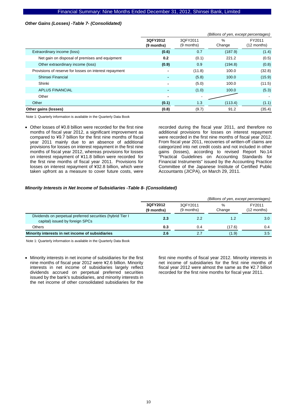### *Other Gains (Losses) -Table 7- (Consolidated)*

|                                                        |                        |                        | (Billions of yen, except percentages) |                       |
|--------------------------------------------------------|------------------------|------------------------|---------------------------------------|-----------------------|
|                                                        | 3QFY2012<br>(9 months) | 3QFY2011<br>(9 months) | %<br>Change                           | FY2011<br>(12 months) |
| Extraordinary income (loss)                            | (0.6)                  | 0.7                    | (187.9)                               | (1.4)                 |
| Net gain on disposal of premises and equipment         | 0.2                    | (0.1)                  | 221.2                                 | (0.5)                 |
| Other extraordinary income (loss)                      | (0.9)                  | 0.9                    | (194.8)                               | (0.8)                 |
| Provisions of reserve for losses on interest repayment |                        | (11.8)                 | 100.0                                 | (32.8)                |
| Shinsei Financial                                      |                        | (5.8)                  | 100.0                                 | (15.9)                |
| Shinki                                                 | $\blacksquare$         | (5.0)                  | 100.0                                 | (11.5)                |
| <b>APLUS FINANCIAL</b>                                 |                        | (1.0)                  | 100.0                                 | (5.3)                 |
| Other                                                  | $\blacksquare$         |                        |                                       |                       |
| Other                                                  | (0.1)                  | 1.3                    | (113.4)                               | (1.1)                 |
| Other gains (losses)                                   | (0.8)                  | (9.7)                  | 91.2                                  | (35.4)                |

Note 1: Quarterly information is available in the Quarterly Data Book

• Other losses of ¥0.8 billion were recorded for the first nine months of fiscal year 2012, a significant improvement as compared to ¥9.7 billion for the first nine months of fiscal year 2011 mainly due to an absence of additional provisions for losses on interest repayment in the first nine months of fiscal year 2012, whereas provisions for losses on interest repayment of ¥11.8 billion were recorded for the first nine months of fiscal year 2011. Provisions for losses on interest repayment of ¥32.8 billion, which were taken upfront as a measure to cover future costs, were

recorded during the fiscal year 2011, and therefore no additional provisions for losses on interest repayment were recorded in the first nine months of fiscal year 2012. From fiscal year 2011, recoveries of written-off claims are categorized into net credit costs and not included in other gains (losses), according to revised Report No.14 "Practical Guidelines on Accounting Standards for Financial Instruments" issued by the Accounting Practice Committee of the Japanese Institute of Certified Public Accountants (JICPA), on March 29, 2011.

#### *Minority Interests in Net Income of Subsidiaries -Table 8- (Consolidated)*

|                                                                                               |                        |                        | (Billions of yen, except percentages) |                       |
|-----------------------------------------------------------------------------------------------|------------------------|------------------------|---------------------------------------|-----------------------|
|                                                                                               | 3QFY2012<br>(9 months) | 30FY2011<br>(9 months) | %<br>Change                           | FY2011<br>(12 months) |
| Dividends on perpetual preferred securities (hybrid Tier I<br>capital) issued by foreign SPCs | 2.3                    | 2.2                    | 1.2                                   | 3.0 <sub>1</sub>      |
| Others                                                                                        | 0.3                    | 0.4                    | (17.6)                                | 0.4                   |
| Minority interests in net income of subsidiaries                                              | 2.6                    | 2.7                    | (1.9)                                 | 3.5                   |

Note 1: Quarterly information is available in the Quarterly Data Book

• Minority interests in net income of subsidiaries for the first nine months of fiscal year 2012 were ¥2.6 billion. Minority interests in net income of subsidiaries largely reflect dividends accrued on perpetual preferred securities issued by the bank's subsidiaries, and minority interests in the net income of other consolidated subsidiaries for the

first nine months of fiscal year 2012. Minority interests in net income of subsidiaries for the first nine months of fiscal year 2012 were almost the same as the ¥2.7 billion recorded for the first nine months for fiscal year 2011.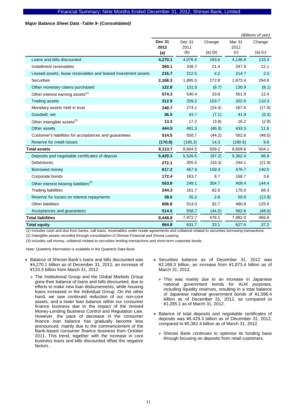#### *Major Balance Sheet Data -Table 9- (Consolidated)*

|                                                               |                       |                |           |                       | (Billions of yen) |
|---------------------------------------------------------------|-----------------------|----------------|-----------|-----------------------|-------------------|
|                                                               | <b>Dec 31</b><br>2012 | Dec 31<br>2011 | Change    | <b>Mar 31</b><br>2012 | Change            |
|                                                               | (a)                   | (b)            | $(a)-(b)$ | (c)                   | $(a)-(c)$         |
| Loans and bills discounted                                    | 4,270.1               | 4,076.5        | 193.6     | 4,136.8               | 133.3             |
| Installment receivables                                       | 360.1                 | 338.7          | 21.4      | 347.9                 | 12.1              |
| Leased assets, lease receivables and leased investment assets | 216.7                 | 212.5          | 4.2       | 214.7                 | 2.0               |
| Securities                                                    | 2,168.3               | 1,895.5        | 272.8     | 1,873.4               | 294.8             |
| Other monetary claims purchased                               | 122.8                 | 131.5          | (8.7)     | 130.9                 | (8.1)             |
| Other interest earning assets <sup>(1)</sup>                  | 574.3                 | 540.4          | 33.8      | 561.9                 | 12.4              |
| <b>Trading assets</b>                                         | 312.9                 | 209.2          | 103.7     | 202.6                 | 110.3             |
| Monetary assets held in trust                                 | 249.7                 | 274.1          | (24.4)    | 267.6                 | (17.9)            |
| Goodwill, net                                                 | 36.5                  | 43.7           | (7.1)     | 41.9                  | (5.3)             |
| Other intangible assets <sup>(2)</sup>                        | 13.3                  | 17.2           | (3.8)     | 16.2                  | (2.8)             |
| Other assets                                                  | 444.9                 | 491.3          | (46.3)    | 433.3                 | 11.6              |
| Customer's liabilities for acceptances and guarantees         | 514.5                 | 558.7          | (44.2)    | 562.6                 | (48.0)            |
| Reserve for credit losses                                     | (170.9)               | (185.2)        | 14.3      | (180.6)               | 9.6               |
| <b>Total assets</b>                                           | 9,113.7               | 8,604.5        | 509.2     | 8,609.6               | 504.1             |
| Deposits and negotiable certificates of deposit               | 5,429.3               | 5,526.5        | (97.2)    | 5,362.4               | 66.9              |
| <b>Debentures</b>                                             | 272.1                 | 305.5          | (33.3)    | 294.1                 | (21.9)            |
| Borrowed money                                                | 617.2                 | 457.9          | 159.3     | 476.7                 | 140.5             |
| Corporate bonds                                               | 172.4                 | 163.7          | 8.7       | 168.7                 | 3.6               |
| Other interest bearing liabilities <sup>(3)</sup>             | 553.8                 | 249.1          | 304.7     | 409.4                 | 144.4             |
| <b>Trading liabilities</b>                                    | 244.3                 | 161.7          | 82.6      | 176.0                 | 68.3              |
| Reserve for losses on interest repayments                     | 38.0                  | 35.2           | 2.8       | 50.9                  | (12.8)            |
| Other liabilities                                             | 606.8                 | 514.0          | 92.7      | 480.8                 | 125.9             |
| Acceptances and guarantees                                    | 514.5                 | 558.7          | (44.2)    | 562.6                 | (48.0)            |
| <b>Total liabilities</b>                                      | 8,448.8               | 7,972.7        | 476.1     | 7,982.0               | 466.8             |
| <b>Total equity</b>                                           | 664.8                 | 631.7          | 33.1      | 627.6                 | 37.2              |

(1) Includes cash and due from banks, call loans, receivables under resale agreements and collateral related to securities borrowing transactions

(2) Intangible assets recorded through consolidation of Shinsei Financial and Showa Leasing

(3) Includes call money, collateral related to securities lending transactions and short-term corporate bonds

- Balance of Shinsei Bank's loans and bills discounted was ¥4,270.1 billion as of December 31, 2012, an increase of ¥133.3 billion from March 31, 2012.
	- $\triangleright$  The Institutional Group and the Global Markets Group grew their balance of loans and bills discounted, due to efforts to make new loan disbursements, while housing loans increased in the Individual Group. On the other hand, we saw continued reduction of our non-core assets, and a lower loan balance within our consumer finance business due to the impact of the revised Money-Lending Business Control and Regulation Law. However, the pace of decrease in the consumer finance loan balance has gradually become less pronounced, mainly due to the commencement of the Bank-based consumer finance business from October 2011. This trend, together with the increase in core business loans and bills discounted offset the negative factors.
- Securities balance as of December 31, 2012 was ¥2,168.3 billion, an increase from ¥1,873.4 billion as of March 31, 2012.
	- ¾ This was mainly due to an increase in Japanese national government bonds for ALM purposes, including liquidity reserves, resulting in a total balance of Japanese national government bonds of ¥1,596.4 billion as of December 31, 2012, as compared to ¥1,285.1 as of March 31, 2012.
- Balance of total deposits and negotiable certificates of deposits was ¥5,429.3 billion as of December 31, 2012, compared to ¥5,362.4 billion as of March 31, 2012.
	- $\triangleright$  Shinsei Bank continues to optimize its funding base through focusing on deposits from retail customers.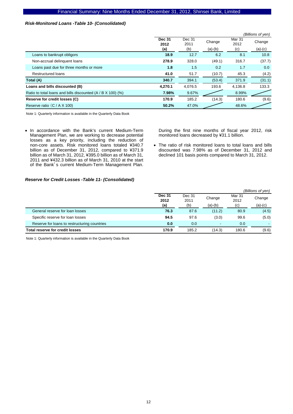#### *Risk-Monitored Loans -Table 10- (Consolidated)*

|                                                             |                       |                |           |                           | (Billions of yen) |
|-------------------------------------------------------------|-----------------------|----------------|-----------|---------------------------|-------------------|
|                                                             | <b>Dec 31</b><br>2012 | Dec 31<br>2011 | Change    | Mar <sub>31</sub><br>2012 | Change            |
|                                                             | (a)                   | (b)            | $(a)-(b)$ | (c)                       | $(a)-(c)$         |
| Loans to bankrupt obligors                                  | 18.9                  | 12.7           | 6.2       | 8.1                       | 10.8              |
| Non-accrual delinquent loans                                | 278.9                 | 328.0          | (49.1)    | 316.7                     | (37.7)            |
| Loans past due for three months or more                     | 1.8                   | 1.5            | 0.2       | 1.7                       | 0.0               |
| <b>Restructured loans</b>                                   | 41.0                  | 51.7           | (10.7)    | 45.3                      | (4.2)             |
| Total (A)                                                   | 340.7                 | 394.1          | (53.4)    | 371.9                     | (31.1)            |
| Loans and bills discounted (B)                              | 4.270.1               | 4,076.5        | 193.6     | 4,136.8                   | 133.3             |
| Ratio to total loans and bills discounted (A / B X 100) (%) | 7.98%                 | 9.67%          |           | 8.99%                     |                   |
| Reserve for credit losses (C)                               | 170.9                 | 185.2          | (14.3)    | 180.6                     | (9.6)             |
| Reserve ratio (C / A X 100)                                 | 50.2%                 | 47.0%          |           | 48.6%                     |                   |

Note 1: Quarterly information is available in the Quarterly Data Book

• In accordance with the Bank's current Medium-Term Management Plan, we are working to decrease potential losses as a key priority, including the reduction of non-core assets. Risk monitored loans totaled ¥340.7 billion as of December 31, 2012, compared to ¥371.9 billion as of March 31, 2012, ¥395.0 billion as of March 31, 2011 and ¥432.3 billion as of March 31, 2010 at the start of the Bank's current Medium-Term Management Plan.

During the first nine months of fiscal year 2012, risk monitored loans decreased by ¥31.1 billion.

• The ratio of risk monitored loans to total loans and bills discounted was 7.98% as of December 31, 2012 and declined 101 basis points compared to March 31, 2012.

# *Reserve for Credit Losses -Table 11- (Consolidated)*

|                                              |                       |                |                          |                | (Billions of yen) |
|----------------------------------------------|-----------------------|----------------|--------------------------|----------------|-------------------|
|                                              | <b>Dec 31</b><br>2012 | Dec 31<br>2011 | Change                   | Mar 31<br>2012 | Change            |
|                                              | (a)                   | (b)            | $(a)-(b)$                | (c)            | $(a)-(c)$         |
| General reserve for loan losses              | 76.3                  | 87.6           | (11.2)                   | 80.9           | (4.5)             |
| Specific reserve for loan losses             | 94.5                  | 97.6           | (3.0)                    | 99.6           | (5.0)             |
| Reserve for loans to restructuring countries | 0.0                   | 0.0            | $\overline{\phantom{a}}$ | 0.0            |                   |
| <b>Total reserve for credit losses</b>       | 170.9                 | 185.2          | (14.3)                   | 180.6          | (9.6)             |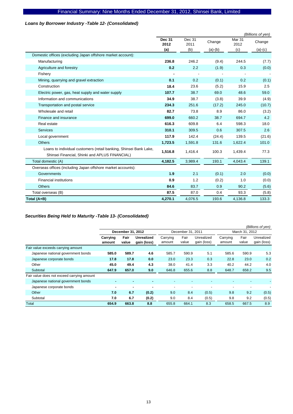# *Loans by Borrower Industry -Table 12- (Consolidated)*

|                                                                                                                     |                       |                |           |                           | (Billions of yen) |
|---------------------------------------------------------------------------------------------------------------------|-----------------------|----------------|-----------|---------------------------|-------------------|
|                                                                                                                     | <b>Dec 31</b><br>2012 | Dec 31<br>2011 | Change    | Mar <sub>31</sub><br>2012 | Change            |
|                                                                                                                     | (a)                   | (b)            | $(a)-(b)$ | (c)                       | $(a)-(c)$         |
| Domestic offices (excluding Japan offshore market account):                                                         |                       |                |           |                           |                   |
| Manufacturing                                                                                                       | 236.8                 | 246.2          | (9.4)     | 244.5                     | (7.7)             |
| Agriculture and forestry                                                                                            | 0.2                   | 2.2            | (1.9)     | 0.3                       | (0.0)             |
| Fishery                                                                                                             |                       |                |           |                           |                   |
| Mining, quarrying and gravel extraction                                                                             | 0.1                   | 0.2            | (0.1)     | 0.2                       | (0.1)             |
| Construction                                                                                                        | 18.4                  | 23.6           | (5.2)     | 15.9                      | 2.5               |
| Electric power, gas, heat supply and water supply                                                                   | 107.7                 | 38.7           | 69.0      | 48.6                      | 59.0              |
| Information and communications                                                                                      | 34.9                  | 38.7           | (3.8)     | 39.9                      | (4.9)             |
| Transportation and postal service                                                                                   | 234.3                 | 251.6          | (17.2)    | 245.0                     | (10.7)            |
| Wholesale and retail                                                                                                | 82.7                  | 73.8           | 8.9       | 86.0                      | (3.2)             |
| Finance and insurance                                                                                               | 699.0                 | 660.2          | 38.7      | 694.7                     | 4.2               |
| Real estate                                                                                                         | 616.3                 | 609.8          | 6.4       | 598.3                     | 18.0              |
| <b>Services</b>                                                                                                     | 310.1                 | 309.5          | 0.6       | 307.5                     | 2.6               |
| Local government                                                                                                    | 117.9                 | 142.4          | (24.4)    | 139.5                     | (21.6)            |
| <b>Others</b>                                                                                                       | 1,723.5               | 1,591.8        | 131.6     | 1,622.4                   | 101.0             |
| Loans to individual customers (retail banking, Shinsei Bank Lake,<br>Shinsei Financial, Shinki and APLUS FINANCIAL) | 1,516.8               | 1,416.4        | 100.3     | 1,439.4                   | 77.3              |
| Total domestic (A)                                                                                                  | 4,182.5               | 3,989.4        | 193.1     | 4,043.4                   | 139.1             |
| Overseas offices (including Japan offshore market accounts):                                                        |                       |                |           |                           |                   |
| Governments                                                                                                         | 1.9                   | 2.1            | (0.1)     | 2.0                       | (0.0)             |
| <b>Financial institutions</b>                                                                                       | 0.9                   | 1.2            | (0.2)     | 1.0                       | (0.0)             |
| <b>Others</b>                                                                                                       | 84.6                  | 83.7           | 0.9       | 90.2                      | (5.6)             |
| Total overseas (B)                                                                                                  | 87.5                  | 87.0           | 0.4       | 93.3                      | (5.8)             |
| Total (A+B)                                                                                                         | 4,270.1               | 4,076.5        | 193.6     | 4,136.8                   | 133.3             |

# *Securities Being Held to Maturity -Table 13- (Consolidated)*

|                                            |                    |               |                           |                          |                          |                           |                          |                          | (Billions of yen)         |
|--------------------------------------------|--------------------|---------------|---------------------------|--------------------------|--------------------------|---------------------------|--------------------------|--------------------------|---------------------------|
|                                            | December 31, 2012  |               |                           | December 31, 2011        |                          |                           | March 31, 2012           |                          |                           |
|                                            | Carrying<br>amount | Fair<br>value | Unrealized<br>gain (loss) | Carrying<br>amount       | Fair<br>value            | Unrealized<br>gain (loss) | Carrying<br>amount       | Fair<br>value            | Unrealized<br>gain (loss) |
| Fair value exceeds carrying amount         |                    |               |                           |                          |                          |                           |                          |                          |                           |
| Japanese national government bonds         | 585.0              | 589.7         | 4.6                       | 585.7                    | 590.9                    | 5.1                       | 585.6                    | 590.9                    | 5.3                       |
| Japanese corporate bonds                   | 17.8               | 17.8          | 0.0                       | 23.0                     | 23.3                     | 0.3                       | 22.8                     | 23.0                     | 0.2                       |
| Other                                      | 45.0               | 49.4          | 4.3                       | 38.0                     | 41.4                     | 3.3                       | 40.2                     | 44.2                     | 4.0                       |
| Subtotal                                   | 647.9              | 657.0         | 9.0                       | 646.8                    | 655.6                    | 8.8                       | 648.7                    | 658.2                    | 9.5                       |
| Fair value does not exceed carrying amount |                    |               |                           |                          |                          |                           |                          |                          |                           |
| Japanese national government bonds         |                    |               |                           |                          |                          |                           |                          |                          |                           |
| Japanese corporate bonds                   | ۰                  |               | ۰                         | $\overline{\phantom{a}}$ | $\overline{\phantom{a}}$ | $\overline{\phantom{0}}$  | $\overline{\phantom{a}}$ | $\overline{\phantom{a}}$ |                           |
| Other                                      | 7.0                | 6.7           | (0.2)                     | 9.0                      | 8.4                      | (0.5)                     | 9.8                      | 9.2                      | (0.5)                     |
| Subtotal                                   | 7.0                | 6.7           | (0.2)                     | 9.0                      | 8.4                      | (0.5)                     | 9.8                      | 9.2                      | (0.5)                     |
| Total                                      | 654.9              | 663.8         | 8.8                       | 655.8                    | 664.1                    | 8.3                       | 658.5                    | 667.5                    | 8.9                       |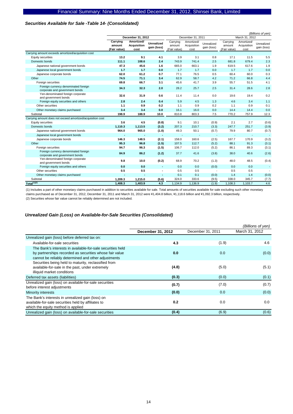#### *Securities Available for Sale -Table 14- (Consolidated)*

|                                                                        |                                    |                                          |                                  |                                    | (Billions of yen)                 |                           |                                    |                                   |                           |
|------------------------------------------------------------------------|------------------------------------|------------------------------------------|----------------------------------|------------------------------------|-----------------------------------|---------------------------|------------------------------------|-----------------------------------|---------------------------|
|                                                                        |                                    | December 31, 2012                        |                                  | December 31, 2011                  |                                   |                           | March 31, 2012                     |                                   |                           |
|                                                                        | Carrying<br>amount<br>(Fair value) | Amortized/<br><b>Acquisition</b><br>cost | <b>Unrealized</b><br>gain (loss) | Carrying<br>amount<br>(Fair value) | Amortized/<br>Acquisition<br>cost | Unrealized<br>gain (loss) | Carrying<br>amount<br>(Fair value) | Amortized/<br>Acquisition<br>cost | Unrealized<br>gain (loss) |
| Carrying amount exceeds amortized/acquisition cost                     |                                    |                                          |                                  |                                    |                                   |                           |                                    |                                   |                           |
| Equity securities                                                      | 13.2                               | 9.1                                      | 4.1                              | 3.9                                | 3.1                               | 0.8                       | 17.1                               | 11.5                              | 5.5                       |
| Domestic bonds                                                         | 111.1                              | 108.6                                    | 2.4                              | 743.9                              | 741.4                             | 2.5                       | 681.8                              | 679.4                             | 2.3                       |
| Japanese national government bonds                                     | 47.3                               | 45.6                                     | 1.6                              | 665.0                              | 663.1                             | 1.9                       | 619.5                              | 617.6                             | 1.9                       |
| Japanese local government bonds                                        | 1.7                                | 1.7                                      | 0.0                              | 1.7                                | 1.7                               | 0.0                       | 1.7                                | 1.7                               | 0.0                       |
| Japanese corporate bonds                                               | 62.0                               | 61.2                                     | 0.7                              | 77.1                               | 76.5                              | 0.5                       | 60.4                               | 60.0                              | 0.3                       |
| Other                                                                  | 74.5                               | 71.1                                     | 3.4                              | 62.9                               | 58.7                              | 4.2                       | 71.2                               | 66.8                              | 4.4                       |
| Foreign securities                                                     | 69.8                               | 66.7                                     | 3.1                              | 45.6                               | 41.7                              | 3.9                       | 55.7                               | 51.5                              | 4.1                       |
| Foreign currency denominated foreign<br>corporate and government bonds | 34.3                               | 32.3                                     | 2.0                              | 28.2                               | 25.7                              | 2.5                       | 31.4                               | 28.6                              | 2.8                       |
| Yen-denominated foreign corporate<br>and government bonds              | 32.6                               | 31.9                                     | 0.6                              | 11.4                               | 11.4                              | 0.0                       | 19.6                               | 19.4                              | 0.2                       |
| Foreign equity securities and others                                   | 2.8                                | 2.4                                      | 0.4                              | 5.9                                | 4.5                               | 1.3                       | 4.6                                | 3.4                               | 1.1                       |
| Other securities                                                       | 1.1                                | 0.9                                      | 0.2                              | 1.1                                | 0.9                               | 0.2                       | 1.1                                | 0.9                               | 0.1                       |
| Other monetary claims purchased                                        | 3.4                                | 3.4                                      | 0.0                              | 16.1                               | 16.0                              | 0.0                       | 14.4                               | 14.4                              | 0.0                       |
| Subtotal                                                               | 198.9                              | 188.9                                    | 10.0                             | 810.8                              | 803.3                             | 7.5                       | 770.2                              | 757.9                             | 12.3                      |
| Carrying amount does not exceed amortized/acquisition cost             |                                    |                                          |                                  |                                    |                                   |                           |                                    |                                   |                           |
| Equity securities                                                      | 3.6                                | 4.5                                      | (0.8)                            | 9.1                                | 10.1                              | (0.9)                     | 2.1                                | 2.7                               | (0.6)                     |
| Domestic bonds                                                         | 1,110.3                            | 1,113.5                                  | (3.2)                            | 207.3                              | 210.7                             | (3.3)                     | 247.7                              | 251.7                             | (3.9)                     |
| Japanese national government bonds                                     | 964.0                              | 965.0                                    | (1.0)                            | 49.3                               | 50.1                              | (0.7)                     | 79.9                               | 80.7                              | (0.7)                     |
| Japanese local government bonds                                        |                                    |                                          | $\blacksquare$                   |                                    |                                   |                           |                                    | $\overline{\phantom{a}}$          |                           |
| Japanese corporate bonds                                               | 146.3                              | 148.5                                    | (2.1)                            | 158.0                              | 160.6                             | (2.5)                     | 167.7                              | 170.9                             | (3.2)                     |
| Other                                                                  | 95.3                               | 96.8                                     | (1.5)                            | 107.5                              | 112.7                             | (5.2)                     | 88.1                               | 91.3                              | (3.1)                     |
| Foreign securities                                                     | 94.7                               | 96.3                                     | (1.5)                            | 106.7                              | 112.0                             | (5.2)                     | 86.1                               | 89.3                              | (3.1)                     |
| Foreign currency denominated foreign<br>corporate and government bonds | 84.9                               | 86.2                                     | (1.2)                            | 37.7                               | 41.6                              | (3.8)                     | 38.0                               | 40.6                              | (2.6)                     |
| Yen-denominated foreign corporate<br>and government bonds              | 9.8                                | 10.0                                     | (0.2)                            | 68.9                               | 70.2                              | (1.3)                     | 48.0                               | 48.5                              | (0.4)                     |
| Foreign equity securities and others                                   | 0.0                                | 0.0                                      | ٠                                | 0.0                                | 0.0                               | (0.0)                     | 0.0                                | 0.0                               |                           |
| Other securities                                                       | 0.5                                | 0.5                                      | $\blacksquare$                   | 0.5                                | 0.5                               |                           | 0.5                                | 0.5                               |                           |
| Other monetary claims purchased                                        |                                    |                                          | ٠                                | 0.1                                | 0.1                               | (0.0)                     | 1.4                                | 1.4                               | (0.0)                     |
| Subtotal                                                               | 1.209.3                            | 1,215.0                                  | (5.6)                            | 324.0                              | 333.6                             | (9.5)                     | 338.0                              | 345.7                             | (7.7)                     |
| Total <sup>(1)(2)</sup>                                                | 1.408.3                            | 1.403.9                                  | 4.3                              | 1,134.9                            | 1,136.9                           | (1.9)                     | 1,108.3                            | 1,103.7                           | 4.6                       |

(1) Includes a part of other monetary claims purchased in addition to securities available for sale. Total amounts of securities available for sale excluding such other monetary claims purchased as of December 31, 2012, December 31, 2011 and March 31, 2012 were ¥1,404.8 billion, ¥1,118.6 billion and ¥1,092.3 billion, respectively. (2) Securities whose fair value cannot be reliably determined are not included.

#### *Unrealized Gain (Loss) on Available-for-Sale Securities (Consolidated)*

|                                                                                                                                                                              |                   |                   | (Billions of yen) |
|------------------------------------------------------------------------------------------------------------------------------------------------------------------------------|-------------------|-------------------|-------------------|
|                                                                                                                                                                              | December 31, 2012 | December 31, 2011 | March 31, 2012    |
| Unrealized gain (loss) before deferred tax on:                                                                                                                               |                   |                   |                   |
| Available-for-sale securities                                                                                                                                                | 4.3               | (1.9)             | 4.6               |
| The Bank's interests in available-for-sale securities held<br>by partnerships recorded as securities whose fair value<br>cannot be reliably determined and other adjustments | 0.0               | 0.0               | (0.0)             |
| Securities being held to maturity, reclassified from<br>available-for-sale in the past, under extremely<br>illiquid market conditions                                        | (4.8)             | (5.0)             | (5.1)             |
| Deferred tax assets (liabilities)                                                                                                                                            | (0.3)             | (0.0)             | (0.1)             |
| Unrealized gain (loss) on available-for-sale securities<br>before interest adjustments                                                                                       | (0.7)             | (7.0)             | (0.7)             |
| Minority interests                                                                                                                                                           | (0.0)             | 0.0               | (0.0)             |
| The Bank's interests in unrealized gain (loss) on<br>available-for-sale securities held by affiliates to<br>which the equity method is applied                               | 0.2               | 0.0               | 0.0               |
| Unrealized gain (loss) on available-for-sale securities                                                                                                                      | (0.4)             | (6.9)             | (0.6)             |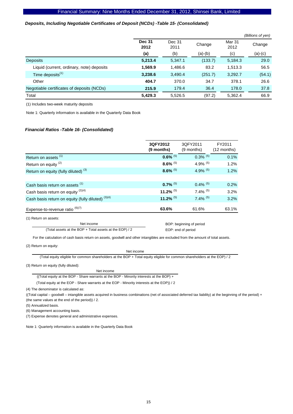#### *Deposits, Including Negotiable Certificates of Deposit (NCDs) -Table 15- (Consolidated)*

|                                            |                       |                |           |                | (Billions of yen) |
|--------------------------------------------|-----------------------|----------------|-----------|----------------|-------------------|
|                                            | <b>Dec 31</b><br>2012 | Dec 31<br>2011 | Change    | Mar 31<br>2012 | Change            |
|                                            | (a)                   | (b)            | $(a)-(b)$ | (c)            | (a)-(c)           |
| <b>Deposits</b>                            | 5,213.4               | 5,347.1        | (133.7)   | 5,184.3        | 29.0              |
| Liquid (current, ordinary, note) deposits  | 1,569.9               | 1,486.6        | 83.2      | 1,513.3        | 56.5              |
| Time deposits <sup>(1)</sup>               | 3,238.6               | 3,490.4        | (251.7)   | 3,292.7        | (54.1)            |
| Other                                      | 404.7                 | 370.0          | 34.7      | 378.1          | 26.6              |
| Negotiable certificates of deposits (NCDs) | 215.9                 | 179.4          | 36.4      | 178.0          | 37.8              |
| Total                                      | 5,429.3               | 5,526.5        | (97.2)    | 5,362.4        | 66.9              |

(1) Includes two-week maturity deposits

Note 1: Quarterly information is available in the Quarterly Data Book

#### *Financial Ratios -Table 16- (Consolidated)*

|                                                                                                                                  | 3QFY2012<br>(9 months) | 3QFY2011<br>(9 months)   | FY2011<br>$(12$ months) |
|----------------------------------------------------------------------------------------------------------------------------------|------------------------|--------------------------|-------------------------|
| Return on assets <sup>(1)</sup>                                                                                                  | $0.6\%$ <sup>(5)</sup> | $0.3\%$ (5)              | 0.1%                    |
| Return on equity <sup>(2)</sup>                                                                                                  | $8.6\%$ <sup>(5)</sup> | 4.9% $(5)$               | 1.2%                    |
| Return on equity (fully diluted) <sup>(3)</sup>                                                                                  | $8.6\%$ <sup>(5)</sup> | 4.9% $(5)$               | 1.2%                    |
|                                                                                                                                  |                        |                          |                         |
| Cash basis return on assets (1)                                                                                                  | $0.7\%$ <sup>(5)</sup> | $0.4\%$ <sup>(5)</sup>   | 0.2%                    |
| Cash basis return on equity $(2)(4)$                                                                                             | 11.2% $(5)$            | $7.4\%$ <sup>(5)</sup>   | 3.2%                    |
| Cash basis return on equity (fully diluted) (3)(4)                                                                               | 11.2% $(5)$            | $7.4\%$ <sup>(5)</sup>   | 3.2%                    |
| Expense-to-revenue ratio (6)(7)                                                                                                  | 63.6%                  | 61.6%                    | 63.1%                   |
| (1) Return on assets:                                                                                                            |                        |                          |                         |
| Net income                                                                                                                       |                        | BOP: beginning of period |                         |
| (Total assets at the BOP + Total assets at the EOP) / 2                                                                          |                        | EOP: end of period       |                         |
| For the calculation of cash basis return on assets, goodwill and other intangibles are excluded from the amount of total assets. |                        |                          |                         |

(2) Return on equity:

Net income

(Total equity eligible for common shareholders at the BOP + Total equity eligible for common shareholders at the EOP) / 2

(3) Return on equity (fully diluted):

#### Net income

((Total equity at the BOP - Share warrants at the BOP - Minority interests at the BOP) +

(Total equity at the EOP - Share warrants at the EOP - Minority interests at the EOP)) / 2

(4) The denominator is calculated as:

((Total capital – goodwill – intangible assets acquired in business combinations (net of associated deferred tax liability) at the beginning of the period) + (the same values at the end of the period)) / 2.

(5) Annualized basis.

(6) Management accounting basis.

(7) Expense denotes general and administrative expenses.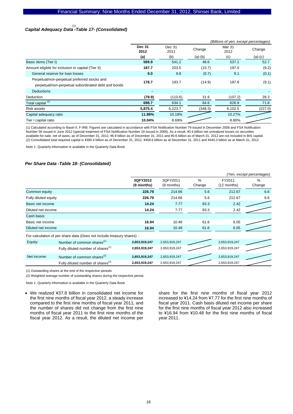# *Capital Adequacy Data -Table 17- (Consolidated)*  (1)

|                                                     | (Billions of yen, except percentages) |                          |           |                           |           |  |
|-----------------------------------------------------|---------------------------------------|--------------------------|-----------|---------------------------|-----------|--|
|                                                     | <b>Dec 31</b><br>2012                 | Dec 31<br>Change<br>2011 |           | Mar <sub>31</sub><br>2012 | Change    |  |
|                                                     | (a)                                   | (b)                      | $(a)-(b)$ | (c)                       | $(a)-(c)$ |  |
| Basic items (Tier I)                                | 589.9                                 | 541.2                    | 48.6      | 537.1                     | 52.7      |  |
| Amount eligible for inclusion in capital (Tier II)  | 187.7                                 | 203.5                    | (15.7)    | 197.0                     | (9.2)     |  |
| General reserve for loan losses                     | 9.0                                   | 9.8                      | (0.7)     | 9.1                       | (0.1)     |  |
| Perpetual/non-perpetual preferred stocks and        | 178.7                                 | 193.7                    | (14.9)    | 187.8                     | (9.1)     |  |
| perpetual/non-perpetual subordinated debt and bonds |                                       |                          |           |                           |           |  |
| <b>Deductions</b>                                   | ۰                                     | $\overline{\phantom{a}}$ |           |                           |           |  |
| Deduction                                           | (78.9)                                | (110.6)                  | 31.6      | (107.2)                   | 28.3      |  |
| Total capital <sup>(2)</sup>                        | 698.7                                 | 634.1                    | 64.6      | 626.9                     | 71.8      |  |
| Risk assets                                         | 5,875.4                               | 6,223.7                  | (348.3)   | 6,102.5                   | (227.0)   |  |
| Capital adequacy ratio                              | 11.89%                                | 10.18%                   |           | 10.27%                    |           |  |
| Tier I capital ratio                                | 10.04%                                | 8.69%                    |           | 8.80%                     |           |  |

(1) Calculated according to Basel II, F-IRB. Figures are calculated in accordance with FSA Notification Number 79 issued in December 2008 and FSA Notification Number 56 issued in June 2012 (special treatment of FSA Notification Number 19 issued in 2006). As a result, \0.4 billion net unrealized losses on securities available-for-sale, net of taxes, as of December 31, 2012, \6.9 billion as of December 31, 2011 and \0.6 billion as of March 31, 2012 are not included in BIS capital. (2) Consolidated total required capital is ¥390.4 billion as of December 31, 2012, ¥458.6 billion as at December 31, 2011 and ¥440.3 billion as at March 31, 2012.

Note 1: Quarterly information is available in the Quarterly Data Book

#### *Per Share Data -Table 18- (Consolidated)*

|                      |                                                                        |                        |                        |                |                       | (Yen, except percentages) |
|----------------------|------------------------------------------------------------------------|------------------------|------------------------|----------------|-----------------------|---------------------------|
|                      |                                                                        | 3QFY2012<br>(9 months) | 3QFY2011<br>(9 months) | $\%$<br>Change | FY2011<br>(12 months) | $\%$<br>Change            |
| Common equity        |                                                                        | 226.79                 | 214.66                 | 5.6            | 212.67                | 6.6                       |
| Fully diluted equity |                                                                        | 226.79                 | 214.66                 | 5.6            | 212.67                | 6.6                       |
| Basic net income     |                                                                        | 14.24                  | 7.77                   | 83.3           | 2.42                  |                           |
| Diluted net income   |                                                                        | 14.24                  | 7.77                   | 83.3           | 2.42                  |                           |
| Cash basis:          |                                                                        |                        |                        |                |                       |                           |
| Basic net income     |                                                                        | 16.94                  | 10.48                  | 61.6           | 6.05                  |                           |
| Diluted net income   |                                                                        | 16.94                  | 10.48                  | 61.6           | 6.05                  |                           |
|                      | For calculation of per share data (Does not include treasury shares) : |                        |                        |                |                       |                           |
| Equity:              | Number of common shares <sup>(1)</sup>                                 | 2,653,919,247          | 2,653,919,247          |                | 2,653,919,247         |                           |
|                      | Fully diluted number of shares <sup>(1)</sup>                          | 2,653,919,247          | 2,653,919,247          |                | 2,653,919,247         |                           |
| Net income:          | Number of common shares <sup>(2)</sup>                                 | 2,653,919,247          | 2,653,919,247          |                | 2,653,919,247         |                           |
|                      | Fully diluted number of shares <sup>(2)</sup>                          | 2,653,919,247          | 2,653,919,247          |                | 2,653,919,247         |                           |

(1) Outstanding shares at the end of the respective periods.

(2) Weighted average number of outstanding shares during the respective period.

Note 1: Quarterly information is available in the Quarterly Data Book

• We realized ¥37.8 billion in consolidated net income for the first nine months of fiscal year 2012, a steady increase compared to the first nine months of fiscal year 2011, and the number of shares did not change from the first nine months of fiscal year 2011 to the first nine months of the fiscal year 2012. As a result, the diluted net income per

share for the first nine months of fiscal year 2012 increased to ¥14.24 from ¥7.77 for the first nine months of fiscal year 2011. Cash basis diluted net income per share for the first nine months of fiscal year 2012 also increased to ¥16.94 from ¥10.48 for the first nine months of fiscal year 2011.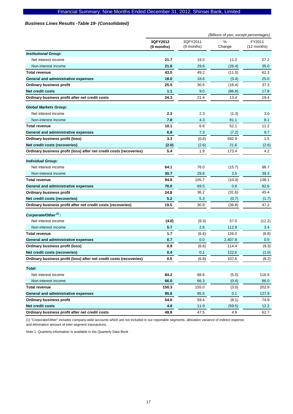# *Business Lines Results -Table 19- (Consolidated)*

|                                                                     |                        |                        | (Billions of yen, except percentages) |                       |
|---------------------------------------------------------------------|------------------------|------------------------|---------------------------------------|-----------------------|
|                                                                     | 3QFY2012<br>(9 months) | 3QFY2011<br>(9 months) | %<br>Change                           | FY2011<br>(12 months) |
| <b>Institutional Group:</b>                                         |                        |                        |                                       |                       |
| Net interest income                                                 | 21.7                   | 19.5                   | 11.2                                  | 27.2                  |
| Non-interest income                                                 | 21.8                   | 29.6                   | (26.4)                                | 35.0                  |
| <b>Total revenue</b>                                                | 43.5                   | 49.2                   | (11.5)                                | 62.3                  |
| <b>General and administrative expenses</b>                          | 18.0                   | 18.6                   | (3.4)                                 | 25.0                  |
| <b>Ordinary business profit</b>                                     | 25.5                   | 30.5                   | (16.4)                                | 37.3                  |
| <b>Net credit costs</b>                                             | 1.1                    | 9.0                    | (86.8)                                | 17.8                  |
| Ordinary business profit after net credit costs                     | 24.3                   | 21.4                   | 13.4                                  | 19.4                  |
| <b>Global Markets Group:</b>                                        |                        |                        |                                       |                       |
| Net interest income                                                 | 2.3                    | 2.3                    | (1.3)                                 | 3.0                   |
| Non-interest income                                                 | 7.8                    | 4.3                    | 81.1                                  | 8.1                   |
| <b>Total revenue</b>                                                | 10.1                   | 6.6                    | 52.1                                  | 11.2                  |
| General and administrative expenses                                 | 6.8                    | 7.3                    | (7.2)                                 | 9.7                   |
| <b>Ordinary business profit (loss)</b>                              | 3.3                    | (0.6)                  | 592.9                                 | 1.5                   |
| Net credit costs (recoveries)                                       | (2.0)                  | (2.6)                  | 21.6                                  | (2.6)                 |
| Ordinary business profit (loss) after net credit costs (recoveries) | 5.4                    | 1.9                    | 173.4                                 | 4.2                   |
| <b>Individual Group:</b>                                            |                        |                        |                                       |                       |
| Net interest income                                                 | 64.1                   | 76.0                   | (15.7)                                | 98.7                  |
| Non-interest income                                                 | 30.7                   | 29.6                   | 3.5                                   | 39.3                  |
| <b>Total revenue</b>                                                | 94.8                   | 105.7                  | (10.3)                                | 138.1                 |
| General and administrative expenses                                 | 70.0                   | 69.5                   | 0.8                                   | 92.6                  |
| <b>Ordinary business profit</b>                                     | 24.8                   | 36.2                   | (31.6)                                | 45.4                  |
| Net credit costs (recoveries)                                       | 5.2                    | 5.3                    | (0.7)                                 | (1.7)                 |
| Ordinary business profit after net credit costs (recoveries)        | 19.5                   | 30.9                   | (36.8)                                | 47.2                  |
| Corporate/Other <sup>(1)</sup> :                                    |                        |                        |                                       |                       |
| Net interest income                                                 | (4.0)                  | (9.3)                  | 57.0                                  | (12.2)                |
| Non-interest income                                                 | 5.7                    | 2.6                    | 112.9                                 | 3.4                   |
| <b>Total revenue</b>                                                | $1.7$                  | (6.6)                  | 126.0                                 | (8.8)                 |
| General and administrative expenses                                 | 0.7                    | 0.0                    | 2,407.9                               | 0.5                   |
| Ordinary business profit (loss)                                     | 0.9                    | (6.6)                  | 114.4                                 | (9.3)                 |
| Net credit costs (recoveries)                                       | 0.4                    | 0.1                    | 122.6                                 | (1.0)                 |
| Ordinary business profit (loss) after net credit costs (recoveries) | 0.5                    | (6.8)                  | 107.6                                 | (8.2)                 |
| Total:                                                              |                        |                        |                                       |                       |
| Net interest income                                                 | 84.2                   | 88.6                   | (5.0)                                 | 116.9                 |
| Non-interest income                                                 | 66.0                   | 66.3                   | (0.4)                                 | 86.0                  |
| <b>Total revenue</b>                                                | 150.3                  | 155.0                  | (3.0)                                 | 202.9                 |
| <b>General and administrative expenses</b>                          | 95.6                   | 95.5                   | 0.1                                   | 127.9                 |
| <b>Ordinary business profit</b>                                     | 54.6                   | 59.4                   | (8.1)                                 | 74.9                  |
| Net credit costs                                                    | 4.8                    | 11.9                   | (59.5)                                | 12.2                  |
| Ordinary business profit after net credit costs                     | 49.8                   | 47.5                   | 4.8                                   | 62.7                  |

(1) "Corporate/Other" includes company-wide accounts which are not included in our reportable segments, allocation variance of indirect expense and elimination amount of inter-segment transactions.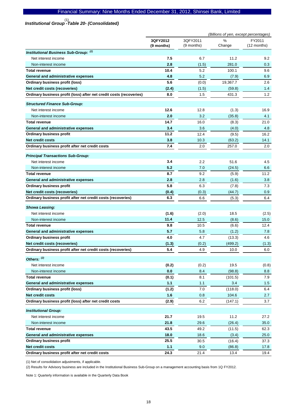# *Institutional Group -Table 20- (Consolidated)*  (1)

|                                                                     | (Billions of yen, except percentages) |                        |             |                       |
|---------------------------------------------------------------------|---------------------------------------|------------------------|-------------|-----------------------|
|                                                                     | 3QFY2012<br>(9 months)                | 3QFY2011<br>(9 months) | %<br>Change | FY2011<br>(12 months) |
| Institutional Business Sub-Group: (2)                               |                                       |                        |             |                       |
| Net interest income                                                 | 7.5                                   | 6.7                    | 11.2        | 9.2                   |
| Non-interest income                                                 | 2.8                                   | (1.5)                  | 281.0       | 0.3                   |
| <b>Total revenue</b>                                                | 10.4                                  | 5.2                    | 100.1       | 9.6                   |
| General and administrative expenses                                 | 4.8                                   | 5.2                    | (7.9)       | 6.9                   |
| Ordinary business profit (loss)                                     | 5.6                                   | (0.0)                  | 19,367.7    | 2.6                   |
| Net credit costs (recoveries)                                       | (2.4)                                 | (1.5)                  | (59.8)      | 1.4                   |
| Ordinary business profit (loss) after net credit costs (recoveries) | 8.0                                   | 1.5                    | 431.3       | 1.2                   |
| <b>Structured Finance Sub-Group:</b>                                |                                       |                        |             |                       |
| Net interest income                                                 | 12.6                                  | 12.8                   | (1.3)       | 16.9                  |
| Non-interest income                                                 | 2.0                                   | 3.2                    | (35.8)      | 4.1                   |
| <b>Total revenue</b>                                                | 14.7                                  | 16.0                   | (8.3)       | 21.0                  |
| General and administrative expenses                                 | 3.4                                   | 3.6                    | (4.0)       | 4.8                   |
| <b>Ordinary business profit</b>                                     | 11.2                                  | 12.4                   | (9.5)       | 16.2                  |
| <b>Net credit costs</b>                                             | 3.8                                   | 10.3                   | (63.2)      | 14.1                  |
| Ordinary business profit after net credit costs                     | 7.4                                   | 2.0                    | 257.0       | 2.0                   |
| <b>Principal Transactions Sub-Group:</b>                            |                                       |                        |             |                       |
| Net interest income                                                 | 3.4                                   | 2.2                    | 51.6        | 4.5                   |
| Non-interest income                                                 | 5.2                                   | 7.0                    | (24.5)      | 6.6                   |
| <b>Total revenue</b>                                                | 8.7                                   | 9.2                    | (5.9)       | 11.2                  |
| General and administrative expenses                                 | 2.8                                   | 2.8                    | (1.6)       | 3.8                   |
| <b>Ordinary business profit</b>                                     | 5.8                                   | 6.3                    | (7.8)       | 7.3                   |
| Net credit costs (recoveries)                                       | (0.4)                                 | (0.3)                  | (44.7)      | 0.9                   |
| Ordinary business profit after net credit costs (recoveries)        | 6.3                                   | 6.6                    | (5.3)       | 6.4                   |
| <b>Showa Leasing:</b>                                               |                                       |                        |             |                       |
| Net interest income                                                 | (1.6)                                 | (2.0)                  | 18.5        | (2.5)                 |
| Non-interest income                                                 | 11.4                                  | 12.5                   | (8.6)       | 15.0                  |
| <b>Total revenue</b>                                                | 9.8                                   | 10.5                   | (6.6)       | 12.4                  |
| General and administrative expenses                                 | 5.7                                   | 5.8                    | (1.2)       | 7.8                   |
| <b>Ordinary business profit</b>                                     | 4.0                                   | 4.7                    | (13.3)      | 4.6                   |
| Net credit costs (recoveries)                                       | (1.3)                                 | (0.2)                  | (499.2)     | (1.3)                 |
| Ordinary business profit after net credit costs (recoveries)        | 5.4                                   | 4.9                    | 10.0        | 6.0                   |
| Others: (2)                                                         |                                       |                        |             |                       |
| Net interest income                                                 | (0.2)                                 | (0.2)                  | 19.5        | (0.8)                 |
| Non-interest income                                                 | 0.0                                   | 8.4                    | (98.8)      | 8.8                   |
| <b>Total revenue</b>                                                | (0.1)                                 | 8.1                    | (101.5)     | 7.9                   |
| General and administrative expenses                                 | 1.1                                   | 1.1                    | 3.4         | 1.5                   |
| Ordinary business profit (loss)                                     | (1.2)                                 | 7.0                    | (118.0)     | 6.4                   |
| Net credit costs                                                    | 1.6                                   | 0.8                    | 104.6       | 2.7                   |
| Ordinary business profit (loss) after net credit costs              | (2.9)                                 | 6.2                    | (147.1)     | 3.7                   |
| <b>Institutional Group:</b>                                         |                                       |                        |             |                       |
| Net interest income                                                 | 21.7                                  | 19.5                   | 11.2        | 27.2                  |
| Non-interest income                                                 | 21.8                                  | 29.6                   | (26.4)      | 35.0                  |
| <b>Total revenue</b>                                                | 43.5                                  | 49.2                   | (11.5)      | 62.3                  |
| General and administrative expenses                                 | 18.0                                  | 18.6                   | (3.4)       | 25.0                  |
| Ordinary business profit                                            | 25.5                                  | 30.5                   | (16.4)      | 37.3                  |
| <b>Net credit costs</b>                                             | 1.1                                   | 9.0                    | (86.8)      | 17.8                  |
| Ordinary business profit after net credit costs                     | 24.3                                  | 21.4                   | 13.4        | 19.4                  |

(1) Net of consolidation adjustments, if applicable.

(2) Results for Advisory business are included in the Institutional Business Sub-Group on a management accounting basis from 1Q FY2012.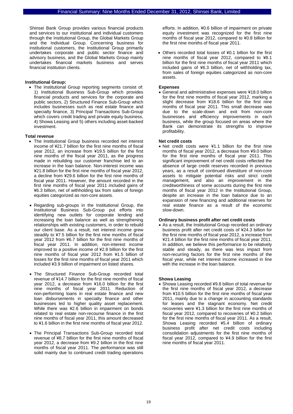Shinsei Bank Group provides various financial products and services to our institutional and individual customers through the Institutional Group, the Global Markets Group and the Individual Group. Concerning business for institutional customers, the Institutional Group primarily undertakes corporate and public sector finance and advisory business, and the Global Markets Group mainly undertakes financial markets business and serves financial institution clients.

#### **Institutional Group:**

• The Institutional Group reporting segments consist of: 1) Institutional Business Sub-Group which provides financial products and services for the corporate and public sectors, 2) Structured Finance Sub-Group which includes businesses such as real estate finance and specialty finance, 3) Principal Transactions Sub-Group which covers credit trading and private equity business, 4) Showa Leasing and 5) others including asset-backed investment.

#### **Total revenue**

- The Institutional Group business recorded net interest income of ¥21.7 billion for the first nine months of fiscal year 2012, an increase from ¥19.5 billion for the first nine months of the fiscal year 2011, as the progress made in rebuilding our customer franchise led to an increase in the loan balance. Non-interest income was ¥21.8 billion for the first nine months of fiscal year 2012, a decline from ¥29.6 billion for the first nine months of fiscal year 2011. However, the amount recorded in the first nine months of fiscal year 2011 included gains of ¥6.3 billion, net of withholding tax from sales of foreign equities categorized as non-core assets.
- Regarding sub-groups in the Institutional Group, the Institutional Business Sub-Group put efforts into identifying new outlets for corporate lending and increasing the loan balance as well as strengthening relationships with existing customers, in order to rebuild our client base. As a result, net interest income grew steadily to ¥7.5 billion for the first nine months of fiscal year 2012 from ¥6.7 billion for the first nine months of fiscal year 2011. In addition, non-interest income improved to a positive income of ¥2.8 billion for the first nine months of fiscal year 2012 from ¥1.5 billion of losses for the first nine months of fiscal year 2011 which included ¥3.9 billion of impairment on listed shares.
- The Structured Finance Sub-Group recorded total revenue of ¥14.7 billion for the first nine months of fiscal year 2012, a decrease from ¥16.0 billion for the first nine months of fiscal year 2011. Reduction of non-performing loans in real estate finance and new loan disbursements in specialty finance and other businesses led to higher quality asset replacement. While there was ¥2.6 billion in impairment on bonds related to real estate non-recourse finance in the first nine months of fiscal year 2011, this amount decreased to ¥1.6 billion in the first nine months of fiscal year 2012.
- The Principal Transactions Sub-Group recorded total revenue of ¥8.7 billion for the first nine months of fiscal year 2012, a decrease from ¥9.2 billion in the first nine months of fiscal year 2011. The performance was still solid mainly due to continued credit trading operations

efforts. In addition, ¥0.6 billion of impairment on private equity investment was recognized for the first nine months of fiscal year 2012, compared to ¥0.8 billion for the first nine months of fiscal year 2011.

• Others recorded total losses of ¥0.1 billion for the first nine months of fiscal year 2012, compared to ¥8.1 billion for the first nine months of fiscal year 2011 which included gains of ¥6.3 billion, net of withholding tax, from sales of foreign equities categorized as non-core assets.

#### **Expenses**

• General and administrative expenses were ¥18.0 billion for the first nine months of fiscal year 2012, marking a slight decrease from ¥18.6 billion for the first nine months of fiscal year 2011. This small decrease was due to the scale-down and exit from non-core businesses and efficiency improvements in each business, while the group focused on areas where the Bank can demonstrate its strengths to improve profitability.

#### **Net credit costs**

• Net credit costs were ¥1.1 billion for the first nine months of fiscal year 2012, a decrease from ¥9.0 billion for the first nine months of fiscal year 2011. This significant improvement of net credit costs reflected the absence of large credit reserves recorded in previous years, as a result of continued divestiture of non-core assets to mitigate potential risks and strict credit management, and also an improvement in the creditworthiness of some accounts during the first nine months of fiscal year 2012 in the Institutional Group, despite an increase in the loan balance due to an expansion of new financing and additional reserves for real estate finance as a result of the economic slow-down.

#### **Ordinary business profit after net credit costs**

• As a result, the Institutional Group recorded an ordinary business profit after net credit costs of ¥24.3 billion for the first nine months of fiscal year 2012, a increase from ¥21.4 billion for the first nine months of fiscal year 2011. In addition, we believe this performance to be relatively stable and steady, as there was less impact from non-recurring factors for the first nine months of the fiscal year, while net interest income increased in line with the increase in the loan balance.

#### **Showa Leasing**

• Showa Leasing recorded ¥9.8 billion of total revenue for the first nine months of fiscal year 2012, a decrease from ¥10.5 billion for the first nine months of fiscal year 2011, mainly due to a change in accounting standards for leases and the stagnant economy. Net credit recoveries were ¥1.3 billion for the first nine months of fiscal year 2012, compared to recoveries of ¥0.2 billion for the first nine months of fiscal year 2011. As a result, Showa Leasing recorded ¥5.4 billion of ordinary business profit after net credit costs including consolidation adjustments for the first nine months of fiscal year 2012, compared to ¥4.9 billion for the first nine months of fiscal year 2011.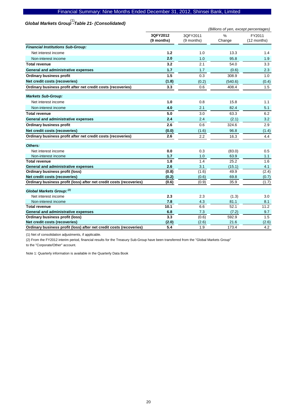# *Global Markets Group -Table 21- (Consolidated)*  (1)

|                                                                     | (Billions of yen, except percentages) |                        |                         |                       |
|---------------------------------------------------------------------|---------------------------------------|------------------------|-------------------------|-----------------------|
|                                                                     | 3QFY2012<br>(9 months)                | 3QFY2011<br>(9 months) | $\frac{0}{0}$<br>Change | FY2011<br>(12 months) |
| <b>Financial Institutions Sub-Group:</b>                            |                                       |                        |                         |                       |
| Net interest income                                                 | 1.2                                   | 1.0                    | 13.3                    | 1.4                   |
| Non-interest income                                                 | 2.0                                   | 1.0                    | 95.8                    | 1.9                   |
| <b>Total revenue</b>                                                | 3.2                                   | 2.1                    | 54.0                    | 3.3                   |
| General and administrative expenses                                 | 1.7                                   | 1.7                    | (0.6)                   | 2.3                   |
| <b>Ordinary business profit</b>                                     | 1.5                                   | 0.3                    | 308.9                   | 1.0                   |
| Net credit costs (recoveries)                                       | (1.8)                                 | (0.2)                  | (540.6)                 | (0.4)                 |
| Ordinary business profit after net credit costs (recoveries)        | 3.3                                   | 0.6                    | 408.4                   | 1.5                   |
| <b>Markets Sub-Group:</b>                                           |                                       |                        |                         |                       |
| Net interest income                                                 | 1.0                                   | 0.8                    | 15.8                    | 1.1                   |
| Non-interest income                                                 | 4.0                                   | 2.1                    | 82.4                    | 5.1                   |
| Total revenue                                                       | 5.0                                   | 3.0                    | 63.3                    | 6.2                   |
| General and administrative expenses                                 | 2.4                                   | 2.4                    | (2.1)                   | 3.2                   |
| <b>Ordinary business profit</b>                                     | 2.6                                   | 0.6                    | 324.6                   | 2.9                   |
| Net credit costs (recoveries)                                       | (0.0)                                 | (1.6)                  | 96.8                    | (1.4)                 |
| Ordinary business profit after net credit costs (recoveries)        | 2.6                                   | 2.2                    | 16.3                    | 4.4                   |
| Others:                                                             |                                       |                        |                         |                       |
| Net interest income                                                 | 0.0                                   | 0.3                    | (83.0)                  | 0.5                   |
| Non-interest income                                                 | 1.7                                   | 1.0                    | 63.9                    | 1.1                   |
| <b>Total revenue</b>                                                | 1.8                                   | 1.4                    | 25.2                    | 1.6                   |
| General and administrative expenses                                 | 2.6                                   | 3.1                    | (15.1)                  | 4.1                   |
| <b>Ordinary business profit (loss)</b>                              | (0.8)                                 | (1.6)                  | 49.9                    | (2.4)                 |
| Net credit costs (recoveries)                                       | (0.2)                                 | (0.6)                  | 69.8                    | (0.7)                 |
| Ordinary business profit (loss) after net credit costs (recoveries) | (0.6)                                 | (0.9)                  | 35.9                    | (1.7)                 |
| Global Markets Group: (2)                                           |                                       |                        |                         |                       |
| Net interest income                                                 | 2.3                                   | 2.3                    | (1.3)                   | 3.0                   |
| Non-interest income                                                 | 7.8                                   | 4.3                    | 81.1                    | 8.1                   |
| <b>Total revenue</b>                                                | 10.1                                  | 6.6                    | 52.1                    | 11.2                  |
| General and administrative expenses                                 | 6.8                                   | 7.3                    | (7.2)                   | 9.7                   |
| <b>Ordinary business profit (loss)</b>                              | 3.3                                   | (0.6)                  | 592.9                   | 1.5                   |
| Net credit costs (recoveries)                                       | (2.0)                                 | (2.6)                  | 21.6                    | (2.6)                 |
| Ordinary business profit (loss) after net credit costs (recoveries) | 5.4                                   | 1.9                    | 173.4                   | 4.2                   |

(1) Net of consolidation adjustments, if applicable.

(2) From the FY2012 interim period, financial results for the Treasury Sub-Group have been transferred from the "Global Markets Group" to the "Corporate/Other" account.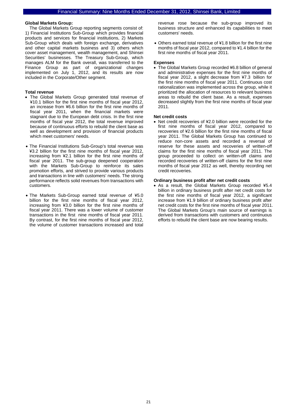#### **Global Markets Group:**

The Global Markets Group reporting segments consist of: 1) Financial Institutions Sub-Group which provides financial products and services for financial institutions, 2) Markets Sub-Group which deals with foreign exchange, derivatives and other capital markets business and 3) others which cover asset management, wealth management, and Shinsei Securities' businesses. The Treasury Sub-Group, which manages ALM for the Bank overall, was transferred to the Finance Group as part of organizational changes implemented on July 1, 2012, and its results are now included in the Corporate/Other segment.

#### **Total revenue**

- The Global Markets Group generated total revenue of ¥10.1 billion for the first nine months of fiscal year 2012, an increase from ¥6.6 billion for the first nine months of fiscal year 2011, when the financial markets were stagnant due to the European debt crisis. In the first nine months of fiscal year 2012, the total revenue improved because of continuous efforts to rebuild the client base as well as development and provision of financial products which meet customers' needs.
- The Financial Institutions Sub-Group's total revenue was ¥3.2 billion for the first nine months of fiscal year 2012, increasing from ¥2.1 billion for the first nine months of fiscal year 2011. The sub-group deepened cooperation with the Markets Sub-Group to reinforce its sales promotion efforts, and strived to provide various products and transactions in line with customers' needs. The strong performance reflects solid revenues from transactions with customers.
- The Markets Sub-Group earned total revenue of ¥5.0 billion for the first nine months of fiscal year 2012, increasing from ¥3.0 billion for the first nine months of fiscal year 2011. There was a lower volume of customer transactions in the first nine months of fiscal year 2011. By contrast, for the first nine months of fiscal year 2012, the volume of customer transactions increased and total

revenue rose because the sub-group improved its business structure and enhanced its capabilities to meet customers' needs.

• Others earned total revenue of ¥1.8 billion for the first nine months of fiscal year 2012, compared to ¥1.4 billion for the first nine months of fiscal year 2011.

#### **Expenses**

• The Global Markets Group recorded ¥6.8 billion of general and administrative expenses for the first nine months of fiscal year 2012, a slight decrease from ¥7.3 billion for the first nine months of fiscal year 2011. Continuous cost rationalization was implemented across the group, while it prioritized the allocation of resources to relevant business areas to rebuild the client base. As a result, expenses decreased slightly from the first nine months of fiscal year 2011.

#### **Net credit costs**

• Net credit recoveries of ¥2.0 billion were recorded for the first nine months of fiscal year 2012, compared to recoveries of ¥2.6 billion for the first nine months of fiscal year 2011. The Global Markets Group has continued to reduce non-core assets and recorded a reversal of reserve for these assets and recoveries of written-off claims for the first nine months of fiscal year 2011. The group proceeded to collect on written-off claims and recorded recoveries of written-off claims for the first nine months of fiscal year 2012 as well, thereby recording net credit recoveries.

#### **Ordinary business profit after net credit costs**

• As a result, the Global Markets Group recorded ¥5.4 billion in ordinary business profit after net credit costs for the first nine months of fiscal year 2012, a significant increase from ¥1.9 billion of ordinary business profit after net credit costs for the first nine months of fiscal year 2011. The Global Markets Group's main source of earnings is derived from transactions with customers and continuous efforts to rebuild the client base are now bearing results.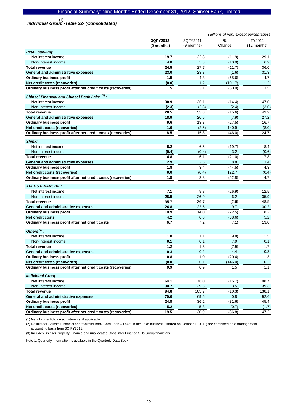*Individual Group -Table 22- (Consolidated)*  (1)

|                                                                                 | (Billions of yen, except percentages) |               |         |               |
|---------------------------------------------------------------------------------|---------------------------------------|---------------|---------|---------------|
|                                                                                 | 3QFY2012                              | 3QFY2011      | %       | FY2011        |
|                                                                                 | (9 months)                            | (9 months)    | Change  | (12 months)   |
| <b>Retail banking:</b>                                                          |                                       |               |         |               |
| Net interest income                                                             | 19.7                                  | 22.3          | (11.9)  | 29.1          |
| Non-interest income                                                             | 4.8                                   | 5.3           | (10.9)  | 6.9           |
| <b>Total revenue</b>                                                            | 24.5                                  | 27.7          | (11.7)  | 36.0          |
| General and administrative expenses                                             | 23.0                                  | 23.3          | (1.6)   | 31.3          |
| <b>Ordinary business profit</b>                                                 | 1.5                                   | 4.3           | (65.6)  | 4.7           |
| Net credit costs (recoveries)                                                   | (0.0)                                 | 1.2           | (101.7) | $1.2$         |
| Ordinary business profit after net credit costs (recoveries)                    | 1.5                                   | 3.1           | (50.9)  | 3.5           |
|                                                                                 |                                       |               |         |               |
| Shinsei Financial and Shinsei Bank Lake <sup>(2)</sup> :<br>Net interest income | 30.9                                  | 36.1          | (14.4)  | 47.0          |
| Non-interest income                                                             | (2.3)                                 |               | (2.4)   |               |
| <b>Total revenue</b>                                                            | 28.5                                  | (2.3)<br>33.8 | (15.6)  | (3.0)<br>43.9 |
|                                                                                 | 18.9                                  | 20.5          | (7.9)   |               |
| General and administrative expenses                                             | 9.6                                   | 13.3          | (27.5)  | 27.2<br>16.7  |
| <b>Ordinary business profit</b><br>Net credit costs (recoveries)                |                                       |               |         |               |
| Ordinary business profit after net credit costs (recoveries)                    | 1.0<br>8.5                            | (2.5)<br>15.8 | 140.9   | (8.0)<br>24.7 |
|                                                                                 |                                       |               | (46.0)  |               |
| Shinki:                                                                         |                                       |               |         |               |
| Net interest income                                                             | 5.2                                   | 6.5           | (19.7)  | 8.4           |
| Non-interest income                                                             | (0.4)                                 | (0.4)         | 3.2     | (0.6)         |
| <b>Total revenue</b>                                                            | 4.8                                   | 6.1           | (21.0)  | 7.8           |
| General and administrative expenses                                             | 2.9                                   | 2.6           | 8.8     | 3.4           |
| <b>Ordinary business profit</b>                                                 | 1.8                                   | 3.4           | (44.5)  | 4.3           |
| Net credit costs (recoveries)                                                   | 0.0                                   | (0.4)         | 122.7   | (0.4)         |
| Ordinary business profit after net credit costs (recoveries)                    | 1.8                                   | 3.8           | (52.8)  | 4.7           |
|                                                                                 |                                       |               |         |               |
| <b>APLUS FINANCIAL:</b>                                                         |                                       |               |         |               |
| Net interest income                                                             | 7.1                                   | 9.8           | (26.9)  | 12.5          |
| Non-interest income                                                             | 28.5<br>35.7                          | 26.9          | 6.2     | 35.9          |
| <b>Total revenue</b>                                                            |                                       | 36.7          | (2.6)   | 48.5          |
| <b>General and administrative expenses</b>                                      | 24.8                                  | 22.6          | 9.7     | 30.2          |
| <b>Ordinary business profit</b>                                                 | 10.9<br>4.2                           | 14.0          | (22.5)  | 18.2          |
| <b>Net credit costs</b>                                                         | 6.7                                   | 6.8<br>7.2    | (38.6)  | 5.2<br>13.0   |
| Ordinary business profit after net credit costs                                 |                                       |               | (7.1)   |               |
| Others $^{(3)}$ :                                                               |                                       |               |         |               |
| Net interest income                                                             | 1.0                                   | 1.1           | (9.8)   | 1.5           |
| Non-interest income                                                             | 0.1                                   | 0.1           | 7.9     | 0.1           |
| <b>Total revenue</b>                                                            | 1.2                                   | 1.3           | (7.9)   | 1.7           |
| <b>General and administrative expenses</b>                                      | 0.3                                   | 0.2           | 44.4    | 0.3           |
| <b>Ordinary business profit</b>                                                 | 0.8                                   | 1.0           | (20.4)  | 1.3           |
| Net credit costs (recoveries)                                                   | (0.0)                                 | 0.1           | (146.0) | 0.2           |
| Ordinary business profit after net credit costs (recoveries)                    | 0.9                                   | 0.9           | 1.5     | 1.1           |
|                                                                                 |                                       |               |         |               |
| <b>Individual Group:</b><br>Net interest income                                 | 64.1                                  | 76.0          | (15.7)  | 98.7          |
| Non-interest income                                                             | 30.7                                  | 29.6          | 3.5     |               |
| <b>Total revenue</b>                                                            | 94.8                                  | 105.7         | (10.3)  | 39.3<br>138.1 |
| General and administrative expenses                                             | 70.0                                  | 69.5          | 0.8     | 92.6          |
| <b>Ordinary business profit</b>                                                 | 24.8                                  | 36.2          | (31.6)  | 45.4          |
| Net credit costs (recoveries)                                                   | $5.2$                                 | 5.3           | (0.7)   | (1.7)         |
| Ordinary business profit after net credit costs (recoveries)                    | 19.5                                  | 30.9          | (36.8)  | 47.2          |
|                                                                                 |                                       |               |         |               |

(1) Net of consolidation adjustments, if applicable.

(2) Results for Shinsei Financial and "Shinsei Bank Card Loan – Lake" in the Lake business (started on October 1, 2011) are combined on a management accounting basis from 3Q FY2011.

(3) Includes Shinsei Property Finance and unallocated Consumer Finance Sub-Group financials.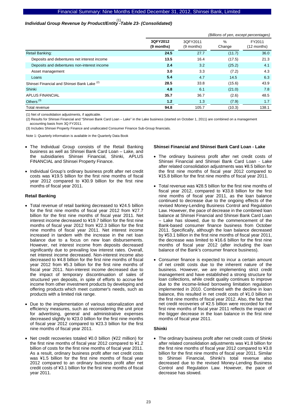# *Individual Group Revenue by Product/Entity -Table 23- (Consolidated)*  (1)

|                                             |                        | (Billions of yen, except percentages) |                         |                       |  |  |
|---------------------------------------------|------------------------|---------------------------------------|-------------------------|-----------------------|--|--|
|                                             | 3QFY2012<br>(9 months) | 3QFY2011<br>(9 months)                | $\frac{0}{0}$<br>Change | FY2011<br>(12 months) |  |  |
| <b>Retail Banking:</b>                      | 24.5                   | 27.7                                  | (11.7)                  | 36.0                  |  |  |
| Deposits and debentures net interest income | 13.5                   | 16.4                                  | (17.5)                  | 21.3                  |  |  |
| Deposits and debentures non-interest income | 2.4                    | 3.2                                   | (25.2)                  | 4.1                   |  |  |
| Asset management                            | 3.0                    | 3.3                                   | (7.2)                   | 4.3                   |  |  |
| Loans                                       | 5.4                    | 4.7                                   | 14.5                    | 6.3                   |  |  |
| Shinsei Financial and Shinsei Bank Lake (2) | 28.5                   | 33.8                                  | (15.6)                  | 43.9                  |  |  |
| Shinki                                      | 4.8                    | 6.1                                   | (21.0)                  | 7.8                   |  |  |
| <b>APLUS FINANCIAL</b>                      | 35.7                   | 36.7                                  | (2.6)                   | 48.5                  |  |  |
| Others <sup>(3)</sup>                       | $1.2$                  | 1.3                                   | (7.9)                   | 1.7                   |  |  |
| Total revenue                               | 94.8                   | 105.7                                 | (10.3)                  | 138.1                 |  |  |

(1) Net of consolidation adjustments, if applicable.

(2) Results for Shinsei Financial and "Shinsei Bank Card Loan – Lake" in the Lake business (started on October 1, 2011) are combined on a management accounting basis from 3Q FY2011.

(3) Includes Shinsei Property Finance and unallocated Consumer Finance Sub-Group financials.

Note 1: Quarterly information is available in the Quarterly Data Book

- The Individual Group consists of the Retail Banking business as well as Shinsei Bank Card Loan – Lake, and the subsidiaries Shinsei Financial, Shinki, APLUS FINANCIAL and Shinsei Property Finance.
- Individual Group's ordinary business profit after net credit costs was ¥19.5 billion for the first nine months of fiscal year 2012 compared to ¥30.9 billion for the first nine months of fiscal year 2011.

#### **Retail Banking**

- Total revenue of retail banking decreased to ¥24.5 billion for the first nine months of fiscal year 2012 from ¥27.7 billion for the first nine months of fiscal year 2011. Net interest income decreased to ¥19.7 billion for the first nine months of fiscal year 2012 from ¥22.3 billion for the first nine months of fiscal year 2011. Net interest income increased in tandem with the increase in the net loan balance due to a focus on new loan disbursements. However, net interest income from deposits decreased significantly due to prevailing low interest rates. Overall, net interest income decreased. Non-interest income also decreased to ¥4.8 billion for the first nine months of fiscal year 2012 from ¥5.3 billion for the first nine months of fiscal year 2011. Non-interest income decreased due to the impact of temporary discontinuation of sales of structured yen deposits, in spite of efforts to accrue fee income from other investment products by developing and offering products which meet customer's needs, such as products with a limited risk range.
- Due to the implementation of various rationalization and efficiency measures, such as reconsidering the unit price for advertising, general and administrative expenses decreased slightly to ¥23.0 billion for the first nine months of fiscal year 2012 compared to ¥23.3 billion for the first nine months of fiscal year 2011.
- Net credit recoveries totaled ¥0.0 billion (¥22 million) for the first nine months of fiscal year 2012 compared to ¥1.2 billion of costs for the first nine months of fiscal year 2011. As a result, ordinary business profit after net credit costs was ¥1.5 billion for the first nine months of fiscal year 2012 compared to an ordinary business profit after net credit costs of ¥3.1 billion for the first nine months of fiscal year 2011.

#### **Shinsei Financial and Shinsei Bank Card Loan - Lake**

- The ordinary business profit after net credit costs of Shinsei Financial and Shinsei Bank Card Loan - Lake after related consolidation adjustments was ¥8.5 billion for the first nine months of fiscal year 2012 compared to ¥15.8 billion for the first nine months of fiscal year 2011.
- Total revenue was ¥28.5 billion for the first nine months of fiscal year 2012, compared to ¥33.8 billion for the first nine months of fiscal year 2011, as the loan balance continued to decrease due to the ongoing effects of the revised Money-Lending Business Control and Regulation Law. However, the pace of decrease in the combined loan balance at Shinsei Financial and Shinsei Bank Card Loan – Lake has slowed, due to the commencement of the Bank-based consumer finance business from October 2011. Specifically, although the loan balance decreased by ¥53.1 billion in the first nine months of fiscal year 2011, the decrease was limited to ¥16.6 billion for the first nine months of fiscal year 2012 (after including the loan balance of the Bank's consumer finance business).
- Consumer finance is expected to incur a certain amount of net credit costs due to the inherent nature of the business. However, we are implementing strict credit management and have established a strong structure for loan collections, while credit quality continues to improve due to the income-linked borrowing limitation regulation implemented in 2010. Combined with the decline in loan balance, this resulted in net credit costs of ¥1.0 billion in the first nine months of fiscal year 2012. Also, the fact that net credit recoveries of ¥2.5 billion were recorded for the first nine months of fiscal year 2011 reflects the impact of the bigger decrease in the loan balance in the first nine months of fiscal year 2011.

#### **Shinki**

• The ordinary business profit after net credit costs of Shinki after related consolidation adjustments was ¥1.8 billion for the first nine months of fiscal year 2012 compared to ¥3.8 billion for the first nine months of fiscal year 2011. Similar to Shinsei Financial, Shinki's total revenue also decreased due to the revised Money-Lending Business Control and Regulation Law. However, the pace of decrease has slowed.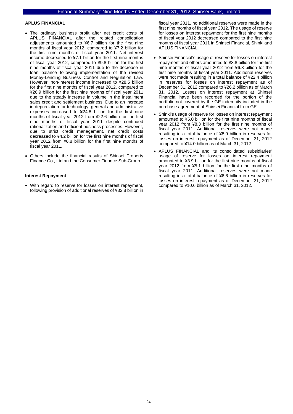#### **APLUS FINANCIAL**

- The ordinary business profit after net credit costs of APLUS FINANCIAL after the related consolidation adjustments amounted to ¥6.7 billion for the first nine months of fiscal year 2012, compared to ¥7.2 billion for the first nine months of fiscal year 2011. Net interest income decreased to ¥7.1 billion for the first nine months of fiscal year 2012, compared to ¥9.8 billion for the first nine months of fiscal year 2011 due to the decrease in loan balance following implementation of the revised Money-Lending Business Control and Regulation Law. However, non-interest income increased to ¥28.5 billion for the first nine months of fiscal year 2012, compared to ¥26.9 billion for the first nine months of fiscal year 2011 due to the steady increase in volume in the installment sales credit and settlement business. Due to an increase in depreciation for technology, general and administrative expenses increased to ¥24.8 billion for the first nine months of fiscal year 2012 from ¥22.6 billion for the first nine months of fiscal year 2011 despite continued rationalization and efficient business processes. However, due to strict credit management, net credit costs decreased to ¥4.2 billion for the first nine months of fiscal year 2012 from ¥6.8 billion for the first nine months of fiscal year 2011.
- Others include the financial results of Shinsei Property Finance Co., Ltd and the Consumer Finance Sub-Group.

#### **Interest Repayment**

• With regard to reserve for losses on interest repayment, following provision of additional reserves of ¥32.8 billion in fiscal year 2011, no additional reserves were made in the first nine months of fiscal year 2012. The usage of reserve for losses on interest repayment for the first nine months of fiscal year 2012 decreased compared to the first nine months of fiscal year 2011 in Shinsei Financial, Shinki and APLUS FINANCIAL.

- Shinsei Financial's usage of reserve for losses on interest repayment and others amounted to ¥3.8 billion for the first nine months of fiscal year 2012 from ¥6.3 billion for the first nine months of fiscal year 2011. Additional reserves were not made resulting in a total balance of ¥22.4 billion in reserves for losses on interest repayment as of December 31, 2012 compared to ¥26.2 billion as of March 31, 2012. Losses on interest repayment at Shinsei Financial have been recorded for the portion of the portfolio not covered by the GE indemnity included in the purchase agreement of Shinsei Financial from GE.
- Shinki's usage of reserve for losses on interest repayment amounted to ¥5.0 billion for the first nine months of fiscal year 2012 from ¥8.3 billion for the first nine months of fiscal year 2011. Additional reserves were not made resulting in a total balance of ¥8.9 billion in reserves for losses on interest repayment as of December 31, 2012 compared to ¥14.0 billion as of March 31, 2012.
- APLUS FINANCIAL and its consolidated subsidiaries' usage of reserve for losses on interest repayment amounted to ¥3.9 billion for the first nine months of fiscal year 2012 from ¥5.1 billion for the first nine months of fiscal year 2011. Additional reserves were not made resulting in a total balance of ¥6.6 billion in reserves for losses on interest repayment as of December 31, 2012 compared to ¥10.6 billion as of March 31, 2012.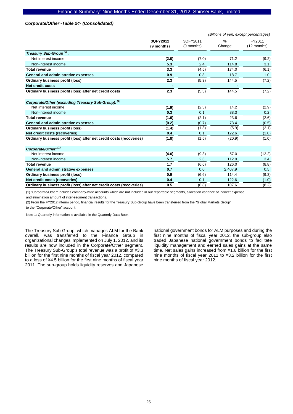#### *Corporate/Other -Table 24- (Consolidated)*

|                                                                     | (Billions of yen, except percentages) |                        |             |                       |  |
|---------------------------------------------------------------------|---------------------------------------|------------------------|-------------|-----------------------|--|
|                                                                     | 3QFY2012<br>(9 months)                | 3QFY2011<br>(9 months) | %<br>Change | FY2011<br>(12 months) |  |
| Treasury Sub-Group <sup>(2)</sup> :                                 |                                       |                        |             |                       |  |
| Net interest income                                                 | (2.0)                                 | (7.0)                  | 71.2        | (9.2)                 |  |
| Non-interest income                                                 | 5.3                                   | 2.4                    | 114.8       | 3.1                   |  |
| <b>Total revenue</b>                                                | 3.3                                   | (4.5)                  | 174.0       | (6.1)                 |  |
| General and administrative expenses                                 | 0.9                                   | 0.8                    | 18.7        | 1.0                   |  |
| <b>Ordinary business profit (loss)</b>                              | 2.3                                   | (5.3)                  | 144.5       | (7.2)                 |  |
| <b>Net credit costs</b>                                             |                                       |                        |             |                       |  |
| Ordinary business profit (loss) after net credit costs              | 2.3                                   | (5.3)                  | 144.5       | (7.2)                 |  |
| Corporate/Other (excluding Treasury Sub-Group): (1)                 |                                       |                        |             |                       |  |
| Net interest income                                                 | (1.9)                                 | (2.3)                  | 14.2        | (2.9)                 |  |
| Non-interest income                                                 | 0.3                                   | 0.1                    | 88.3        | 0.2                   |  |
| <b>Total revenue</b>                                                | (1.6)                                 | (2.1)                  | 23.6        | (2.6)                 |  |
| General and administrative expenses                                 | (0.2)                                 | (0.7)                  | 73.4        | (0.5)                 |  |
| <b>Ordinary business profit (loss)</b>                              | (1.4)                                 | (1.3)                  | (5.9)       | (2.1)                 |  |
| Net credit costs (recoveries)                                       | 0.4                                   | 0.1                    | 122.6       | (1.0)                 |  |
| Ordinary business profit (loss) after net credit costs (recoveries) | (1.8)                                 | (1.5)                  | (20.9)      | (1.0)                 |  |
| Corporate/Other: (1)                                                |                                       |                        |             |                       |  |
| Net interest income                                                 | (4.0)                                 | (9.3)                  | 57.0        | (12.2)                |  |
| Non-interest income                                                 | 5.7                                   | 2.6                    | 112.9       | 3.4                   |  |
| <b>Total revenue</b>                                                | 1.7                                   | (6.6)                  | 126.0       | (8.8)                 |  |
| General and administrative expenses                                 | 0.7                                   | 0.0                    | 2,407.9     | 0.5                   |  |
| Ordinary business profit (loss)                                     | 0.9                                   | (6.6)                  | 114.4       | (9.3)                 |  |
| Net credit costs (recoveries)                                       | 0.4                                   | 0.1                    | 122.6       | (1.0)                 |  |
| Ordinary business profit (loss) after net credit costs (recoveries) | 0.5                                   | (6.8)                  | 107.6       | (8.2)                 |  |

(1) "Corporate/Other" includes company-wide accounts which are not included in our reportable segments, allocation variance of indirect expense

and elimination amount of inter-segment transactions.

(2) From the FY2012 interim period, financial results for the Treasury Sub-Group have been transferred from the "Global Markets Group"

to the "Corporate/Other" account.

Note 1: Quarterly information is available in the Quarterly Data Book

The Treasury Sub-Group, which manages ALM for the Bank overall, was transferred to the Finance Group in organizational changes implemented on July 1, 2012, and its results are now included in the Corporate/Other segment. The Treasury Sub-Group's total revenue was a profit of ¥3.3 billion for the first nine months of fiscal year 2012, compared to a loss of ¥4.5 billion for the first nine months of fiscal year 2011. The sub-group holds liquidity reserves and Japanese

national government bonds for ALM purposes and during the first nine months of fiscal year 2012, the sub-group also traded Japanese national government bonds to facilitate liquidity management and earned sales gains at the same time. Net sales gains increased from ¥1.6 billion for the first nine months of fiscal year 2011 to ¥3.2 billion for the first nine months of fiscal year 2012.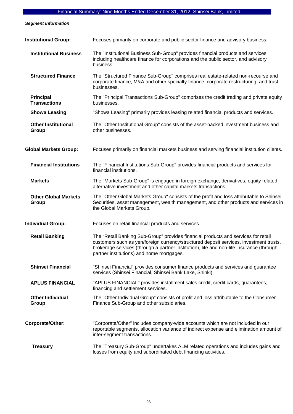*Segment Information* 

| <b>Institutional Group:</b>             | Focuses primarily on corporate and public sector finance and advisory business.                                                                                                                                                                                                                                       |
|-----------------------------------------|-----------------------------------------------------------------------------------------------------------------------------------------------------------------------------------------------------------------------------------------------------------------------------------------------------------------------|
| <b>Institutional Business</b>           | The "Institutional Business Sub-Group" provides financial products and services,<br>including healthcare finance for corporations and the public sector, and advisory<br>business.                                                                                                                                    |
| <b>Structured Finance</b>               | The "Structured Finance Sub-Group" comprises real estate-related non-recourse and<br>corporate finance, M&A and other specialty finance, corporate restructuring, and trust<br>businesses.                                                                                                                            |
| <b>Principal</b><br><b>Transactions</b> | The "Principal Transactions Sub-Group" comprises the credit trading and private equity<br>businesses.                                                                                                                                                                                                                 |
| <b>Showa Leasing</b>                    | "Showa Leasing" primarily provides leasing related financial products and services.                                                                                                                                                                                                                                   |
| <b>Other Institutional</b><br>Group     | The "Other Institutional Group" consists of the asset-backed investment business and<br>other businesses.                                                                                                                                                                                                             |
| <b>Global Markets Group:</b>            | Focuses primarily on financial markets business and serving financial institution clients.                                                                                                                                                                                                                            |
| <b>Financial Institutions</b>           | The "Financial Institutions Sub-Group" provides financial products and services for<br>financial institutions.                                                                                                                                                                                                        |
| <b>Markets</b>                          | The "Markets Sub-Group" is engaged in foreign exchange, derivatives, equity related,<br>alternative investment and other capital markets transactions.                                                                                                                                                                |
| <b>Other Global Markets</b><br>Group    | The "Other Global Markets Group" consists of the profit and loss attributable to Shinsei<br>Securities, asset management, wealth management, and other products and services in<br>the Global Markets Group.                                                                                                          |
| <b>Individual Group:</b>                | Focuses on retail financial products and services.                                                                                                                                                                                                                                                                    |
| <b>Retail Banking</b>                   | The "Retail Banking Sub-Group" provides financial products and services for retail<br>customers such as yen/foreign currency/structured deposit services, investment trusts,<br>brokerage services (through a partner institution), life and non-life insurance (through<br>partner institutions) and home mortgages. |
| <b>Shinsei Financial</b>                | "Shinsei Financial" provides consumer finance products and services and guarantee<br>services (Shinsei Financial, Shinsei Bank Lake, Shinki).                                                                                                                                                                         |
| <b>APLUS FINANCIAL</b>                  | "APLUS FINANCIAL" provides installment sales credit, credit cards, guarantees,<br>financing and settlement services.                                                                                                                                                                                                  |
| <b>Other Individual</b><br>Group        | The "Other Individual Group" consists of profit and loss attributable to the Consumer<br>Finance Sub-Group and other subsidiaries.                                                                                                                                                                                    |
| Corporate/Other:                        | "Corporate/Other" includes company-wide accounts which are not included in our<br>reportable segments, allocation variance of indirect expense and elimination amount of<br>inter-segment transactions.                                                                                                               |
| <b>Treasury</b>                         | The "Treasury Sub-Group" undertakes ALM related operations and includes gains and<br>losses from equity and subordinated debt financing activities.                                                                                                                                                                   |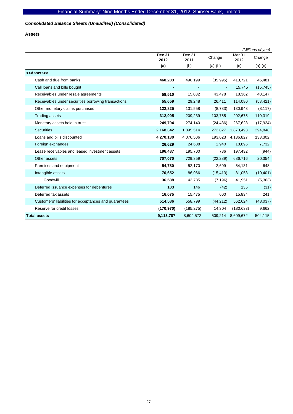# *Consolidated Balance Sheets (Unaudited) (Consolidated)*

**Assets** 

|                                                       |                |                |                |                | (Millions of yen) |
|-------------------------------------------------------|----------------|----------------|----------------|----------------|-------------------|
|                                                       | Dec 31<br>2012 | Dec 31<br>2011 | Change         | Mar 31<br>2012 | Change            |
|                                                       | (a)            | (b)            | $(a)-(b)$      | (c)            | $(a)-(c)$         |
| < <assets>&gt;</assets>                               |                |                |                |                |                   |
| Cash and due from banks                               | 460,203        | 496,199        | (35, 995)      | 413,721        | 46,481            |
| Call loans and bills bought                           |                |                | $\blacksquare$ | 15,745         | (15, 745)         |
| Receivables under resale agreements                   | 58,510         | 15,032         | 43,478         | 18,362         | 40,147            |
| Receivables under securities borrowing transactions   | 55,659         | 29,248         | 26,411         | 114,080        | (58, 421)         |
| Other monetary claims purchased                       | 122,825        | 131,558        | (8,733)        | 130,943        | (8, 117)          |
| <b>Trading assets</b>                                 | 312,995        | 209,239        | 103,755        | 202,675        | 110,319           |
| Monetary assets held in trust                         | 249,704        | 274,140        | (24, 436)      | 267,628        | (17, 924)         |
| <b>Securities</b>                                     | 2,168,342      | 1,895,514      | 272,827        | 1,873,493      | 294,848           |
| Loans and bills discounted                            | 4,270,130      | 4,076,506      | 193,623        | 4,136,827      | 133,302           |
| Foreign exchanges                                     | 26,629         | 24,688         | 1,940          | 18,896         | 7,732             |
| Lease receivables and leased investment assets        | 196,487        | 195,700        | 786            | 197,432        | (944)             |
| Other assets                                          | 707,070        | 729,359        | (22, 289)      | 686,716        | 20,354            |
| Premises and equipment                                | 54,780         | 52,170         | 2,609          | 54,131         | 648               |
| Intangible assets                                     | 70,652         | 86,066         | (15, 413)      | 81,053         | (10, 401)         |
| Goodwill                                              | 36,588         | 43,785         | (7, 196)       | 41,951         | (5,363)           |
| Deferred issuance expenses for debentures             | 103            | 146            | (42)           | 135            | (31)              |
| Deferred tax assets                                   | 16,075         | 15,475         | 600            | 15,834         | 241               |
| Customers' liabilities for acceptances and guarantees | 514,586        | 558,799        | (44, 212)      | 562,624        | (48, 037)         |
| Reserve for credit losses                             | (170, 970)     | (185, 275)     | 14,304         | (180, 633)     | 9,662             |
| <b>Total assets</b>                                   | 9,113,787      | 8,604,572      | 509,214        | 8,609,672      | 504,115           |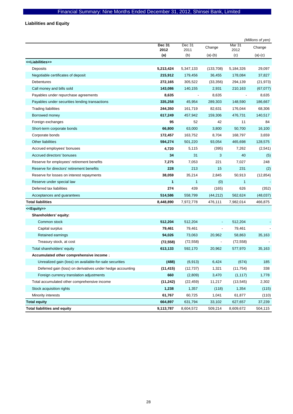**Liabilities and Equity** 

|                                                            |                |                |                          |                | (Millions of yen) |
|------------------------------------------------------------|----------------|----------------|--------------------------|----------------|-------------------|
|                                                            | Dec 31<br>2012 | Dec 31<br>2011 | Change                   | Mar 31<br>2012 | Change            |
|                                                            | (a)            | (b)            | $(a)-(b)$                | (c)            | $(a)-(c)$         |
| < <liabilities>&gt;</liabilities>                          |                |                |                          |                |                   |
| Deposits                                                   | 5,213,424      | 5,347,133      | (133, 708)               | 5,184,326      | 29,097            |
| Negotiable certificates of deposit                         | 215,912        | 179,456        | 36,455                   | 178,084        | 37,827            |
| <b>Debentures</b>                                          | 272,165        | 305,522        | (33, 356)                | 294,139        | (21, 973)         |
| Call money and bills sold                                  | 143,086        | 140,155        | 2,931                    | 210,163        | (67, 077)         |
| Payables under repurchase agreements                       | 8,635          |                | 8,635                    |                | 8,635             |
| Payables under securities lending transactions             | 335,258        | 45,954         | 289,303                  | 148,590        | 186,667           |
| <b>Trading liabilities</b>                                 | 244,350        | 161,719        | 82,631                   | 176,044        | 68,306            |
| Borrowed money                                             | 617,249        | 457,942        | 159,306                  | 476,731        | 140,517           |
| Foreign exchanges                                          | 95             | 52             | 42                       | 11             | 84                |
| Short-term corporate bonds                                 | 66,800         | 63,000         | 3,800                    | 50,700         | 16,100            |
| Corporate bonds                                            | 172,457        | 163,752        | 8,704                    | 168,797        | 3,659             |
| <b>Other liabilities</b>                                   | 594,274        | 501,220        | 93,054                   | 465,698        | 128,575           |
| Accrued employees' bonuses                                 | 4,720          | 5,115          | (395)                    | 7,262          | (2,541)           |
| Accrued directors' bonuses                                 | 34             | 31             | 3                        | 40             | (5)               |
| Reserve for employees' retirement benefits                 | 7,275          | 7,053          | 221                      | 7,027          | 248               |
| Reserve for directors' retirement benefits                 | 228            | 213            | 15                       | 231            | (2)               |
| Reserve for losses on interest repayments                  | 38,059         | 35,214         | 2,845                    | 50,913         | (12, 854)         |
| Reserve under special law                                  | 1              | $\mathbf{1}$   | (0)                      | 1              |                   |
| Deferred tax liabilities                                   | 274            | 439            | (165)                    | 626            | (352)             |
| Acceptances and guarantees                                 | 514,586        | 558,799        | (44, 212)                | 562,624        | (48, 037)         |
| <b>Total liabilities</b>                                   | 8,448,890      | 7,972,778      | 476,111                  | 7,982,014      | 466,875           |
| < <equity>&gt;</equity>                                    |                |                |                          |                |                   |
| Shareholders' equity:                                      |                |                |                          |                |                   |
| Common stock                                               | 512,204        | 512,204        | $\overline{\phantom{a}}$ | 512,204        |                   |
| Capital surplus                                            | 79,461         | 79,461         |                          | 79,461         |                   |
| Retained earnings                                          | 94,026         | 73,063         | 20,962                   | 58,863         | 35,163            |
| Treasury stock, at cost                                    | (72, 558)      | (72, 558)      | $\overline{\phantom{a}}$ | (72, 558)      |                   |
| Total shareholders' equity                                 | 613,133        | 592,170        | 20,962                   | 577,970        | 35,163            |
| Accumulated other comprehensive income:                    |                |                |                          |                |                   |
| Unrealized gain (loss) on available-for-sale securities    | (488)          | (6, 913)       | 6,424                    | (674)          | 185               |
| Deferred gain (loss) on derivatives under hedge accounting | (11, 415)      | (12, 737)      | 1,321                    | (11, 754)      | 338               |
| Foreign currency translation adjustments                   | 660            | (2,809)        | 3,470                    | (1, 117)       | 1,778             |
| Total accumulated other comprehensive income               | (11, 242)      | (22, 459)      | 11,217                   | (13, 545)      | 2,302             |
| Stock acquisition rights                                   | 1,238          | 1,357          | (118)                    | 1,354          | (115)             |
| Minority interests                                         | 61,767         | 60,725         | 1,041                    | 61,877         | (110)             |
| <b>Total equity</b>                                        | 664,897        | 631,794        | 33,102                   | 627,657        | 37,239            |
| <b>Total liabilities and equity</b>                        | 9,113,787      | 8,604,572      | 509,214                  | 8,609,672      | 504,115           |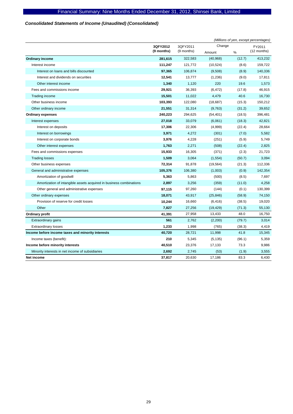# *Consolidated Statements of Income (Unaudited) (Consolidated)*

|                                                                     |            |            | (Millions of yen, except percentages) |        |               |  |
|---------------------------------------------------------------------|------------|------------|---------------------------------------|--------|---------------|--|
|                                                                     | 3QFY2012   | 3QFY2011   | Change                                |        | FY2011        |  |
|                                                                     | (9 months) | (9 months) | Amount                                | %      | $(12$ months) |  |
| <b>Ordinary income</b>                                              | 281,615    | 322,583    | (40, 968)                             | (12.7) | 413,232       |  |
| Interest income                                                     | 111,247    | 121,772    | (10, 524)                             | (8.6)  | 159,722       |  |
| Interest on loans and bills discounted                              | 97,365     | 106,874    | (9,508)                               | (8.9)  | 140,336       |  |
| Interest and dividends on securities                                | 12,541     | 13,777     | (1,236)                               | (9.0)  | 17,811        |  |
| Other interest income                                               | 1,340      | 1,120      | 220                                   | 19.6   | 1,573         |  |
| Fees and commissions income                                         | 29,921     | 36,393     | (6, 472)                              | (17.8) | 46,915        |  |
| Trading income                                                      | 15,501     | 11,022     | 4,479                                 | 40.6   | 16,730        |  |
| Other business income                                               | 103,393    | 122,080    | (18,687)                              | (15.3) | 150,212       |  |
| Other ordinary income                                               | 21,551     | 31,314     | (9,763)                               | (31.2) | 39,652        |  |
| <b>Ordinary expenses</b>                                            | 240,223    | 294,625    | (54, 401)                             | (18.5) | 396,481       |  |
| Interest expenses                                                   | 27,018     | 33,079     | (6,061)                               | (18.3) | 42,821        |  |
| Interest on deposits                                                | 17,306     | 22,306     | (4,999)                               | (22.4) | 28,664        |  |
| Interest on borrowings                                              | 3,971      | 4,272      | (301)                                 | (7.0)  | 5,582         |  |
| Interest on corporate bonds                                         | 3,976      | 4,228      | (251)                                 | (5.9)  | 5,749         |  |
| Other interest expenses                                             | 1,763      | 2,271      | (508)                                 | (22.4) | 2,825         |  |
| Fees and commissions expenses                                       | 15,933     | 16,305     | (371)                                 | (2.3)  | 21,723        |  |
| <b>Trading losses</b>                                               | 1,509      | 3,064      | (1,554)                               | (50.7) | 3,094         |  |
| Other business expenses                                             | 72,314     | 91,878     | (19, 564)                             | (21.3) | 112,336       |  |
| General and administrative expenses                                 | 105,376    | 106,380    | (1,003)                               | (0.9)  | 142,354       |  |
| Amortization of goodwill                                            | 5,363      | 5,863      | (500)                                 | (8.5)  | 7,697         |  |
| Amortization of intangible assets acquired in business combinations | 2,897      | 3,256      | (359)                                 | (11.0) | 4,258         |  |
| Other general and administrative expenses                           | 97,115     | 97,260     | (144)                                 | (0.1)  | 130,399       |  |
| Other ordinary expenses                                             | 18,071     | 43,917     | (25, 846)                             | (58.9) | 74,150        |  |
| Provision of reserve for credit losses                              | 10,244     | 16,660     | (6, 416)                              | (38.5) | 19,020        |  |
| Other                                                               | 7,827      | 27,256     | (19, 429)                             | (71.3) | 55,130        |  |
| Ordinary profit                                                     | 41,391     | 27,958     | 13,433                                | 48.0   | 16,750        |  |
| <b>Extraordinary gains</b>                                          | 561        | 2,762      | (2,200)                               | (79.7) | 3,014         |  |
| <b>Extraordinary losses</b>                                         | 1,233      | 1,998      | (765)                                 | (38.3) | 4,419         |  |
| Income before income taxes and minority interests                   | 40,720     | 28,721     | 11,998                                | 41.8   | 15,345        |  |
| Income taxes (benefit):                                             | 210        | 5,345      | (5, 135)                              | (96.1) | 5,359         |  |
| Income before minority interests                                    | 40,510     | 23,376     | 17,133                                | 73.3   | 9,986         |  |
| Minority interests in net income of subsidiaries                    | 2,692      | 2,745      | (53)                                  | (1.9)  | 3,555         |  |
| Net income                                                          | 37.817     | 20.630     | 17.186                                | 83.3   | 6.430         |  |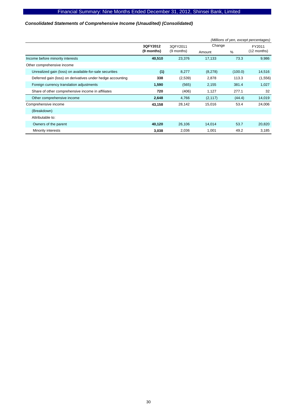# *Consolidated Statements of Comprehensive Income (Unaudited) (Consolidated)*

|                                                            |            |            |          |         | (Millions of yen, except percentages) |
|------------------------------------------------------------|------------|------------|----------|---------|---------------------------------------|
|                                                            | 3QFY2012   | 3QFY2011   | Change   |         | FY2011                                |
|                                                            | (9 months) | (9 months) | Amount   | $\%$    | (12 months)                           |
| Income before minority interests                           | 40,510     | 23,376     | 17,133   | 73.3    | 9,986                                 |
| Other comprehensive income                                 |            |            |          |         |                                       |
| Unrealized gain (loss) on available-for-sale securities    | (1)        | 8,277      | (8,278)  | (100.0) | 14,516                                |
| Deferred gain (loss) on derivatives under hedge accounting | 338        | (2,539)    | 2,878    | 113.3   | (1,556)                               |
| Foreign currency translation adjustments                   | 1,590      | (565)      | 2,155    | 381.4   | 1,027                                 |
| Share of other comprehensive income in affiliates          | 720        | (406)      | 1,127    | 277.1   | 32                                    |
| Other comprehensive income                                 | 2,648      | 4,766      | (2, 117) | (44.4)  | 14,019                                |
| Comprehensive income                                       | 43,158     | 28,142     | 15,016   | 53.4    | 24,006                                |
| (Breakdown)                                                |            |            |          |         |                                       |
| Attributable to:                                           |            |            |          |         |                                       |
| Owners of the parent                                       | 40,120     | 26,106     | 14,014   | 53.7    | 20,820                                |
| Minority interests                                         | 3,038      | 2,036      | 1,001    | 49.2    | 3,185                                 |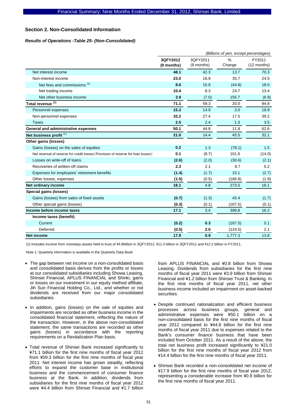# **Section 2. Non-Consolidated Information**

#### *Results of Operations -Table 25- (Non-Consolidated)*

|                                                                                  | (Billions of yen, except percentages) |                        |                |                       |
|----------------------------------------------------------------------------------|---------------------------------------|------------------------|----------------|-----------------------|
|                                                                                  | 3QFY2012<br>(9 months)                | 3QFY2011<br>(9 months) | $\%$<br>Change | FY2011<br>(12 months) |
| Net interest income                                                              | 48.1                                  | 42.3                   | 13.7           | 70.3                  |
| Non-interest income                                                              | 23.0                                  | 16.9                   | 35.7           | 24.5                  |
| Net fees and commissions <sup>(1)</sup>                                          | 8.6                                   | 15.6                   | (44.8)         | 18.0                  |
| Net trading income                                                               | 10.4                                  | 8.3                    | 24.7           | 13.4                  |
| Net other business income                                                        | 3.9                                   | (7.0)                  | 155.7          | (6.9)                 |
| Total revenue <sup>(1)</sup>                                                     | 71.1                                  | 59.3                   | 20.0           | 94.8                  |
| Personnel expenses                                                               | 15.3                                  | 14.9                   | 3.0            | 19.9                  |
| Non-personnel expenses                                                           | 32.2                                  | 27.4                   | 17.5           | 39.2                  |
| <b>Taxes</b>                                                                     | 2.5                                   | 2.4                    | 1.3            | 3.5                   |
| General and administrative expenses                                              | 50.1                                  | 44.8                   | 11.8           | 62.6                  |
| Net business profit <sup>(1)</sup>                                               | 21.0                                  | 14.4                   | 45.5           | 32.1                  |
| Other gains (losses)                                                             |                                       |                        |                |                       |
| Gains (losses) on the sales of equities                                          | 0.2                                   | 1.3                    | (78.1)         | 1.5                   |
| Net reversal of reserve for credit losses (Provision of reserve for loan losses) | 0.1                                   | (8.7)                  | 101.6          | (14.0)                |
| Losses on write-off of loans                                                     | (2.6)                                 | (2.0)                  | (30.6)         | (2.1)                 |
| Recoveries of written-off claims                                                 | 2.3                                   | 2.1                    | 8.7            | 5.2                   |
| Expenses for employees' retirement benefits                                      | (1.4)                                 | (1.7)                  | 15.1           | (2.7)                 |
| Other losses, expenses                                                           | (1.5)                                 | (0.5)                  | (166.8)        | (1.9)                 |
| Net ordinary income                                                              | 18.1                                  | 4.8                    | 273.5          | 18.1                  |
| Special gains (losses)                                                           |                                       |                        |                |                       |
| Gains (losses) from sales of fixed assets                                        | (0.7)                                 | (1.3)                  | 45.4           | (1.7)                 |
| Other special gains (losses)                                                     | (0.3)                                 | (0.1)                  | (167.5)        | (0.1)                 |
| Income before income taxes                                                       | 17.1                                  | 3.4                    | 399.8          | 16.2                  |
| Income taxes (benefit)                                                           |                                       |                        |                |                       |
| Current                                                                          | (0.2)                                 | 0.3                    | (167.5)        | 0.1                   |
| Deferred                                                                         | (0.5)                                 | 2.0                    | (124.5)        | 2.1                   |
| <b>Net income</b>                                                                | 17.9                                  | 0.9                    | 1,777.3        | 13.8                  |

(1) Includes income from monetary assets held in trust of ¥4.8billion in 3QFY2012, ¥11.3 billion in 3QFY2011 and ¥12.2 billion in FY2011.

Note 1: Quarterly information is available in the Quarterly Data Book

- The gap between net income on a non-consolidated basis and consolidated basis derives from the profits or losses at our consolidated subsidiaries including Showa Leasing, Shinsei Financial, APLUS FINANCIAL and Shinki, gains or losses on our investment in our equity method affiliate, Jih Sun Financial Holding Co., Ltd., and whether or not dividends are received from our major consolidated subsidiaries.
- In addition, gains (losses) on the sale of equities and impairments are recorded as other business income in the consolidated financial statement, reflecting the nature of the transaction. However, in the above non-consolidated statement, the same transactions are recorded as other gains (losses) in accordance with the reporting requirements on a Revitalization Plan basis.
- Total revenue of Shinsei Bank increased significantly to ¥71.1 billion for the first nine months of fiscal year 2012 from ¥59.3 billion for the first nine months of fiscal year 2011. Net interest income has grown steadily, reflecting efforts to expand the customer base in institutional business and the commencement of consumer finance business at the Bank. In addition, dividends from subsidiaries for the first nine months of fiscal year 2012 were ¥4.4 billion from Shinsei Financial and ¥1.7 billion

from APLUS FINANCIAL and ¥0.8 billion from Showa Leasing. Dividends from subsidiaries for the first nine months of fiscal year 2011 were ¥3.9 billion from Shinsei Financial and ¥1.2 billion from Shinsei Trust & Banking. In the first nine months of fiscal year 2011, net other business income included an impairment on asset-backed securities.

- Despite continued rationalization and efficient business processes across business groups, general and administrative expenses were ¥50.1 billion on a non-consolidated basis for the first nine months of fiscal year 2012 compared to ¥44.8 billion for the first nine months of fiscal year 2011 due to expenses related to the Bank's consumer finance business that have been included from October 2011. As a result of the above, the total net business profit increased significantly to ¥21.0 billion for the first nine months of fiscal year 2012 from ¥14.4 billion for the first nine months of fiscal year 2011.
- Shinsei Bank recorded a non-consolidated net income of ¥17.9 billion for the first nine months of fiscal year 2012, representing a considerable increase from ¥0.9 billion for the first nine months of fiscal year 2011.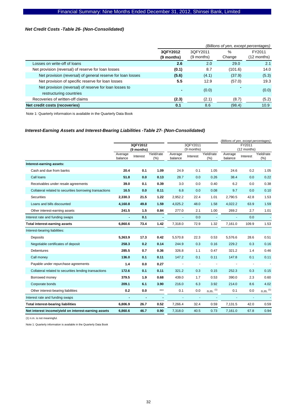# *Net Credit Costs -Table 26- (Non-Consolidated)*

|                                                                                   | (Billions of yen, except percentages) |                        |         |                       |
|-----------------------------------------------------------------------------------|---------------------------------------|------------------------|---------|-----------------------|
|                                                                                   | 3QFY2012                              | 30FY2011<br>(9 months) | $\%$    | FY2011<br>(12 months) |
|                                                                                   | (9 months)                            |                        | Change  |                       |
| Losses on write-off of loans                                                      | 2.6                                   | 2.0                    | 29.0    | 2.1                   |
| Net provision (reversal) of reserve for loan losses                               | (0.1)                                 | 8.7                    | (101.6) | 14.0                  |
| Net provision (reversal) of general reserve for loan losses                       | (5.6)                                 | (4.1)                  | (37.9)  | (5.3)                 |
| Net provision of specific reserve for loan losses                                 | 5.5                                   | 12.9                   | (57.0)  | 19.3                  |
| Net provision (reversal) of reserve for loan losses to<br>restructuring countries | -                                     | (0.0)                  |         | (0.0)                 |
| Recoveries of written-off claims                                                  | (2.3)                                 | (2.1)                  | (8.7)   | (5.2)                 |
| Net credit costs (recoveries)                                                     | 0.1                                   | 8.6                    | (98.4)  | 10.9                  |

Note 1: Quarterly information is available in the Quarterly Data Book

# *Interest-Earning Assets and Interest-Bearing Liabilities -Table 27- (Non-Consolidated)*

|                                                         |         |            |            |          |            |              | (Billions of yen, except percentages) |                          |              |  |
|---------------------------------------------------------|---------|------------|------------|----------|------------|--------------|---------------------------------------|--------------------------|--------------|--|
|                                                         |         | 3QFY2012   |            |          | 3QFY2011   |              | FY2011<br>(12 months)                 |                          |              |  |
|                                                         | Average | (9 months) | Yield/rate | Average  | (9 months) | Yield/rate   | Average                               |                          | Yield/rate   |  |
|                                                         | balance | Interest   | (%)        | balance  | Interest   | (%)          | balance                               | Interest                 | (% )         |  |
| Interest-earning assets:                                |         |            |            |          |            |              |                                       |                          |              |  |
| Cash and due from banks                                 | 20.4    | 0.1        | 1.09       | 24.9     | 0.1        | 1.05         | 24.6                                  | 0.2                      | 1.05         |  |
| Call loans                                              | 51.8    | 0.0        | 0.13       | 28.7     | 0.0        | 0.26         | 38.4                                  | 0.0                      | 0.22         |  |
| Receivables under resale agreements                     | 39.0    | 0.1        | 0.39       | 3.0      | 0.0        | 0.40         | 6.2                                   | 0.0                      | 0.38         |  |
| Collateral related to securities borrowing transactions | 16.5    | 0.0        | 0.11       | 6.8      | 0.0        | 0.08         | 9.7                                   | 0.0                      | 0.10         |  |
| Securities                                              | 2,330.3 | 21.5       | 1.22       | 2,952.2  | 22.4       | 1.01         | 2,790.5                               | 42.8                     | 1.53         |  |
| Loans and bills discounted                              | 4,160.8 | 49.8       | 1.59       | 4,025.2  | 48.0       | 1.58         | 4,022.2                               | 63.9                     | 1.59         |  |
| Other interest-earning assets                           | 241.5   | 1.5        | 0.84       | 277.0    | 2.1        | 1.00         | 269.2                                 | 2.7                      | 1.01         |  |
| Interest rate and funding swaps                         |         | 0.1        |            |          | 0.0        |              |                                       | 0.0                      |              |  |
| Total interest-earning assets                           | 6,860.6 | 73.4       | 1.42       | 7,318.0  | 72.9       | 1.32         | 7,161.0                               | 109.9                    | 1.53         |  |
| Interest-bearing liabilities:                           |         |            |            |          |            |              |                                       |                          |              |  |
| Deposits                                                | 5,363.9 | 17.3       | 0.42       | 5,570.8  | 22.3       | 0.53         | 5.576.6                               | 28.6                     | 0.51         |  |
| Negotiable certificates of deposit                      | 258.3   | 0.2        | 0.14       | 244.9    | 0.3        | 0.16         | 229.2                                 | 0.3                      | 0.16         |  |
| Debentures                                              | 285.5   | 0.7        | 0.36       | 326.8    | 1.1        | 0.47         | 321.2                                 | 1.4                      | 0.46         |  |
| Call money                                              | 136.0   | 0.1        | 0.11       | 147.2    | 0.1        | 0.11         | 147.8                                 | 0.1                      | 0.11         |  |
| Payable under repurchase agreements                     | 1.4     | 0.0        | 0.27       |          | $\sim$     |              |                                       | $\overline{\phantom{a}}$ |              |  |
| Collateral related to securities lending transactions   | 172.6   | 0.1        | 0.11       | 321.2    | 0.3        | 0.15         | 252.3                                 | 0.3                      | 0.15         |  |
| Borrowed money                                          | 379.5   | 1.9        | 0.68       | 439.0    | 1.7        | 0.53         | 390.0                                 | 2.3                      | 0.60         |  |
| Corporate bonds                                         | 209.1   | 6.1        | 3.90       | 216.0    | 6.3        | 3.92         | 214.0                                 | 8.6                      | 4.02         |  |
| Other interest-bearing liabilities                      | 0.2     | 0.0        | ***        | 0.1      | 0.0        | $n.m.$ $(1)$ | 0.1                                   | 0.0                      | $n.m.$ $(1)$ |  |
| Interest rate and funding swaps                         | $\sim$  |            |            | $\Delta$ | $\omega$   |              |                                       | $\blacksquare$           |              |  |
| <b>Total interest-bearing liabilities</b>               | 6,806.9 | 26.7       | 0.52       | 7,266.4  | 32.4       | 0.59         | 7,131.5                               | 42.0                     | 0.59         |  |
| Net interest income/yield on interest-earning assets    | 6,860.6 | 46.7       | 0.90       | 7,318.0  | 40.5       | 0.73         | 7,161.0                               | 67.8                     | 0.94         |  |

(1) n.m. is not meaningful.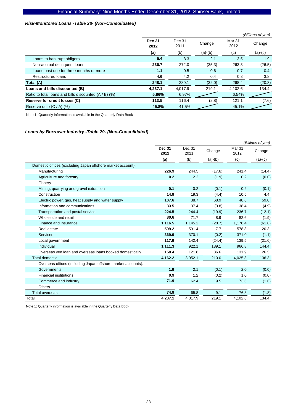# *Risk-Monitored Loans -Table 28- (Non-Consolidated)*

|                                                       |                       |                |           |                | (Billions of yen) |
|-------------------------------------------------------|-----------------------|----------------|-----------|----------------|-------------------|
|                                                       | <b>Dec 31</b><br>2012 | Dec 31<br>2011 | Change    | Mar 31<br>2012 | Change            |
|                                                       | (a)                   | (b)            | $(a)-(b)$ | (c)            | $(a)-(c)$         |
| Loans to bankrupt obligors                            | 5.4                   | 3.3            | 2.1       | 3.5            | 1.9               |
| Non-accrual delinquent loans                          | 236.7                 | 272.0          | (35.3)    | 263.3          | (26.5)            |
| Loans past due for three months or more               | 1.1                   | 0.5            | 0.6       | 0.7            | 0.4               |
| <b>Restructured loans</b>                             | 4.6                   | 4.2            | 0.4       | 0.8            | 3.8               |
| Total (A)                                             | 248.1                 | 280.1          | (32.0)    | 268.4          | (20.3)            |
| Loans and bills discounted (B)                        | 4.237.1               | 4.017.9        | 219.1     | 4.102.6        | 134.4             |
| Ratio to total loans and bills discounted (A / B) (%) | 5.86%                 | 6.97%          |           | 6.54%          |                   |
| Reserve for credit losses (C)                         | 113.5                 | 116.4          | (2.8)     | 121.1          | (7.6)             |
| Reserve ratio $(C / A)$ (%)                           | 45.8%                 | 41.5%          |           | 45.1%          |                   |

Note 1: Quarterly information is available in the Quarterly Data Book

### *Loans by Borrower Industry -Table 29- (Non-Consolidated)*

|                                                              | (Billions of yen)     |                |           |                |           |  |  |
|--------------------------------------------------------------|-----------------------|----------------|-----------|----------------|-----------|--|--|
|                                                              | <b>Dec 31</b><br>2012 | Dec 31<br>2011 | Change    | Mar 31<br>2012 | Change    |  |  |
|                                                              | (a)                   | (b)            | $(a)-(b)$ | (c)            | $(a)-(c)$ |  |  |
| Domestic offices (excluding Japan offshore market account):  |                       |                |           |                |           |  |  |
| Manufacturing                                                | 226.9                 | 244.5          | (17.6)    | 241.4          | (14.4)    |  |  |
| Agriculture and forestry                                     | 0.2                   | 2.2            | (1.9)     | 0.2            | (0.0)     |  |  |
| Fishery                                                      |                       |                |           |                |           |  |  |
| Mining, quarrying and gravel extraction                      | 0.1                   | 0.2            | (0.1)     | 0.2            | (0.1)     |  |  |
| Construction                                                 | 14.9                  | 19.3           | (4.4)     | 10.5           | 4.4       |  |  |
| Electric power, gas, heat supply and water supply            | 107.6                 | 38.7           | 68.9      | 48.6           | 59.0      |  |  |
| Information and communications                               | 33.5                  | 37.4           | (3.8)     | 38.4           | (4.9)     |  |  |
| Transportation and postal service                            | 224.5                 | 244.4          | (19.9)    | 236.7          | (12.1)    |  |  |
| Wholesale and retail                                         | 80.6                  | 71.7           | 8.9       | 82.6           | (1.9)     |  |  |
| Finance and insurance                                        | 1,116.5               | 1,145.2        | (28.7)    | 1,178.4        | (61.8)    |  |  |
| Real estate                                                  | 599.2                 | 591.4          | 7.7       | 578.8          | 20.3      |  |  |
| <b>Services</b>                                              | 369.9                 | 370.1          | (0.2)     | 371.0          | (1.1)     |  |  |
| Local government                                             | 117.9                 | 142.4          | (24.4)    | 139.5          | (21.6)    |  |  |
| Individual                                                   | 1,111.3               | 922.1          | 189.1     | 966.8          | 144.4     |  |  |
| Overseas yen loan and overseas loans booked domestically     | 158.4                 | 121.8          | 36.6      | 131.9          | 26.5      |  |  |
| <b>Total domestic</b>                                        | 4,162.2               | 3,952.1        | 210.0     | 4,025.8        | 136.3     |  |  |
| Overseas offices (including Japan offshore market accounts): |                       |                |           |                |           |  |  |
| Governments                                                  | 1.9                   | 2.1            | (0.1)     | 2.0            | (0.0)     |  |  |
| <b>Financial institutions</b>                                | 0.9                   | 1.2            | (0.2)     | 1.0            | (0.0)     |  |  |
| Commerce and industry                                        | 71.9                  | 62.4           | 9.5       | 73.6           | (1.6)     |  |  |
| <b>Others</b>                                                |                       |                |           |                |           |  |  |
| <b>Total overseas</b>                                        | 74.9                  | 65.8           | 9.1       | 76.8           | (1.8)     |  |  |
| Total                                                        | 4,237.1               | 4.017.9        | 219.1     | 4,102.6        | 134.4     |  |  |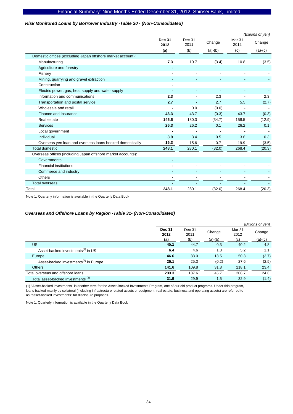### *Risk Monitored Loans by Borrower Industry -Table 30 - (Non-Consolidated)*

|                                                              | (Billions of yen)     |                |           |                |           |  |  |  |
|--------------------------------------------------------------|-----------------------|----------------|-----------|----------------|-----------|--|--|--|
|                                                              | <b>Dec 31</b><br>2012 | Dec 31<br>2011 | Change    | Mar 31<br>2012 | Change    |  |  |  |
|                                                              | (a)                   | (b)            | $(a)-(b)$ | (c)            | $(a)-(c)$ |  |  |  |
| Domestic offices (excluding Japan offshore market account):  |                       |                |           |                |           |  |  |  |
| Manufacturing                                                | 7.3                   | 10.7           | (3.4)     | 10.8           | (3.5)     |  |  |  |
| Agriculture and forestry                                     |                       |                |           |                |           |  |  |  |
| Fishery                                                      |                       |                | ٠         |                |           |  |  |  |
| Mining, quarrying and gravel extraction                      |                       |                |           |                |           |  |  |  |
| Construction                                                 |                       |                |           |                |           |  |  |  |
| Electric power, gas, heat supply and water supply            |                       |                |           |                |           |  |  |  |
| Information and communications                               | 2.3                   |                | 2.3       |                | 2.3       |  |  |  |
| Transportation and postal service                            | 2.7                   |                | 2.7       | 5.5            | (2.7)     |  |  |  |
| Wholesale and retail                                         |                       | 0.0            | (0.0)     |                |           |  |  |  |
| Finance and insurance                                        | 43.3                  | 43.7           | (0.3)     | 43.7           | (0.3)     |  |  |  |
| Real estate                                                  | 145.5                 | 180.3          | (34.7)    | 158.5          | (12.9)    |  |  |  |
| <b>Services</b>                                              | 26.3                  | 26.2           | 0.1       | 26.2           | 0.1       |  |  |  |
| Local government                                             |                       |                |           |                |           |  |  |  |
| Individual                                                   | 3.9                   | 3.4            | 0.5       | 3.6            | 0.3       |  |  |  |
| Overseas yen loan and overseas loans booked domestically     | 16.3                  | 15.6           | 0.7       | 19.9           | (3.5)     |  |  |  |
| <b>Total domestic</b>                                        | 248.1                 | 280.1          | (32.0)    | 268.4          | (20.3)    |  |  |  |
| Overseas offices (including Japan offshore market accounts): |                       |                |           |                |           |  |  |  |
| Governments                                                  |                       |                |           |                |           |  |  |  |
| <b>Financial institutions</b>                                |                       |                |           |                |           |  |  |  |
| Commerce and industry                                        |                       |                |           |                |           |  |  |  |
| <b>Others</b>                                                |                       |                |           |                |           |  |  |  |
| <b>Total overseas</b>                                        |                       |                |           |                |           |  |  |  |
| Total                                                        | 248.1                 | 280.1          | (32.0)    | 268.4          | (20.3)    |  |  |  |

Note 1: Quarterly information is available in the Quarterly Data Book

### *Overseas and Offshore Loans by Region -Table 31- (Non-Consolidated)*

|                                                   |                       |                |           |                | (Billions of yen) |
|---------------------------------------------------|-----------------------|----------------|-----------|----------------|-------------------|
|                                                   | <b>Dec 31</b><br>2012 | Dec 31<br>2011 | Change    | Mar 31<br>2012 | Change            |
|                                                   | (a)                   | (b)            | $(a)-(b)$ | (c)            | $(a)-(c)$         |
| US                                                | 45.1                  | 44.7           | 0.3       | 40.2           | 4.8               |
| Asset-backed investments <sup>(1)</sup> in US     | 6.4                   | 4.6            | 1.8       | 5.2            | 1.1               |
| Europe                                            | 46.6                  | 33.0           | 13.5      | 50.3           | (3.7)             |
| Asset-backed investments <sup>(1)</sup> in Europe | 25.1                  | 25.3           | (0.2)     | 27.6           | (2.5)             |
| <b>Others</b>                                     | 141.6                 | 109.8          | 31.8      | 118.1          | 23.4              |
| Total overseas and offshore loans                 | 233.3                 | 187.6          | 45.7      | 208.7          | 24.6              |
| Total asset-backed investments <sup>(1)</sup>     | 31.5                  | 29.9           | 1.5       | 32.9           | (1.4)             |

(1) "Asset-backed investments" is another term for the Asset-Backed Investments Program, one of our old product programs. Under this program, loans backed mainly by collateral (including infrastructure related assets or equipment, real estate, business and operating assets) are referred to as "asset-backed investments" for disclosure purposes.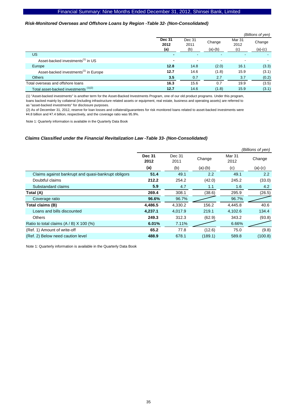#### *Risk-Monitored Overseas and Offshore Loans by Region -Table 32- (Non-Consolidated)*

|                                                   |                              |                          |                          |                       | (Billions of yen)   |
|---------------------------------------------------|------------------------------|--------------------------|--------------------------|-----------------------|---------------------|
|                                                   | <b>Dec 31</b><br>2012<br>(a) | Dec 31<br>2011<br>(b)    | Change<br>$(a)-(b)$      | Mar 31<br>2012<br>(c) | Change<br>$(a)-(c)$ |
| <b>US</b>                                         | $\blacksquare$               | $\overline{\phantom{0}}$ | $\overline{\phantom{a}}$ | -                     |                     |
| Asset-backed investments <sup>(1)</sup> in US     | $\blacksquare$               | $\blacksquare$           | ٠                        |                       |                     |
| Europe                                            | 12.8                         | 14.8                     | (2.0)                    | 16.1                  | (3.3)               |
| Asset-backed investments <sup>(1)</sup> in Europe | 12.7                         | 14.6                     | (1.8)                    | 15.9                  | (3.1)               |
| <b>Others</b>                                     | 3.5                          | 0.7                      | 2.7                      | 3.7                   | (0.2)               |
| Total overseas and offshore loans                 | 16.3                         | 15.6                     | 0.7                      | 19.9                  | (3.5)               |
| Total asset-backed investments (1)(2)             | 12.7                         | 14.6                     | (1.8)                    | 15.9                  | (3.1)               |

(1) "Asset-backed investments" is another term for the Asset-Backed Investments Program, one of our old product programs. Under this program, loans backed mainly by collateral (including infrastructure related assets or equipment, real estate, business and operating assets) are referred to as "asset-backed investments" for disclosure purposes.

(2) As of December 31, 2012, reserve for loan losses and collateral/guarantees for risk monitored loans related to asset-backed investments were \4.8 billion and \7.4 billion, respectively, and the coverage ratio was 95.9%.

Note 1: Quarterly information is available in the Quarterly Data Book

#### *Claims Classified under the Financial Revitalization Law -Table 33- (Non-Consolidated)*

|                                                     |                       |                |           |                | (Billions of yen) |
|-----------------------------------------------------|-----------------------|----------------|-----------|----------------|-------------------|
|                                                     | <b>Dec 31</b><br>2012 | Dec 31<br>2011 | Change    | Mar 31<br>2012 | Change            |
|                                                     | (a)                   | (b)            | $(a)-(b)$ | (c)            | $(a)-(c)$         |
| Claims against bankrupt and quasi-bankrupt obligors | 51.4                  | 49.1           | 2.2       | 49.1           | 2.2               |
| Doubtful claims                                     | 212.2                 | 254.2          | (42.0)    | 245.2          | (33.0)            |
| Substandard claims                                  | 5.9                   | 4.7            | 1.1       | 1.6            | 4.2               |
| Total (A)                                           | 269.4                 | 308.1          | (38.6)    | 295.9          | (26.5)            |
| Coverage ratio                                      | 96.6%                 | 96.7%          |           | 96.7%          |                   |
| Total claims (B)                                    | 4,486.5               | 4,330.2        | 156.2     | 4,445.8        | 40.6              |
| Loans and bills discounted                          | 4,237.1               | 4,017.9        | 219.1     | 4,102.6        | 134.4             |
| <b>Others</b>                                       | 249.3                 | 312.3          | (62.9)    | 343.2          | (93.8)            |
| Ratio to total claims $(A / B)$ X 100 (%)           | 6.01%                 | 7.11%          |           | 6.66%          |                   |
| (Ref. 1) Amount of write-off                        | 65.2                  | 77.8           | (12.6)    | 75.0           | (9.8)             |
| (Ref. 2) Below need caution level                   | 488.9                 | 678.1          | (189.1)   | 589.8          | (100.8)           |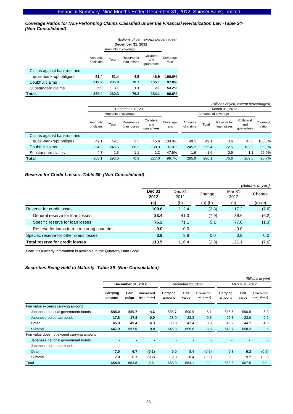*Coverage Ratios for Non-Performing Claims Classified under the Financial Revitalization Law -Table 34- (Non-Consolidated)* 

|                             | (Billions of yen, except percentages) |       |                            |                                 |                   |  |  |  |  |  |
|-----------------------------|---------------------------------------|-------|----------------------------|---------------------------------|-------------------|--|--|--|--|--|
|                             |                                       |       | December 31, 2012          |                                 |                   |  |  |  |  |  |
|                             |                                       |       | Amounts of coverage        |                                 |                   |  |  |  |  |  |
|                             | Amounts<br>of claims                  | Total | Reserve for<br>loan losses | Collateral<br>and<br>quarantees | Coverage<br>ratio |  |  |  |  |  |
| Claims against bankrupt and |                                       |       |                            |                                 |                   |  |  |  |  |  |
| quasi-bankrupt obligors     | 51.4                                  | 51.4  | 4.5                        | 46.9                            | 100.0%            |  |  |  |  |  |
| Doubtful claims             | 212.2                                 | 205.8 | 70.7                       | 135.1                           | 97.0%             |  |  |  |  |  |
| Substandard claims          | 5.9                                   | 3.1   | 1.1                        | 2.1                             | 53.2%             |  |  |  |  |  |
| Total                       | 269.4                                 | 260.3 | 76.2                       | 184.1                           | 96.6%             |  |  |  |  |  |

|                             | (Billions of yen, except percentages) |       |                            |                                 |                   |                      |       |                            |                                 |                   |
|-----------------------------|---------------------------------------|-------|----------------------------|---------------------------------|-------------------|----------------------|-------|----------------------------|---------------------------------|-------------------|
|                             |                                       |       | December 31, 2011          |                                 |                   | March 31, 2012       |       |                            |                                 |                   |
|                             |                                       |       | Amounts of coverage        |                                 |                   |                      |       | Amounts of coverage        |                                 |                   |
|                             | Amounts<br>of claims                  | Total | Reserve for<br>loan losses | Collateral<br>and<br>quarantees | Coverage<br>ratio | Amounts<br>of claims | Total | Reserve for<br>loan losses | Collateral<br>and<br>quarantees | Coverage<br>ratio |
| Claims against bankrupt and |                                       |       |                            |                                 |                   |                      |       |                            |                                 |                   |
| quasi-bankrupt obligors     | 49.1                                  | 49.1  | 3.5                        | 45.6                            | 100.0%            | 49.1                 | 49.1  | 3.6                        | 45.5                            | 100.0%            |
| Doubtful claims             | 254.2                                 | 246.6 | 66.3                       | 180.3                           | 97.0%             | 245.2                | 235.4 | 72.5                       | 162.9                           | 96.0%             |
| Substandard claims          | 4.7                                   | 2.3   | 1.1                        | 1.2                             | 47.5%             | 1.6                  | 1.6   | 0.5                        | 1.1                             | 99.0%             |
| <b>Total</b>                | 308.1                                 | 298.0 | 70.9                       | 227.0                           | 96.7%             | 295.9                | 286.1 | 76.6                       | 209.5                           | 96.7%             |

# *Reserve for Credit Losses -Table 35- (Non-Consolidated)*

|                                              |                       |                |                          |                | (Billions of yen) |
|----------------------------------------------|-----------------------|----------------|--------------------------|----------------|-------------------|
|                                              | <b>Dec 31</b><br>2012 | Dec 31<br>2011 | Change                   | Mar 31<br>2012 | Change            |
|                                              | (a)                   | (b)            | (a)-(b)                  | (c)            | $(a)-(c)$         |
| Reserve for credit losses                    | 109.6                 | 112.4          | (2.8)                    | 117.2          | (7.6)             |
| General reserve for loan losses              | 33.4                  | 41.3           | (7.9)                    | 39.6           | (6.2)             |
| Specific reserve for loan losses             | 76.2                  | 71.1           | 5.1                      | 77.6           | (1.3)             |
| Reserve for loans to restructuring countries | 0.0                   | 0.0            | $\overline{\phantom{a}}$ | 0.0            |                   |
| Specific reserve for other credit losses     | 3.9                   | 3.9            | 0.0                      | 3.9            | 0.0               |
| <b>Total reserve for credit losses</b>       | 113.5                 | 116.4          | (2.8)                    | 121.1          | (7.6)             |

Note 1: Quarterly information is available in the Quarterly Data Book

### *Securities Being Held to Maturity -Table 36- (Non-Consolidated)*

|                                            |                    |                   |                                  |                          |                   |                           |                    |               | (Billions of yen)         |
|--------------------------------------------|--------------------|-------------------|----------------------------------|--------------------------|-------------------|---------------------------|--------------------|---------------|---------------------------|
|                                            |                    | December 31, 2012 |                                  |                          | December 31, 2011 |                           | March 31, 2012     |               |                           |
|                                            | Carrying<br>amount | Fair<br>value     | <b>Unrealized</b><br>gain (loss) | Carrying<br>amount       | Fair<br>value     | Unrealized<br>gain (loss) | Carrying<br>amount | Fair<br>value | Unrealized<br>gain (loss) |
| Fair value exceeds carrying amount         |                    |                   |                                  |                          |                   |                           |                    |               |                           |
| Japanese national government bonds         | 585.0              | 589.7             | 4.6                              | 585.7                    | 590.9             | 5.1                       | 585.6              | 590.9         | 5.3                       |
| Japanese corporate bonds                   | 17.8               | 17.8              | 0.0                              | 23.0                     | 23.3              | 0.3                       | 22.8               | 23.0          | 0.2                       |
| Other                                      | 45.0               | 49.4              | 4.3                              | 38.0                     | 41.4              | 3.3                       | 40.2               | 44.2          | 4.0                       |
| Subtotal                                   | 647.9              | 657.0             | 9.0                              | 646.8                    | 655.6             | 8.8                       | 648.7              | 658.2         | 9.5                       |
| Fair value does not exceed carrying amount |                    |                   |                                  |                          |                   |                           |                    |               |                           |
| Japanese national government bonds         | ٠                  |                   | $\blacksquare$                   | $\overline{\phantom{0}}$ |                   |                           |                    |               |                           |
| Japanese corporate bonds                   | ۰                  | ۰                 |                                  |                          |                   |                           |                    | -             |                           |
| Other                                      | 7.0                | 6.7               | (0.2)                            | 9.0                      | 8.4               | (0.5)                     | 9.8                | 9.2           | (0.5)                     |
| Subtotal                                   | 7.0                | 6.7               | (0.2)                            | 9.0                      | 8.4               | (0.5)                     | 9.8                | 9.2           | (0.5)                     |
| Total                                      | 654.9              | 663.8             | 8.8                              | 655.8                    | 664.1             | 8.3                       | 658.5              | 667.5         | 8.9                       |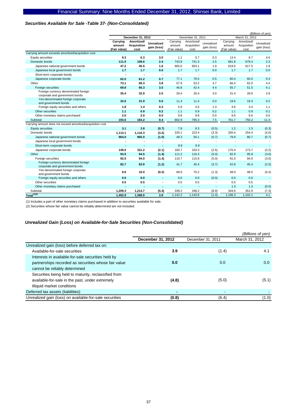#### *Securities Available for Sale -Table 37- (Non-Consolidated)*

|                                                                        |                |                    |                          |                          |                          |                          |                          |                          | (Billions of yen)        |
|------------------------------------------------------------------------|----------------|--------------------|--------------------------|--------------------------|--------------------------|--------------------------|--------------------------|--------------------------|--------------------------|
|                                                                        |                | December 31, 2012  |                          |                          | December 31, 2011        |                          |                          | March 31, 2012           |                          |
|                                                                        | Carrying       | Amortized/         | <b>Unrealized</b>        | Carrying                 | Amortized/               | Unrealized               | Carrying                 | Amortized/               | Unrealized               |
|                                                                        | amount         | <b>Acquisition</b> | gain (loss)              | amount                   | Acquisition              | gain (loss)              | amount                   | Acquisition              | gain (loss)              |
|                                                                        | (Fair value)   | cost               |                          | (Fair value)             | cost                     |                          | (Fair value)             | cost                     |                          |
| Carrying amount exceeds amortized/acquisition cost                     |                |                    |                          |                          |                          |                          |                          |                          |                          |
| <b>Equity securities</b>                                               | 9.3            | 6.3                | 3.0                      | 1.1                      | 0.7                      | 0.3                      | 13.4                     | 8.7                      | 4.6                      |
| Domestic bonds                                                         | 111.0          | 108.6              | 2.4                      | 743.9                    | 741.3                    | 2.5                      | 681.8                    | 679.4                    | 2.3                      |
| Japanese national government bonds                                     | 47.2           | 45.5               | 1.6                      | 665.0                    | 663.1                    | 1.9                      | 619.5                    | 617.5                    | 1.9                      |
| Japanese local government bonds                                        | 1.7            | 1.7                | 0.0                      | 1.7                      | 1.7                      | 0.0                      | 1.7                      | 1.7                      | 0.0                      |
| Short-term corporate bonds                                             | ä,             | ÷,                 | $\blacksquare$           | $\blacksquare$           | ÷,                       | $\overline{\phantom{a}}$ |                          | $\blacksquare$           |                          |
| Japanese corporate bonds                                               | 62.0           | 61.2               | 0.7                      | 77.1                     | 76.5                     | 0.5                      | 60.4                     | 60.0                     | 0.3                      |
| Other                                                                  | 73.1           | 69.3               | 3.8                      | 57.9                     | 53.2                     | 4.7                      | 66.4                     | 62.0                     | 4.4                      |
| Foreign securities                                                     | 69.8           | 66.3               | 3.5                      | 46.8                     | 42.4                     | 4.4                      | 55.7                     | 51.5                     | 4.1                      |
| Foreign currency denominated foreign<br>corporate and government bonds | 35.4           | 32.9               | 2.5                      | 29.4                     | 26.4                     | 3.0                      | 31.4                     | 28.6                     | 2.8                      |
| Yen-denominated foreign corporate<br>and government bonds              | 32.6           | 31.9               | 0.6                      | 11.4                     | 11.4                     | 0.0                      | 19.6                     | 19.4                     | 0.2                      |
| Foreign equity securities and others                                   | 1.8            | 1.4                | 0.3                      | 5.9                      | 4.5                      | 1.3                      | 4.6                      | 3.4                      | 1.1                      |
| Other securities                                                       | 1.1            | 0.9                | 0.2                      | 1.1                      | 0.9                      | 0.2                      | 1.1                      | 0.9                      | 0.1                      |
| Other monetary claims purchased                                        | 2.0            | 2.0                | 0.0                      | 9.8                      | 9.8                      | 0.0                      | 9.6                      | 9.6                      | 0.0                      |
| Subtotal                                                               | 193.6          | 184.2              | 9.4                      | 802.9                    | 795.3                    | 7.5                      | 761.7                    | 750.2                    | 11.4                     |
| Carrying amount does not exceed amortized/acquisition cost             |                |                    |                          |                          |                          |                          |                          |                          |                          |
| <b>Equity securities</b>                                               | 3.1            | 3.8                | (0.7)                    | 7.8                      | 8.3                      | (0.5)                    | 1.2                      | 1.5                      | (0.3)                    |
| Domestic bonds                                                         | 1,113.1        | 1,116.3            | (3.2)                    | 220.1                    | 223.4                    | (3.3)                    | 250.4                    | 254.4                    | (4.0)                    |
| Japanese national government bonds                                     | 964.0          | 965.0              | (1.0)                    | 49.3                     | 50.1                     | (0.7)                    | 79.9                     | 80.7                     | (0.7)                    |
| Japanese local government bonds                                        | ٠              |                    | $\blacksquare$           | $\overline{\phantom{a}}$ | $\overline{\phantom{a}}$ |                          |                          | $\blacksquare$           | $\overline{\phantom{a}}$ |
| Short-term corporate bonds                                             | $\blacksquare$ |                    | ٠                        | 9.9                      | 9.9                      | $\overline{a}$           | $\overline{\phantom{a}}$ | $\overline{\phantom{0}}$ | $\blacksquare$           |
| Japanese corporate bonds                                               | 149.0          | 151.2              | (2.1)                    | 160.7                    | 163.3                    | (2.5)                    | 170.4                    | 173.7                    | (3.2)                    |
| Other                                                                  | 93.0           | 94.5               | (1.4)                    | 111.2                    | 116.3                    | (5.0)                    | 92.9                     | 95.9                     | (3.0)                    |
| Foreign securities                                                     | 92.5           | 94.0               | (1.4)                    | 110.7                    | 115.8                    | (5.0)                    | 91.0                     | 94.0                     | (3.0)                    |
| Foreign currency denominated foreign<br>corporate and government bonds | 82.7           | 83.9               | (1.2)                    | 41.7                     | 45.4                     | (3.7)                    | 42.8                     | 45.4                     | (2.5)                    |
| Yen-denominated foreign corporate<br>and government bonds              | 9.8            | 10.0               | (0.2)                    | 68.9                     | 70.2                     | (1.3)                    | 48.0                     | 48.5                     | (0.4)                    |
| Foreign equity securities and others                                   | 0.0            | 0.0                | $\overline{\phantom{a}}$ | 0.0                      | 0.0                      | (0.0)                    | 0.0                      | 0.0                      |                          |
| Other securities                                                       | 0.5            | 0.5                | $\blacksquare$           | 0.5                      | 0.5                      | $\overline{\phantom{a}}$ | 0.5                      | 0.5                      |                          |
| Other monetary claims purchased                                        | ٠              |                    | ٠                        | ÷,                       | $\overline{\phantom{a}}$ | $\overline{\phantom{a}}$ | 1.3                      | 1.3                      | (0.0)                    |
| Subtotal                                                               | 1,209.3        | 1,214.7            | (5.4)                    | 339.2                    | 348.2                    | (8.9)                    | 344.6                    | 351.9                    | (7.3)                    |
| $Total^{(1)(2)}$                                                       | 1,402.9        | 1,398.9            | 3.9                      | 1,142.2                  | 1,143.6                  | (1.4)                    | 1,106.3                  | 1,102.1                  | 4.1                      |

(1) Includes a part of other monetary claims purchased in addition to securities available for sale.

(2) Securities whose fair value cannot be reliably determined are not included.

# *Unrealized Gain (Loss) on Available-for-Sale Securities (Non-Consolidated)*

|                                                         |                   |                   | (Billions of yen) |
|---------------------------------------------------------|-------------------|-------------------|-------------------|
|                                                         | December 31, 2012 | December 31, 2011 | March 31, 2012    |
| Unrealized gain (loss) before deferred tax on:          |                   |                   |                   |
| Available-for-sale securities                           | 3.9               | (1.4)             | 4.1               |
| Interests in available-for-sale securities held by      |                   |                   |                   |
| partnerships recorded as securities whose fair value    | 0.0               | 0.0               | 0.0               |
| cannot be reliably determined                           |                   |                   |                   |
| Securities being held to maturity, reclassified from    |                   |                   |                   |
| available-for-sale in the past, under extremely         | (4.8)             | (5.0)             | (5.1)             |
| illiquid market conditions                              |                   |                   |                   |
| Deferred tax assets (liabilities)                       |                   |                   |                   |
| Unrealized gain (loss) on available-for-sale securities | (0.8)             | (6.4)             | (1.0)             |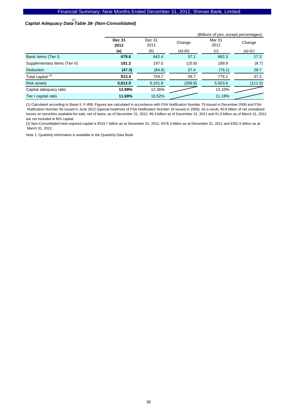# *Capital Adequacy Data-Table 38- (Non-Consolidated)*  (1)

|                               | (Billions of yen, except percentages) |                |           |                |           |  |  |
|-------------------------------|---------------------------------------|----------------|-----------|----------------|-----------|--|--|
|                               | <b>Dec 31</b><br>2012                 | Dec 31<br>2011 | Change    | Mar 31<br>2012 | Change    |  |  |
|                               | (a)                                   | (b)            | $(a)-(b)$ | (c)            | $(a)-(c)$ |  |  |
| Basic items (Tier I)          | 679.6                                 | 642.4          | 37.1      | 662.3          | 17.3      |  |  |
| Supplementary items (Tier II) | 181.2                                 | 197.0          | (15.8)    | 189.9          | (8.7)     |  |  |
| <b>Deduction</b>              | (47.3)                                | (84.8)         | 37.4      | (76.1)         | 28.7      |  |  |
| Total capital <sup>(2)</sup>  | 813.4                                 | 754.7          | 58.7      | 776.1          | 37.3      |  |  |
| <b>Risk assets</b>            | 5,812.0                               | 6,101.8        | (289.8)   | 5,923.6        | (111.5)   |  |  |
| Capital adequacy ratio        | 13.99%                                | 12.36%         |           | 13.10%         |           |  |  |
| Tier I capital ratio          | 11.69%                                | 10.52%         |           | 11.18%         |           |  |  |

(1) Calculated according to Basel II, F-IRB. Figures are calculated in accordance with FSA Notification Number 79 issued in December 2008 and FSA Notification Number 56 issued in June 2012 (special treatment of FSA Notification Number 19 issued in 2006). As a result, ¥0.8 billion of net unrealized losses on securities available-for-sale, net of taxes, as of December 31, 2012, ¥6.4 billion as of December 31, 2011 and ¥1.0 billion as of March 31, 2012 are not included in BIS capital.

(2) Non-Consolidated total required capital is ¥319.7 billion as at December 31, 2012, ¥376.3 billion as at December 31, 2011 and ¥352.5 billion as at March 31, 2012.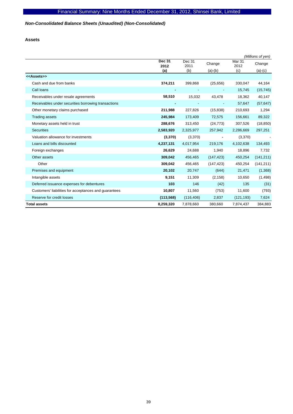# *Non-Consolidated Balance Sheets (Unaudited) (Non-Consolidated)*

**Assets** 

|                                                       |                       |                |            |                           | (Millions of yen) |
|-------------------------------------------------------|-----------------------|----------------|------------|---------------------------|-------------------|
|                                                       | <b>Dec 31</b><br>2012 | Dec 31<br>2011 | Change     | Mar <sub>31</sub><br>2012 | Change            |
|                                                       | (a)                   | (b)            | $(a)-(b)$  | (c)                       | $(a)-(c)$         |
| < <assets>&gt;</assets>                               |                       |                |            |                           |                   |
| Cash and due from banks                               | 374,211               | 399,868        | (25, 656)  | 330,047                   | 44,164            |
| Call loans                                            |                       |                |            | 15,745                    | (15, 745)         |
| Receivables under resale agreements                   | 58,510                | 15,032         | 43,478     | 18,362                    | 40,147            |
| Receivables under securities borrowing transactions   |                       |                |            | 57,647                    | (57, 647)         |
| Other monetary claims purchased                       | 211,988               | 227,826        | (15, 838)  | 210,693                   | 1,294             |
| <b>Trading assets</b>                                 | 245,984               | 173,409        | 72,575     | 156,661                   | 89,322            |
| Monetary assets held in trust                         | 288,676               | 313,450        | (24, 773)  | 307,526                   | (18, 850)         |
| <b>Securities</b>                                     | 2,583,920             | 2,325,977      | 257,942    | 2,286,669                 | 297,251           |
| Valuation allowance for investments                   | (3, 370)              | (3,370)        |            | (3,370)                   |                   |
| Loans and bills discounted                            | 4,237,131             | 4,017,954      | 219,176    | 4,102,638                 | 134,493           |
| Foreign exchanges                                     | 26,629                | 24,688         | 1,940      | 18,896                    | 7,732             |
| Other assets                                          | 309,042               | 456,465        | (147, 423) | 450,254                   | (141, 211)        |
| Other                                                 | 309,042               | 456,465        | (147, 423) | 450,254                   | (141, 211)        |
| Premises and equipment                                | 20,102                | 20,747         | (644)      | 21,471                    | (1,368)           |
| Intangible assets                                     | 9,151                 | 11,309         | (2, 158)   | 10,650                    | (1,498)           |
| Deferred issuance expenses for debentures             | 103                   | 146            | (42)       | 135                       | (31)              |
| Customers' liabilities for acceptances and guarantees | 10,807                | 11,560         | (753)      | 11,600                    | (793)             |
| Reserve for credit losses                             | (113, 568)            | (116, 406)     | 2,837      | (121, 193)                | 7,624             |
| <b>Total assets</b>                                   | 8,259,320             | 7,878,660      | 380,660    | 7,874,437                 | 384,883           |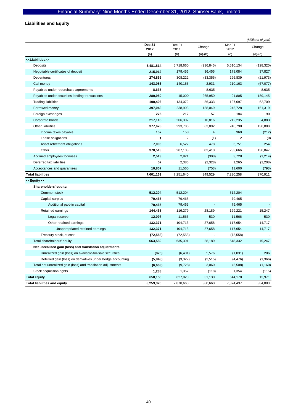**Liabilities and Equity** 

|                                                              |                       |                |                |                | (Millions of yen) |
|--------------------------------------------------------------|-----------------------|----------------|----------------|----------------|-------------------|
|                                                              | <b>Dec 31</b><br>2012 | Dec 31<br>2011 | Change         | Mar 31<br>2012 | Change            |
|                                                              | (a)                   | (b)            | $(a)-(b)$      | (c)            | $(a)-(c)$         |
| < <liabilities>&gt;</liabilities>                            |                       |                |                |                |                   |
| Deposits                                                     | 5,481,814             | 5,718,660      | (236, 845)     | 5,610,134      | (128, 320)        |
| Negotiable certificates of deposit                           | 215,912               | 179,456        | 36,455         | 178,084        | 37,827            |
| <b>Debentures</b>                                            | 274,865               | 308,222        | (33, 356)      | 296,839        | (21, 973)         |
| Call money                                                   | 143,086               | 140,155        | 2,931          | 210,163        | (67, 077)         |
| Payables under repurchase agreements                         | 8,635                 |                | 8,635          |                | 8,635             |
| Payables under securities lending transactions               | 280,950               | 15,000         | 265,950        | 91,805         | 189,145           |
| <b>Trading liabilities</b>                                   | 190,406               | 134,072        | 56,333         | 127,697        | 62,709            |
| Borrowed money                                               | 397,048               | 238,998        | 158,049        | 245,728        | 151,319           |
| Foreign exchanges                                            | 275                   | 217            | 57             | 184            | 90                |
| Corporate bonds                                              | 217,118               | 206,302        | 10,816         | 212,235        | 4,883             |
| Other liabilities                                            | 377,678               | 293,785        | 83,892         | 240,790        | 136,888           |
| Income taxes payable                                         | 157                   | 153            | $\overline{4}$ | 369            | (212)             |
| Lease obligations                                            | 1                     | $\overline{2}$ | (1)            | $\overline{2}$ | (0)               |
| Asset retirement obligations                                 | 7,006                 | 6,527          | 478            | 6,751          | 254               |
| Other                                                        | 370,513               | 287,103        | 83,410         | 233,666        | 136,847           |
| Accrued employees' bonuses                                   | 2,513                 | 2,821          | (308)          | 3,728          | (1, 214)          |
| Deferred tax liabilities                                     | 57                    | 2,386          | (2, 328)       | 1,265          | (1,208)           |
| Acceptances and guarantees                                   | 10,807                | 11,560         | (753)          | 11,600         | (793)             |
| <b>Total liabilities</b>                                     | 7,601,169             | 7,251,640      | 349,529        | 7,230,258      | 370,911           |
| < <equity>&gt;</equity>                                      |                       |                |                |                |                   |
| Shareholders' equity:                                        |                       |                |                |                |                   |
| Common stock                                                 | 512,204               | 512,204        |                | 512,204        |                   |
| Capital surplus                                              | 79,465                | 79,465         |                | 79,465         |                   |
| Additional paid-in capital                                   | 79,465                | 79,465         | ÷,             | 79,465         |                   |
| Retained earnings                                            | 144,468               | 116,279        | 28,189         | 129,221        | 15,247            |
| Legal reserve                                                | 12,097                | 11,566         | 530            | 11,566         | 530               |
| Other retained earnings                                      | 132,371               | 104,713        | 27,658         | 117,654        | 14,717            |
| Unappropriated retained earnings                             | 132,371               | 104,713        | 27,658         | 117,654        | 14,717            |
| Treasury stock, at cost                                      | (72, 558)             | (72, 558)      |                | (72, 558)      |                   |
| Total shareholders' equity                                   | 663,580               | 635,391        | 28,189         | 648,332        | 15,247            |
| Net unrealized gain (loss) and translation adjustments       |                       |                |                |                |                   |
| Unrealized gain (loss) on available-for-sale securities      | (825)                 | (6, 401)       | 5,576          | (1,031)        | 206               |
| Deferred gain (loss) on derivatives under hedge accounting   | (5, 843)              | (3,327)        | (2, 515)       | (4, 476)       | (1, 366)          |
| Total net unrealized gain (loss) and translation adjustments | (6,668)               | (9,728)        | 3,060          | (5,508)        | (1, 160)          |
| Stock acquisition rights                                     | 1,238                 | 1,357          | (118)          | 1,354          | (115)             |
| <b>Total equity</b>                                          | 658,150               | 627,020        | 31,130         | 644,178        | 13,971            |
| <b>Total liabilities and equity</b>                          | 8,259,320             | 7,878,660      | 380,660        | 7,874,437      | 384,883           |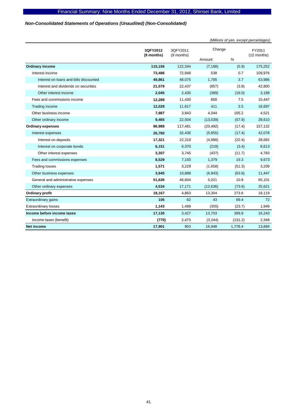# *Non-Consolidated Statements of Operations (Unaudited) (Non-Consolidated)*

|                                        |                        |                        | (Millions of yen, except percentages) |         |                       |  |
|----------------------------------------|------------------------|------------------------|---------------------------------------|---------|-----------------------|--|
|                                        | 3QFY2012<br>(9 months) | 3QFY2011<br>(9 months) | Change                                |         | FY2011<br>(12 months) |  |
|                                        |                        |                        | Amount                                | %       |                       |  |
| <b>Ordinary income</b>                 | 115,156                | 122,344                | (7, 188)                              | (5.9)   | 175,252               |  |
| Interest income                        | 73,486                 | 72,948                 | 538                                   | 0.7     | 109,976               |  |
| Interest on loans and bills discounted | 49,861                 | 48,075                 | 1,785                                 | 3.7     | 63,986                |  |
| Interest and dividends on securities   | 21,579                 | 22,437                 | (857)                                 | (3.8)   | 42,800                |  |
| Other interest income                  | 2,045                  | 2,435                  | (389)                                 | (16.0)  | 3,189                 |  |
| Fees and commissions income            | 12,289                 | 11,430                 | 858                                   | 7.5     | 15,447                |  |
| Trading income                         | 12,028                 | 11,617                 | 411                                   | 3.5     | 16,697                |  |
| Other business income                  | 7,887                  | 3,843                  | 4,044                                 | 105.2   | 4,521                 |  |
| Other ordinary income                  | 9,465                  | 22,504                 | (13,039)                              | (57.9)  | 28,610                |  |
| <b>Ordinary expenses</b>               | 96,988                 | 117,481                | (20, 492)                             | (17.4)  | 157,132               |  |
| Interest expenses                      | 26,780                 | 32,436                 | (5,655)                               | (17.4)  | 42,078                |  |
| Interest on deposits                   | 17,321                 | 22,319                 | (4,998)                               | (22.4)  | 28,682                |  |
| Interest on corporate bonds            | 6,151                  | 6,370                  | (219)                                 | (3.4)   | 8,613                 |  |
| Other interest expenses                | 3,307                  | 3,745                  | (437)                                 | (11.7)  | 4,783                 |  |
| Fees and commissions expenses          | 8,529                  | 7,150                  | 1,379                                 | 19.3    | 9,673                 |  |
| <b>Trading losses</b>                  | 1,571                  | 3,229                  | (1,658)                               | (51.3)  | 3,209                 |  |
| Other business expenses                | 3,945                  | 10,888                 | (6,943)                               | (63.8)  | 11,447                |  |
| General and administrative expenses    | 51,626                 | 46,604                 | 5,021                                 | 10.8    | 65,101                |  |
| Other ordinary expenses                | 4,534                  | 17,171                 | (12, 636)                             | (73.6)  | 25,621                |  |
| Ordinary profit                        | 18,167                 | 4,863                  | 13,304                                | 273.6   | 18,119                |  |
| <b>Extraordinary gains</b>             | 105                    | 62                     | 43                                    | 69.4    | 72                    |  |
| <b>Extraordinary losses</b>            | 1,143                  | 1,498                  | (355)                                 | (23.7)  | 1,949                 |  |
| Income before income taxes             | 17,130                 | 3,427                  | 13,703                                | 399.9   | 16,243                |  |
| Income taxes (benefit)                 | (770)                  | 2,473                  | (3,244)                               | (131.2) | 2,348                 |  |
| <b>Net income</b>                      | 17,901                 | 953                    | 16,948                                | 1,778.4 | 13,894                |  |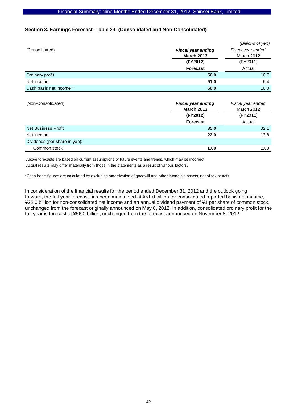# **Section 3. Earnings Forecast -Table 39- (Consolidated and Non-Consolidated)**

|                               |                           | (Billions of yen) |  |  |
|-------------------------------|---------------------------|-------------------|--|--|
| (Consolidated)                | <b>Fiscal year ending</b> | Fiscal year ended |  |  |
|                               | <b>March 2013</b>         | <b>March 2012</b> |  |  |
|                               | (FY2012)                  | (FY2011)          |  |  |
|                               | <b>Forecast</b>           | Actual            |  |  |
| Ordinary profit               | 56.0                      | 16.7              |  |  |
| Net income                    | 51.0                      | 6.4               |  |  |
| Cash basis net income *       | 60.0                      | 16.0              |  |  |
|                               |                           |                   |  |  |
| (Non-Consolidated)            | <b>Fiscal year ending</b> | Fiscal year ended |  |  |
|                               | <b>March 2013</b>         | March 2012        |  |  |
|                               | (FY2012)                  | (FY2011)          |  |  |
|                               | <b>Forecast</b>           | Actual            |  |  |
| <b>Net Business Profit</b>    | 35.0                      | 32.1              |  |  |
| Net income                    | 22.0                      | 13.8              |  |  |
| Dividends (per share in yen): |                           |                   |  |  |

Above forecasts are based on current assumptions of future events and trends, which may be incorrect.

Actual results may differ materially from those in the statements as a result of various factors.

\*Cash-basis figures are calculated by excluding amortization of goodwill and other intangible assets, net of tax benefit

In consideration of the financial results for the period ended December 31, 2012 and the outlook going forward, the full-year forecast has been maintained at ¥51.0 billion for consolidated reported basis net income, ¥22.0 billion for non-consolidated net income and an annual dividend payment of ¥1 per share of common stock, unchanged from the forecast originally announced on May 8, 2012. In addition, consolidated ordinary profit for the full-year is forecast at ¥56.0 billion, unchanged from the forecast announced on November 8, 2012.

**Common stock** 1.00 1.00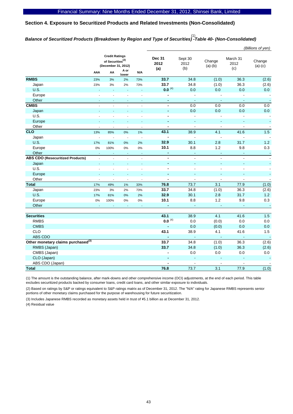# **Section 4. Exposure to Securitized Products and Related Investments (Non-Consolidated)**

# *Balance of Securitized Products (Breakdown by Region and Type of Securities) -Table 40- (Non-Consolidated)*  (1)

|                                                |                                                                              |                |                          |                |                          |                          |                          |                | (Billions of yen)        |  |                              |                        |                     |                         |                     |
|------------------------------------------------|------------------------------------------------------------------------------|----------------|--------------------------|----------------|--------------------------|--------------------------|--------------------------|----------------|--------------------------|--|------------------------------|------------------------|---------------------|-------------------------|---------------------|
|                                                | <b>Credit Ratings</b><br>of Securities <sup>(2)</sup><br>(December 31, 2012) |                |                          |                |                          |                          |                          |                |                          |  | <b>Dec 31</b><br>2012<br>(a) | Sept 30<br>2012<br>(b) | Change<br>$(a)-(b)$ | March 31<br>2012<br>(c) | Change<br>$(a)-(c)$ |
|                                                | AAA                                                                          | AA             | A or<br>lower            | N/A            |                          |                          |                          |                |                          |  |                              |                        |                     |                         |                     |
| <b>RMBS</b>                                    | 23%                                                                          | 3%             | 2%                       | 73%            | 33.7                     | 34.8                     | (1.0)                    | 36.3           | (2.6)                    |  |                              |                        |                     |                         |                     |
| Japan                                          | 23%                                                                          | 3%             | 2%                       | 73%            | 33.7                     | 34.8                     | (1.0)                    | 36.3           | (2.6)                    |  |                              |                        |                     |                         |                     |
| <b>U.S.</b>                                    | $\overline{a}$                                                               | ÷.             | L.                       | L.             | $0.0^{(4)}$              | 0.0                      | 0.0                      | 0.0            | 0.0                      |  |                              |                        |                     |                         |                     |
| Europe                                         |                                                                              |                | L.                       | $\overline{a}$ | $\blacksquare$           | $\overline{a}$           |                          |                | $\overline{\phantom{a}}$ |  |                              |                        |                     |                         |                     |
| Other                                          | $\sim$                                                                       | $\blacksquare$ | $\blacksquare$           | $\blacksquare$ | $\blacksquare$           | $\blacksquare$           | ÷,                       | $\blacksquare$ | $\overline{\phantom{a}}$ |  |                              |                        |                     |                         |                     |
| <b>CMBS</b>                                    |                                                                              |                |                          | $\overline{a}$ | $\blacksquare$           | 0.0                      | 0.0                      | 0.0            | $0.0\,$                  |  |                              |                        |                     |                         |                     |
| Japan                                          | $\Box$                                                                       |                | L,                       | L,             | $\blacksquare$           | 0.0                      | 0.0                      | 0.0            | 0.0                      |  |                              |                        |                     |                         |                     |
| U.S.                                           |                                                                              |                |                          |                | $\overline{a}$           |                          |                          |                | $\blacksquare$           |  |                              |                        |                     |                         |                     |
| Europe                                         |                                                                              |                |                          |                | $\blacksquare$           | ä,                       | ÷,                       | $\blacksquare$ | $\blacksquare$           |  |                              |                        |                     |                         |                     |
| Other                                          | J.                                                                           |                | $\overline{a}$           | $\overline{a}$ | $\blacksquare$           | $\Box$                   | ÷,                       | $\mathbf{r}$   | $\overline{\phantom{a}}$ |  |                              |                        |                     |                         |                     |
| CLO                                            | 13%                                                                          | 85%            | 0%                       | 1%             | 43.1                     | 38.9                     | 4.1                      | 41.6           | 1.5                      |  |                              |                        |                     |                         |                     |
| Japan                                          | $\blacksquare$                                                               | $\overline{a}$ | $\Box$                   | $\overline{a}$ | $\blacksquare$           | $\overline{\phantom{a}}$ | $\overline{a}$           | $\overline{a}$ |                          |  |                              |                        |                     |                         |                     |
| U.S.                                           | 17%                                                                          | 81%            | 0%                       | 2%             | 32.9                     | 30.1                     | 2.8                      | 31.7           | $1.2$                    |  |                              |                        |                     |                         |                     |
| Europe                                         | 0%                                                                           | 100%           | 0%                       | 0%             | 10.1                     | 8.8                      | 1.2                      | 9.8            | 0.3                      |  |                              |                        |                     |                         |                     |
| Other                                          | ÷,                                                                           | ÷.             | ä,                       | L.             | $\blacksquare$           | ä,                       | ä,                       | ä,             | $\blacksquare$           |  |                              |                        |                     |                         |                     |
| <b>ABS CDO (Resecuritized Products)</b>        | $\overline{a}$                                                               | $\overline{a}$ | $\overline{\phantom{a}}$ | $\overline{a}$ | $\overline{\phantom{a}}$ | $\overline{a}$           | $\overline{\phantom{a}}$ | $\blacksquare$ | $\overline{a}$           |  |                              |                        |                     |                         |                     |
| Japan                                          | $\overline{a}$                                                               | ÷.             | $\overline{a}$           | ÷              | $\blacksquare$           | ä,                       | ä,                       | $\blacksquare$ |                          |  |                              |                        |                     |                         |                     |
| U.S.                                           | $\overline{a}$                                                               | $\overline{a}$ | $\overline{a}$           | $\overline{a}$ | $\blacksquare$           | $\overline{a}$           | ÷.                       | $\blacksquare$ | $\blacksquare$           |  |                              |                        |                     |                         |                     |
| Europe                                         | ÷,                                                                           | L,             | L,                       | ÷,             | $\blacksquare$           | ÷,                       |                          | ÷              | $\blacksquare$           |  |                              |                        |                     |                         |                     |
| Other                                          | $\sim$                                                                       | ÷,             | $\overline{\phantom{a}}$ | ÷,             | $\blacksquare$           | $\overline{a}$           | $\overline{a}$           | $\blacksquare$ | $\blacksquare$           |  |                              |                        |                     |                         |                     |
| <b>Total</b>                                   | 17%                                                                          | 49%            | 1%                       | 33%            | 76.8                     | 73.7                     | 3.1                      | 77.9           | (1.0)                    |  |                              |                        |                     |                         |                     |
| Japan                                          | 23%                                                                          | 3%             | 2%                       | 73%            | 33.7                     | 34.8                     | (1.0)                    | 36.3           | (2.6)                    |  |                              |                        |                     |                         |                     |
| U.S.                                           | 17%                                                                          | 81%            | 0%                       | 2%             | 32.9                     | 30.1                     | 2.8                      | 31.7           | $1.2$                    |  |                              |                        |                     |                         |                     |
| Europe                                         | 0%                                                                           | 100%           | 0%                       | 0%             | 10.1                     | 8.8                      | 1.2                      | 9.8            | 0.3                      |  |                              |                        |                     |                         |                     |
| Other                                          | $\sim$                                                                       |                | L.                       | L,             | $\blacksquare$           | $\omega$                 | $\blacksquare$           | $\blacksquare$ | $\sim$                   |  |                              |                        |                     |                         |                     |
|                                                |                                                                              |                |                          |                |                          |                          |                          |                |                          |  |                              |                        |                     |                         |                     |
| <b>Securities</b>                              |                                                                              |                |                          |                | 43.1                     | 38.9                     | 4.1                      | 41.6           | 1.5                      |  |                              |                        |                     |                         |                     |
| <b>RMBS</b>                                    |                                                                              |                |                          |                | $0.0^{(4)}$              | 0.0                      | (0.0)                    | 0.0            | $0.0\,$                  |  |                              |                        |                     |                         |                     |
| <b>CMBS</b>                                    |                                                                              |                |                          |                | ä,                       | 0.0                      | (0.0)                    | 0.0            | 0.0                      |  |                              |                        |                     |                         |                     |
| CLO                                            |                                                                              |                |                          |                | 43.1                     | 38.9                     | 4.1                      | 41.6           | 1.5                      |  |                              |                        |                     |                         |                     |
| ABS CDO                                        |                                                                              |                |                          |                |                          | $\mathbb{Z}$             | ä,                       | $\mathbf{u}$   | $\sim$                   |  |                              |                        |                     |                         |                     |
| Other monetary claims purchased <sup>(3)</sup> |                                                                              |                |                          |                | 33.7                     | 34.8                     | (1.0)                    | 36.3           | (2.6)                    |  |                              |                        |                     |                         |                     |
| RMBS (Japan)                                   |                                                                              |                |                          |                | 33.7                     | 34.8                     | (1.0)                    | 36.3           | (2.6)                    |  |                              |                        |                     |                         |                     |
| CMBS (Japan)                                   |                                                                              |                |                          |                | Ĭ.                       | 0.0                      | 0.0                      | 0.0            | $0.0\,$                  |  |                              |                        |                     |                         |                     |
| CLO (Japan)                                    |                                                                              |                |                          |                |                          | ä,                       |                          | ÷,             | ÷                        |  |                              |                        |                     |                         |                     |
| ABS CDO (Japan)                                |                                                                              |                |                          |                |                          | $\overline{a}$           | $\overline{a}$           | $\overline{a}$ |                          |  |                              |                        |                     |                         |                     |
| <b>Total</b>                                   |                                                                              |                |                          |                | 76.8                     | 73.7                     | 3.1                      | 77.9           | (1.0)                    |  |                              |                        |                     |                         |                     |

(1) The amount is the outstanding balance, after mark-downs and other comprehensive income (OCI) adjustments, at the end of each period. This table excludes securitized products backed by consumer loans, credit card loans, and other similar exposure to individuals.

(2) Based on ratings by S&P or ratings equivalent to S&P ratings matrix as of December 31, 2012. The "N/A" rating for Japanese RMBS represents senior portions of other monetary claims purchased for the purpose of warehousing for future securitization.

(3) Includes Japanese RMBS recorded as monetary assets held in trust of \5.1 billion as at December 31, 2012.

(4) Residual value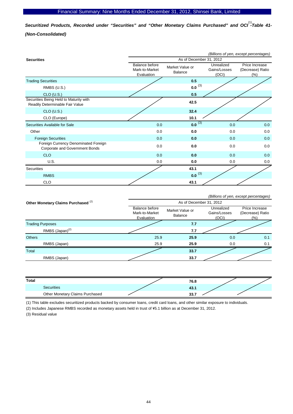*Securitized Products, Recorded under "Securities" and "Other Monetary Claims Purchased" and OCI -Table 41-*  (1) *(Non-Consolidated)* 

|                                                                           | (Billions of yen, except percentages)                 |                            |                                     |                                            |  |  |  |
|---------------------------------------------------------------------------|-------------------------------------------------------|----------------------------|-------------------------------------|--------------------------------------------|--|--|--|
| <b>Securities</b>                                                         | As of December 31, 2012                               |                            |                                     |                                            |  |  |  |
|                                                                           | <b>Balance before</b><br>Mark-to-Market<br>Evaluation | Market Value or<br>Balance | Unrealized<br>Gains/Losses<br>(OCI) | Price Increase<br>(Decrease) Ratio<br>(% ) |  |  |  |
| <b>Trading Securities</b>                                                 |                                                       | 0.5                        |                                     |                                            |  |  |  |
| RMBS (U.S.)                                                               |                                                       | $0.0^{(3)}$                |                                     |                                            |  |  |  |
| $CLO$ (U.S.)                                                              |                                                       | 0.5                        |                                     |                                            |  |  |  |
| Securities Being Held to Maturity with<br>Readily Determinable Fair Value |                                                       | 42.5                       |                                     |                                            |  |  |  |
| $CLO$ (U.S.)                                                              |                                                       | 32.4                       |                                     |                                            |  |  |  |
| CLO (Europe)                                                              |                                                       | 10.1                       |                                     |                                            |  |  |  |
| Securities Available for Sale                                             | 0.0                                                   | $0.0^{(3)}$                | 0.0                                 | 0.0                                        |  |  |  |
| Other                                                                     | 0.0                                                   | 0.0                        | 0.0                                 | 0.0                                        |  |  |  |
| <b>Foreign Securities</b>                                                 | 0.0                                                   | 0.0                        | 0.0                                 | 0.0                                        |  |  |  |
| Foreign Currency Denominated Foreign<br>Corporate and Government Bonds    | 0.0                                                   | 0.0                        | 0.0                                 | 0.0                                        |  |  |  |
| <b>CLO</b>                                                                | 0.0                                                   | 0.0                        | 0.0                                 | 0.0                                        |  |  |  |
| U.S.                                                                      | 0.0                                                   | 0.0                        | 0.0                                 | 0.0                                        |  |  |  |
| Securities                                                                |                                                       | 43.1                       |                                     |                                            |  |  |  |
| <b>RMBS</b>                                                               |                                                       | $0.0^{(3)}$                |                                     |                                            |  |  |  |
| <b>CLO</b>                                                                |                                                       | 43.1                       |                                     |                                            |  |  |  |

|                                                |                                                       |                            |                                     | (Billions of yen, except percentages)      |  |  |  |  |
|------------------------------------------------|-------------------------------------------------------|----------------------------|-------------------------------------|--------------------------------------------|--|--|--|--|
| Other Monetary Claims Purchased <sup>(2)</sup> |                                                       | As of December 31, 2012    |                                     |                                            |  |  |  |  |
|                                                | <b>Balance before</b><br>Mark-to-Market<br>Evaluation | Market Value or<br>Balance | Unrealized<br>Gains/Losses<br>(OCI) | Price Increase<br>(Decrease) Ratio<br>(% ) |  |  |  |  |
| <b>Trading Purposes</b>                        |                                                       | 7.7                        |                                     |                                            |  |  |  |  |
| RMBS (Japan) <sup>(2)</sup>                    |                                                       | 7.7                        |                                     |                                            |  |  |  |  |
| <b>Others</b>                                  | 25.9                                                  | 25.9                       | 0.0                                 | 0.1                                        |  |  |  |  |
| RMBS (Japan)                                   | 25.9                                                  | 25.9                       | 0.0                                 | 0.1                                        |  |  |  |  |
| Total                                          |                                                       | 33.7                       |                                     |                                            |  |  |  |  |
| RMBS (Japan)                                   |                                                       | 33.7                       |                                     |                                            |  |  |  |  |

| Total                           | 76.8  |  |
|---------------------------------|-------|--|
| Securities                      | 4J. I |  |
| Other Monetary Claims Purchased | 33.7  |  |

(1) This table excludes securitized products backed by consumer loans, credit card loans, and other similar exposure to individuals.

(2) Includes Japanese RMBS recorded as monetary assets held in trust of \5.1 billion as at December 31, 2012.

(3) Residual value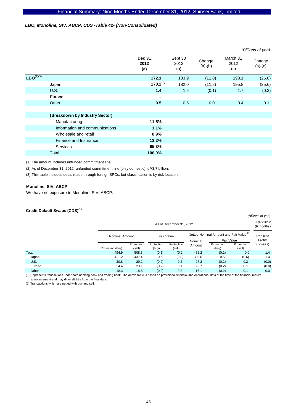### *LBO, Monoline, SIV, ABCP, CDS -Table 42- (Non-Consolidated)*

|                |                                |                              | (Billions of yen)      |                          |                         |                          |  |
|----------------|--------------------------------|------------------------------|------------------------|--------------------------|-------------------------|--------------------------|--|
|                |                                | <b>Dec 31</b><br>2012<br>(a) | Sept 30<br>2012<br>(b) | Change<br>$(a)-(b)$      | March 31<br>2012<br>(c) | Change<br>$(a)-(c)$      |  |
| $LBO^{(1)(3)}$ |                                | 172.1                        | 183.9                  | (11.8)                   | 198.1                   | (26.0)                   |  |
|                | Japan                          | 170.2 $(2)$                  | 182.0                  | (11.8)                   | 195.8                   | (25.6)                   |  |
|                | <b>U.S.</b>                    | 1.4                          | 1.5                    | (0.1)                    | 1.7                     | (0.3)                    |  |
|                | Europe                         | ۰                            | $\blacksquare$         | $\overline{\phantom{a}}$ |                         | $\overline{\phantom{a}}$ |  |
|                | Other                          | 0.5                          | 0.5                    | 0.0                      | 0.4                     | 0.1                      |  |
|                |                                |                              |                        |                          |                         |                          |  |
|                | (Breakdown by Industry Sector) |                              |                        |                          |                         |                          |  |
|                | Manufacturing                  | 11.5%                        |                        |                          |                         |                          |  |
|                | Information and communications | 1.1%                         |                        |                          |                         |                          |  |
|                | Wholesale and retail           | 8.9%                         |                        |                          |                         |                          |  |
|                | Finance and Insurance          | 13.2%                        |                        |                          |                         |                          |  |
|                | Services                       | 65.3%                        |                        |                          |                         |                          |  |
|                | Total                          | 100.0%                       |                        |                          |                         |                          |  |

(1) The amount includes unfunded commitment line.

(2) As of December 31, 2012, unfunded commitment line (only domestic) is \3.7 billion.

(3) This table includes deals made through foreign SPCs, but classification is by risk location.

#### **Monoline, SIV, ABCP**

We have no exposure to Monoline, SIV, ABCP.

# **Credit Default Swaps (CDS)(1)**

|             |                  |                                                                   |                     |                       |         |                     |                      | (Billions of yen)      |
|-------------|------------------|-------------------------------------------------------------------|---------------------|-----------------------|---------|---------------------|----------------------|------------------------|
|             |                  | As of December 31, 2012                                           |                     |                       |         |                     |                      | 3QFY2012<br>(9 months) |
|             |                  | Netted Nominal Amount and Fair Value <sup>(2)</sup><br>Fair Value |                     | <b>Nominal Amount</b> |         |                     | Realized             |                        |
|             |                  |                                                                   |                     |                       | Nominal | Fair Value          |                      | Profits                |
|             | Protection (buy) | Protection<br>(sell)                                              | Protection<br>(buy) | Protection<br>(sell)  | Amount  | Protection<br>(buy) | Protection<br>(sell) | (Losses)               |
| Total       | 494.9            | 508.5                                                             | (0.1)               | (0.2)                 | 455.2   | (0.1)               | 0.0                  | 1.4                    |
| Japan       | 421.2            | 437.4                                                             | 0.6                 | (0.8)                 | 389.0   | 0.5                 | (0.6)                | 1.4                    |
| <b>U.S.</b> | 30.8             | 29.2                                                              | (0.2)               | 0.2                   | 27.2    | (0.2)               | 0.2                  | (0.0)                  |
| Europe      | 24.4             | 23.1                                                              | (0.2)               | 0.1                   | 22.7    | (0.2)               | 0.1                  | (0.0)                  |
| Other       | 18.3             | 18.5                                                              | (0.2)               | 0.2                   | 16.1    | (0.2)               | 0.1                  | 0.0                    |

(1) Represents transactions under both banking book and trading book. The above table is based on provisional financial and operational data at the time of the financial results announcement and may differ slightly from the final data.

(2) Transactions which are netted with buy and sell.